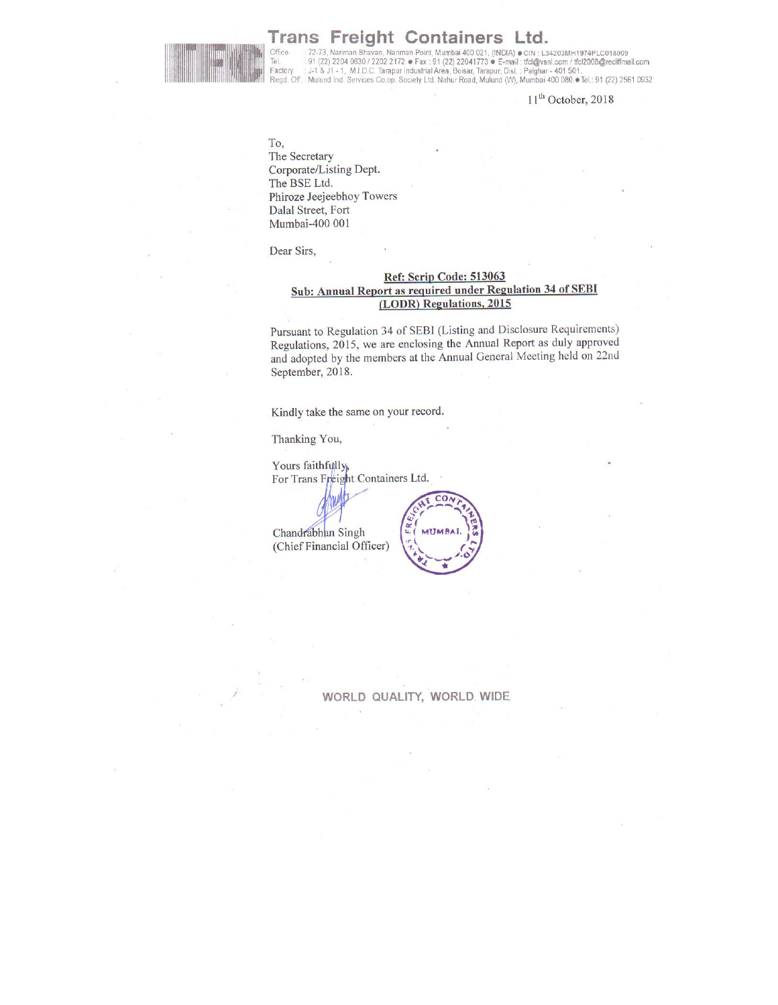

Trans Freight Containers Ltd. Office<br>
272-73, Nariman Bhavan, Nariman Point, Mumbai 400 021. (INDIA) • CIN : L34203MH1974PLC018009<br>
291 (22) 2204 0630 / 2202 2172 • Fax : 91 (22) 22041773 • E-mail: ffcl@vsnl.com / ffcl2008@rediffmail.com<br>
Factory : J-1

11<sup>th</sup> October, 2018

To, The Secretary Corporate/Listing Dept. The BSE Ltd. Phiroze Jeejeebhoy Towers Dalal Street, Fort Mumbai-400 001

Dear Sirs,

## Ref: Scrip Code: 513063 Sub: Annual Report as required under Regulation 34 of SEBI (LODR) Regulations, 2015

Pursuant to Regulation 34 of SEBI (Listing and Disclosure Requirements) Regulations, 2015, we are enclosing the Annual Report as duly approved and adopted by the members at the Annual General Meeting held on 22nd September, 2018.

Kindly take the same on your record.

Thanking You,

Yours faithfully, For Trans Freight Containers Ltd.

Chandrabhan Singh (Chief Financial Officer)



WORLD QUALITY, WORLD WIDE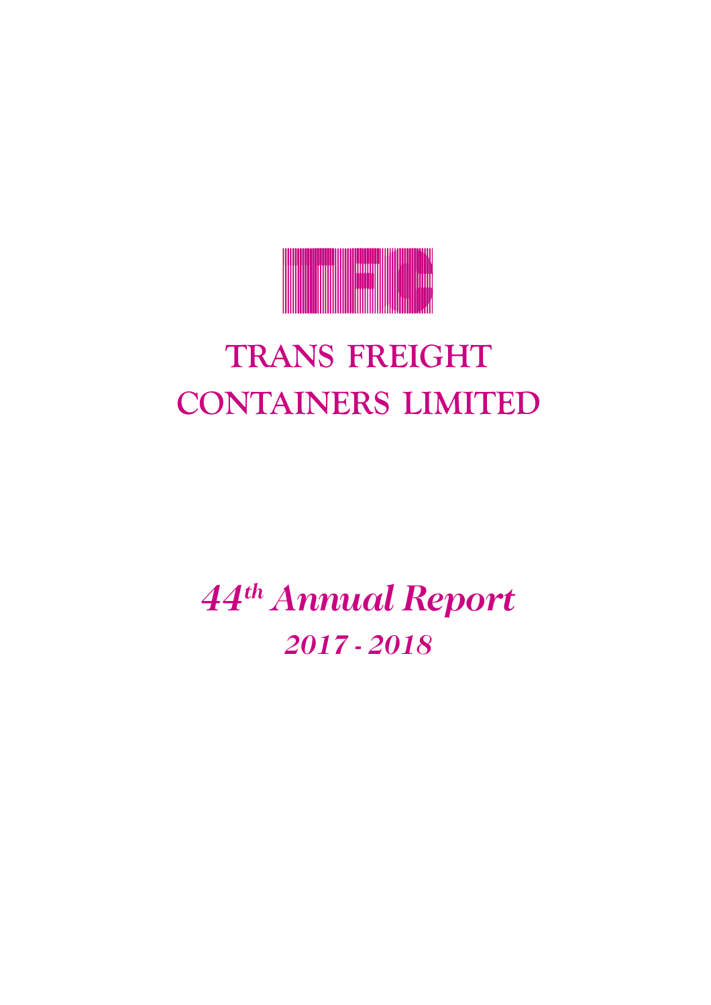

*44th Annual Report 2017 - 2018*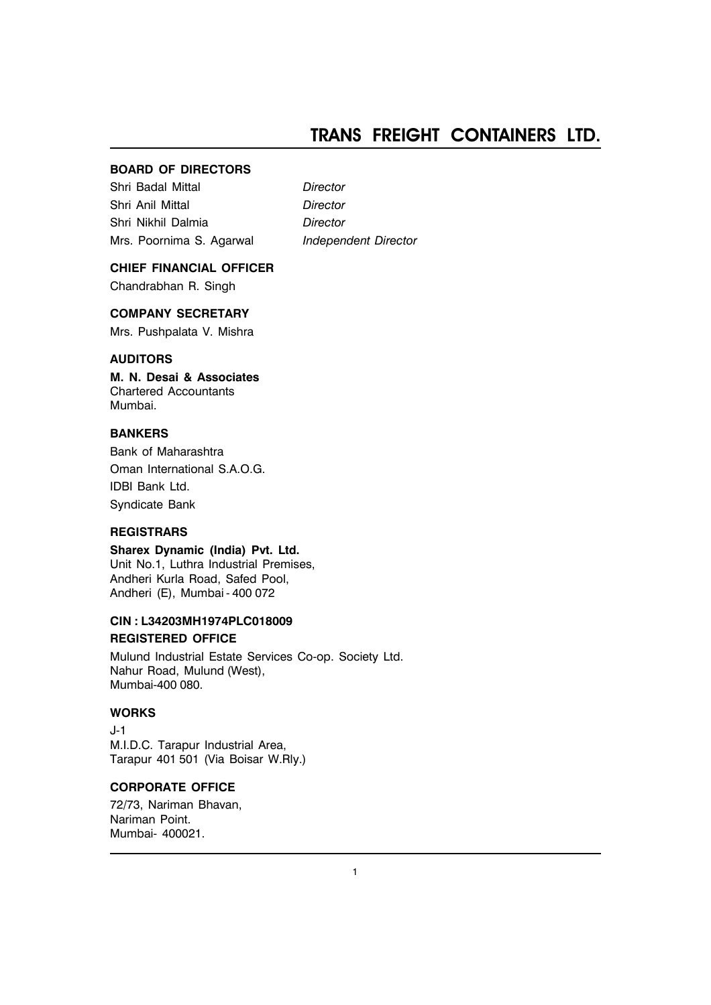# **BOARD OF DIRECTORS**

Shri Badal Mittal *Director* Shri Anil Mittal *Director* Shri Nikhil Dalmia *Director* Mrs. Poornima S. Agarwal *Independent Director*

# **CHIEF FINANCIAL OFFICER**

Chandrabhan R. Singh

# **COMPANY SECRETARY**

Mrs. Pushpalata V. Mishra

# **AUDITORS**

**M. N. Desai & Associates** Chartered Accountants Mumbai.

# **BANKERS**

Bank of Maharashtra Oman International S.A.O.G. IDBI Bank Ltd. Syndicate Bank

# **REGISTRARS**

**Sharex Dynamic (India) Pvt. Ltd.** Unit No.1, Luthra Industrial Premises, Andheri Kurla Road, Safed Pool, Andheri (E), Mumbai - 400 072

# **CIN : L34203MH1974PLC018009 REGISTERED OFFICE**

Mulund Industrial Estate Services Co-op. Society Ltd. Nahur Road, Mulund (West), Mumbai-400 080.

# **WORKS**

J-1 M.I.D.C. Tarapur Industrial Area, Tarapur 401 501 (Via Boisar W.Rly.)

## **CORPORATE OFFICE**

72/73, Nariman Bhavan, Nariman Point. Mumbai- 400021.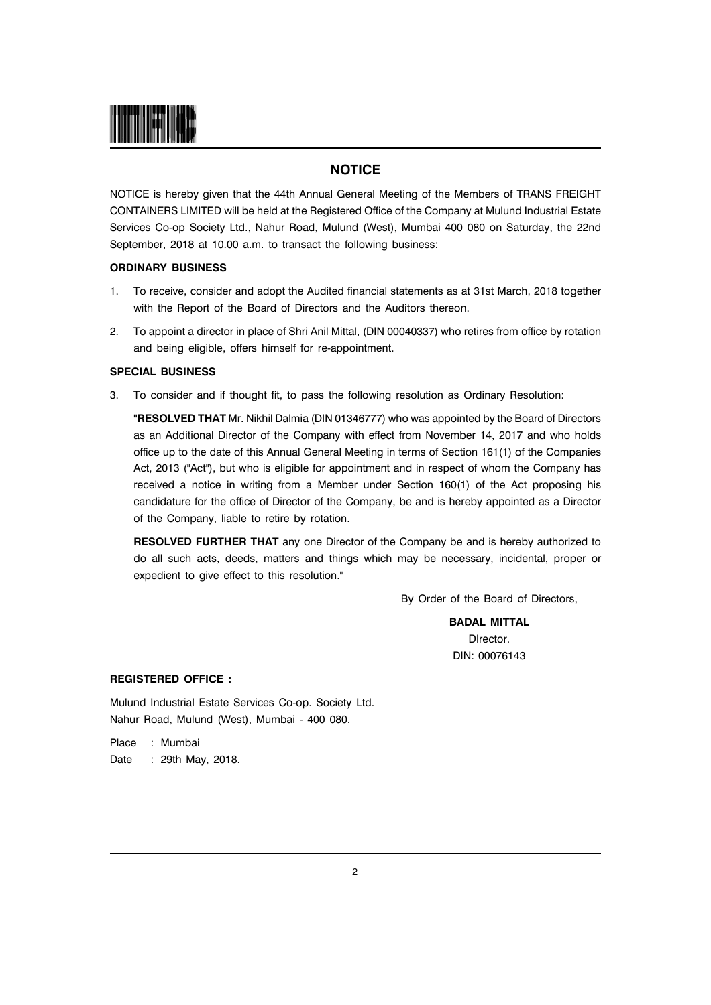

# **NOTICE**

NOTICE is hereby given that the 44th Annual General Meeting of the Members of TRANS FREIGHT CONTAINERS LIMITED will be held at the Registered Office of the Company at Mulund Industrial Estate Services Co-op Society Ltd., Nahur Road, Mulund (West), Mumbai 400 080 on Saturday, the 22nd September, 2018 at 10.00 a.m. to transact the following business:

## **ORDINARY BUSINESS**

- 1. To receive, consider and adopt the Audited financial statements as at 31st March, 2018 together with the Report of the Board of Directors and the Auditors thereon.
- 2. To appoint a director in place of Shri Anil Mittal, (DIN 00040337) who retires from office by rotation and being eligible, offers himself for re-appointment.

## **SPECIAL BUSINESS**

3. To consider and if thought fit, to pass the following resolution as Ordinary Resolution:

**"RESOLVED THAT** Mr. Nikhil Dalmia (DIN 01346777) who was appointed by the Board of Directors as an Additional Director of the Company with effect from November 14, 2017 and who holds office up to the date of this Annual General Meeting in terms of Section 161(1) of the Companies Act, 2013 ("Act"), but who is eligible for appointment and in respect of whom the Company has received a notice in writing from a Member under Section 160(1) of the Act proposing his candidature for the office of Director of the Company, be and is hereby appointed as a Director of the Company, liable to retire by rotation.

**RESOLVED FURTHER THAT** any one Director of the Company be and is hereby authorized to do all such acts, deeds, matters and things which may be necessary, incidental, proper or expedient to give effect to this resolution."

By Order of the Board of Directors,

**BADAL MITTAL** DIrector. DIN: 00076143

# **REGISTERED OFFICE :**

Mulund Industrial Estate Services Co-op. Society Ltd. Nahur Road, Mulund (West), Mumbai - 400 080.

Place : Mumbai Date : 29th May, 2018.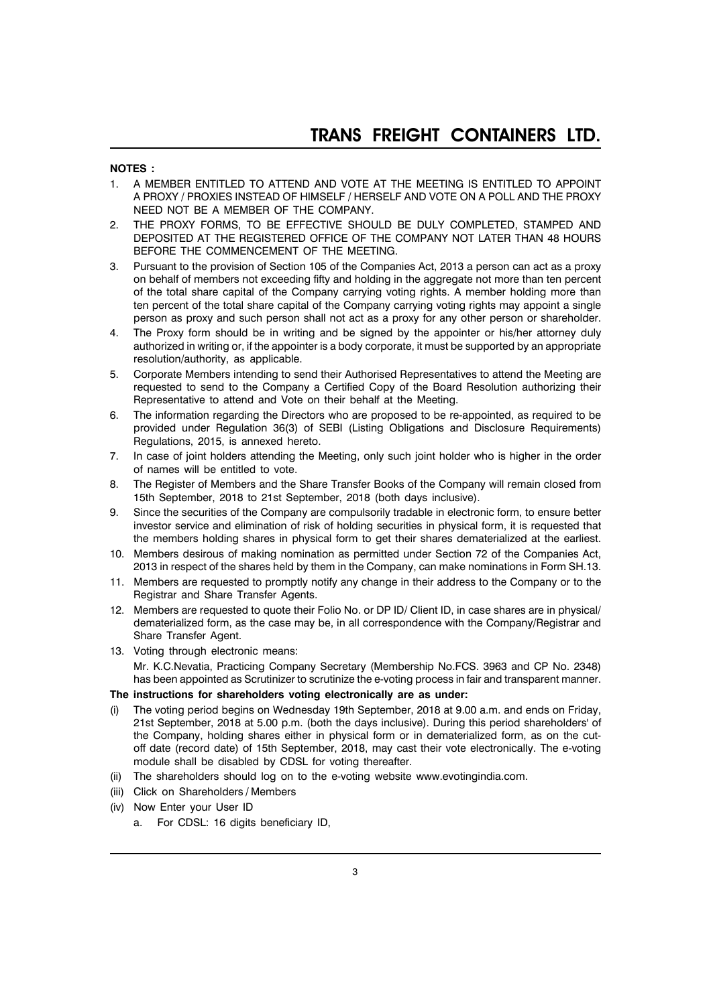## **NOTES :**

- 1. A MEMBER ENTITLED TO ATTEND AND VOTE AT THE MEETING IS ENTITLED TO APPOINT A PROXY / PROXIES INSTEAD OF HIMSELF / HERSELF AND VOTE ON A POLL AND THE PROXY NEED NOT BE A MEMBER OF THE COMPANY.
- 2. THE PROXY FORMS, TO BE EFFECTIVE SHOULD BE DULY COMPLETED, STAMPED AND DEPOSITED AT THE REGISTERED OFFICE OF THE COMPANY NOT LATER THAN 48 HOURS BEFORE THE COMMENCEMENT OF THE MEETING.
- 3. Pursuant to the provision of Section 105 of the Companies Act, 2013 a person can act as a proxy on behalf of members not exceeding fifty and holding in the aggregate not more than ten percent of the total share capital of the Company carrying voting rights. A member holding more than ten percent of the total share capital of the Company carrying voting rights may appoint a single person as proxy and such person shall not act as a proxy for any other person or shareholder.
- 4. The Proxy form should be in writing and be signed by the appointer or his/her attorney duly authorized in writing or, if the appointer is a body corporate, it must be supported by an appropriate resolution/authority, as applicable.
- 5. Corporate Members intending to send their Authorised Representatives to attend the Meeting are requested to send to the Company a Certified Copy of the Board Resolution authorizing their Representative to attend and Vote on their behalf at the Meeting.
- 6. The information regarding the Directors who are proposed to be re-appointed, as required to be provided under Regulation 36(3) of SEBI (Listing Obligations and Disclosure Requirements) Regulations, 2015, is annexed hereto.
- 7. In case of joint holders attending the Meeting, only such joint holder who is higher in the order of names will be entitled to vote.
- 8. The Register of Members and the Share Transfer Books of the Company will remain closed from 15th September, 2018 to 21st September, 2018 (both days inclusive).
- 9. Since the securities of the Company are compulsorily tradable in electronic form, to ensure better investor service and elimination of risk of holding securities in physical form, it is requested that the members holding shares in physical form to get their shares dematerialized at the earliest.
- 10. Members desirous of making nomination as permitted under Section 72 of the Companies Act, 2013 in respect of the shares held by them in the Company, can make nominations in Form SH.13.
- 11. Members are requested to promptly notify any change in their address to the Company or to the Registrar and Share Transfer Agents.
- 12. Members are requested to quote their Folio No. or DP ID/ Client ID, in case shares are in physical/ dematerialized form, as the case may be, in all correspondence with the Company/Registrar and Share Transfer Agent.
- 13. Voting through electronic means: Mr. K.C.Nevatia, Practicing Company Secretary (Membership No.FCS. 3963 and CP No. 2348) has been appointed as Scrutinizer to scrutinize the e-voting process in fair and transparent manner.

## **The instructions for shareholders voting electronically are as under:**

- The voting period begins on Wednesday 19th September, 2018 at 9.00 a.m. and ends on Friday, 21st September, 2018 at 5.00 p.m. (both the days inclusive). During this period shareholders' of the Company, holding shares either in physical form or in dematerialized form, as on the cutoff date (record date) of 15th September, 2018, may cast their vote electronically. The e-voting module shall be disabled by CDSL for voting thereafter.
- (ii) The shareholders should log on to the e-voting website www.evotingindia.com.
- (iii) Click on Shareholders / Members
- (iv) Now Enter your User ID
	- a. For CDSL: 16 digits beneficiary ID,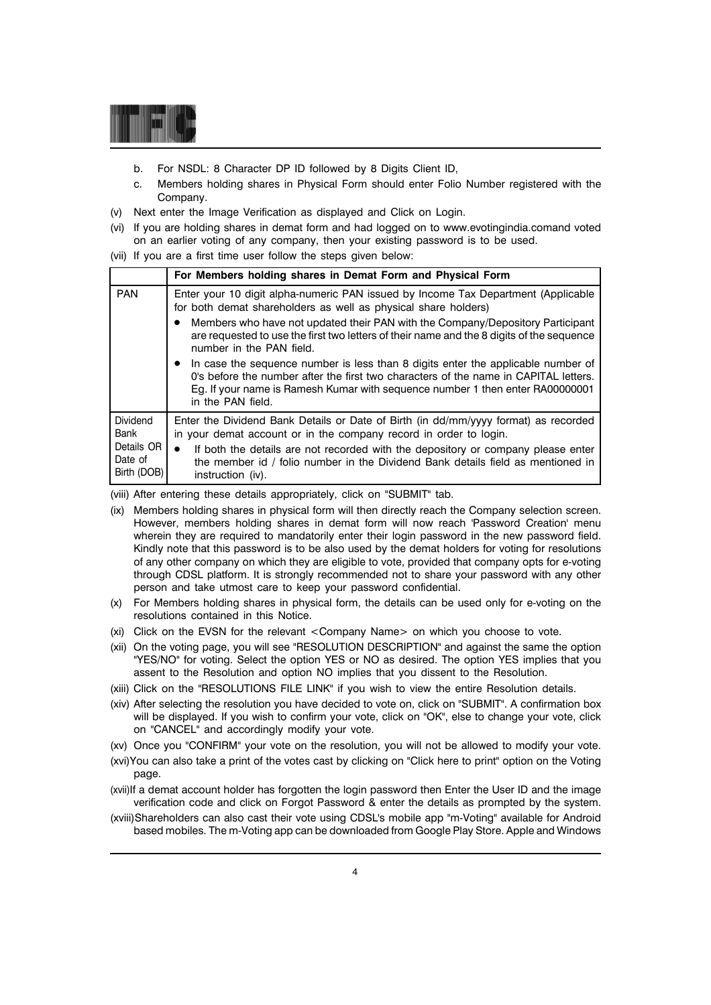

- b. For NSDL: 8 Character DP ID followed by 8 Digits Client ID,
- c. Members holding shares in Physical Form should enter Folio Number registered with the Company.
- (v) Next enter the Image Verification as displayed and Click on Login.
- (vi) If you are holding shares in demat form and had logged on to www.evotingindia.comand voted on an earlier voting of any company, then your existing password is to be used.
- (vii) If you are a first time user follow the steps given below:

|                                      | For Members holding shares in Demat Form and Physical Form                                                                                                                                                                                                                       |
|--------------------------------------|----------------------------------------------------------------------------------------------------------------------------------------------------------------------------------------------------------------------------------------------------------------------------------|
| <b>PAN</b>                           | Enter your 10 digit alpha-numeric PAN issued by Income Tax Department (Applicable<br>for both demat shareholders as well as physical share holders)                                                                                                                              |
|                                      | Members who have not updated their PAN with the Company/Depository Participant<br>$\bullet$<br>are requested to use the first two letters of their name and the 8 digits of the sequence<br>number in the PAN field.                                                             |
|                                      | • In case the sequence number is less than 8 digits enter the applicable number of<br>O's before the number after the first two characters of the name in CAPITAL letters.<br>Eq. If your name is Ramesh Kumar with sequence number 1 then enter RA00000001<br>in the PAN field. |
| Dividend<br>Bank                     | Enter the Dividend Bank Details or Date of Birth (in dd/mm/yyyy format) as recorded<br>in your demat account or in the company record in order to login.                                                                                                                         |
| Details OR<br>Date of<br>Birth (DOB) | If both the details are not recorded with the depository or company please enter<br>$\bullet$<br>the member id / folio number in the Dividend Bank details field as mentioned in<br>instruction (iv).                                                                            |

(viii) After entering these details appropriately, click on "SUBMIT" tab.

- (ix) Members holding shares in physical form will then directly reach the Company selection screen. However, members holding shares in demat form will now reach 'Password Creation' menu wherein they are required to mandatorily enter their login password in the new password field. Kindly note that this password is to be also used by the demat holders for voting for resolutions of any other company on which they are eligible to vote, provided that company opts for e-voting through CDSL platform. It is strongly recommended not to share your password with any other person and take utmost care to keep your password confidential.
- (x) For Members holding shares in physical form, the details can be used only for e-voting on the resolutions contained in this Notice.
- (xi) Click on the EVSN for the relevant <Company Name> on which you choose to vote.
- (xii) On the voting page, you will see "RESOLUTION DESCRIPTION" and against the same the option "YES/NO" for voting. Select the option YES or NO as desired. The option YES implies that you assent to the Resolution and option NO implies that you dissent to the Resolution.
- (xiii) Click on the "RESOLUTIONS FILE LINK" if you wish to view the entire Resolution details.
- (xiv) After selecting the resolution you have decided to vote on, click on "SUBMIT". A confirmation box will be displayed. If you wish to confirm your vote, click on "OK", else to change your vote, click on "CANCEL" and accordingly modify your vote.
- (xv) Once you "CONFIRM" your vote on the resolution, you will not be allowed to modify your vote.
- (xvi)You can also take a print of the votes cast by clicking on "Click here to print" option on the Voting page.
- (xvii)If a demat account holder has forgotten the login password then Enter the User ID and the image verification code and click on Forgot Password & enter the details as prompted by the system.
- (xviii)Shareholders can also cast their vote using CDSL's mobile app "m-Voting" available for Android based mobiles. The m-Voting app can be downloaded from Google Play Store. Apple and Windows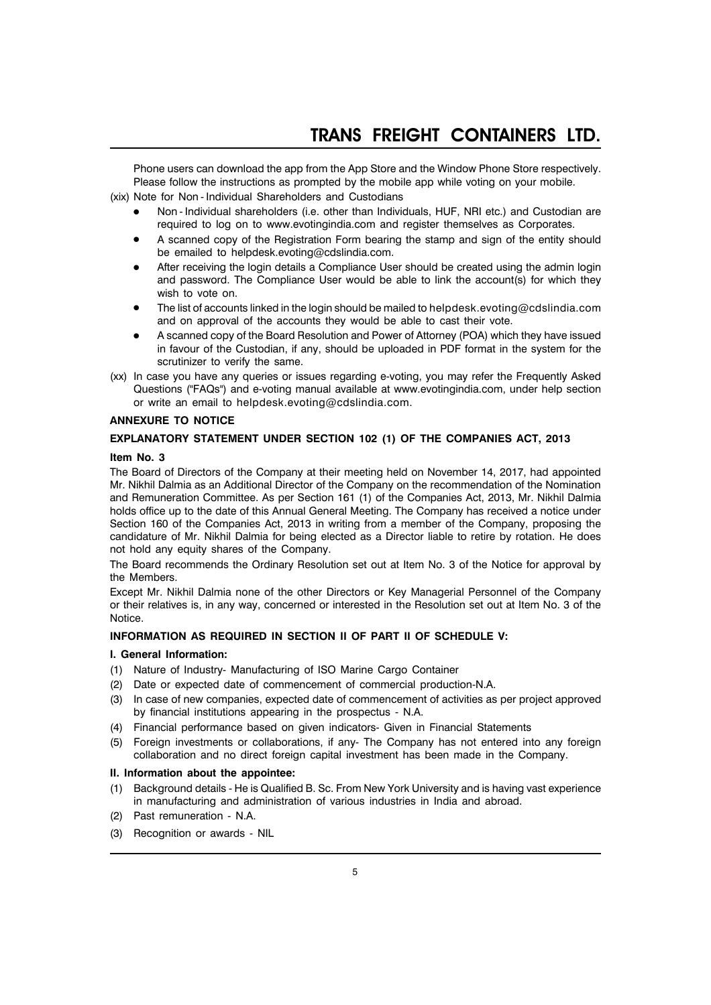Phone users can download the app from the App Store and the Window Phone Store respectively. Please follow the instructions as prompted by the mobile app while voting on your mobile.

(xix) Note for Non - Individual Shareholders and Custodians

- Non Individual shareholders (i.e. other than Individuals, HUF, NRI etc.) and Custodian are required to log on to www.evotingindia.com and register themselves as Corporates.
- A scanned copy of the Registration Form bearing the stamp and sign of the entity should be emailed to helpdesk.evoting@cdslindia.com.
- After receiving the login details a Compliance User should be created using the admin login and password. The Compliance User would be able to link the account(s) for which they wish to vote on.
- The list of accounts linked in the login should be mailed to helpdesk.evoting@cdslindia.com and on approval of the accounts they would be able to cast their vote.
- A scanned copy of the Board Resolution and Power of Attorney (POA) which they have issued in favour of the Custodian, if any, should be uploaded in PDF format in the system for the scrutinizer to verify the same.
- (xx) In case you have any queries or issues regarding e-voting, you may refer the Frequently Asked Questions ("FAQs") and e-voting manual available at www.evotingindia.com, under help section or write an email to helpdesk.evoting@cdslindia.com.

## **ANNEXURE TO NOTICE**

## **EXPLANATORY STATEMENT UNDER SECTION 102 (1) OF THE COMPANIES ACT, 2013**

#### **Item No. 3**

The Board of Directors of the Company at their meeting held on November 14, 2017, had appointed Mr. Nikhil Dalmia as an Additional Director of the Company on the recommendation of the Nomination and Remuneration Committee. As per Section 161 (1) of the Companies Act, 2013, Mr. Nikhil Dalmia holds office up to the date of this Annual General Meeting. The Company has received a notice under Section 160 of the Companies Act, 2013 in writing from a member of the Company, proposing the candidature of Mr. Nikhil Dalmia for being elected as a Director liable to retire by rotation. He does not hold any equity shares of the Company.

The Board recommends the Ordinary Resolution set out at Item No. 3 of the Notice for approval by the Members.

Except Mr. Nikhil Dalmia none of the other Directors or Key Managerial Personnel of the Company or their relatives is, in any way, concerned or interested in the Resolution set out at Item No. 3 of the Notice.

## **INFORMATION AS REQUIRED IN SECTION II OF PART II OF SCHEDULE V:**

## **I. General Information:**

- (1) Nature of Industry- Manufacturing of ISO Marine Cargo Container
- (2) Date or expected date of commencement of commercial production-N.A.
- (3) In case of new companies, expected date of commencement of activities as per project approved by financial institutions appearing in the prospectus - N.A.
- (4) Financial performance based on given indicators- Given in Financial Statements
- (5) Foreign investments or collaborations, if any- The Company has not entered into any foreign collaboration and no direct foreign capital investment has been made in the Company.

## **II. Information about the appointee:**

- (1) Background details He is Qualified B. Sc. From New York University and is having vast experience in manufacturing and administration of various industries in India and abroad.
- (2) Past remuneration N.A.
- (3) Recognition or awards NIL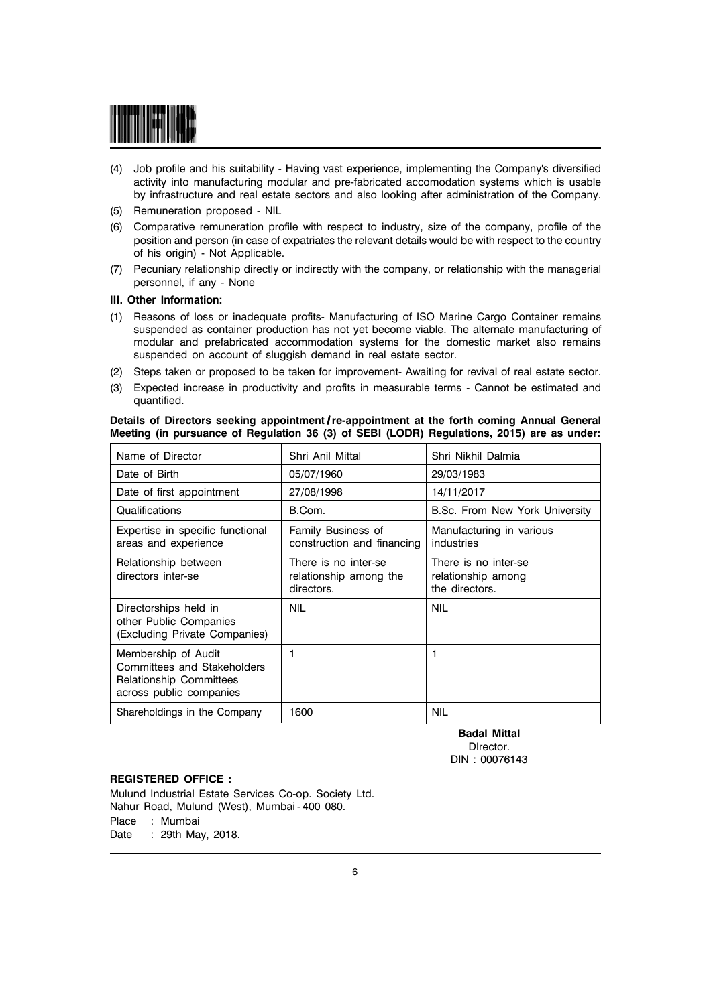

- (4) Job profile and his suitability Having vast experience, implementing the Company's diversified activity into manufacturing modular and pre-fabricated accomodation systems which is usable by infrastructure and real estate sectors and also looking after administration of the Company.
- (5) Remuneration proposed NIL
- (6) Comparative remuneration profile with respect to industry, size of the company, profile of the position and person (in case of expatriates the relevant details would be with respect to the country of his origin) - Not Applicable.
- (7) Pecuniary relationship directly or indirectly with the company, or relationship with the managerial personnel, if any - None

#### **III. Other Information:**

- (1) Reasons of loss or inadequate profits- Manufacturing of ISO Marine Cargo Container remains suspended as container production has not yet become viable. The alternate manufacturing of modular and prefabricated accommodation systems for the domestic market also remains suspended on account of sluggish demand in real estate sector.
- (2) Steps taken or proposed to be taken for improvement- Awaiting for revival of real estate sector.
- (3) Expected increase in productivity and profits in measurable terms Cannot be estimated and quantified.

## **Details of Directors seeking appointment** */* **re-appointment at the forth coming Annual General Meeting (in pursuance of Regulation 36 (3) of SEBI (LODR) Regulations, 2015) are as under:**

| Name of Director                                                                                                       | Shri Anil Mittal                                             | Shri Nikhil Dalmia                                           |
|------------------------------------------------------------------------------------------------------------------------|--------------------------------------------------------------|--------------------------------------------------------------|
| Date of Birth                                                                                                          | 05/07/1960                                                   | 29/03/1983                                                   |
| Date of first appointment                                                                                              | 27/08/1998                                                   | 14/11/2017                                                   |
| Qualifications                                                                                                         | B.Com.                                                       | B.Sc. From New York University                               |
| Expertise in specific functional<br>areas and experience                                                               | Family Business of<br>construction and financing             | Manufacturing in various<br>industries                       |
| Relationship between<br>directors inter-se                                                                             | There is no inter-se<br>relationship among the<br>directors. | There is no inter-se<br>relationship among<br>the directors. |
| Directorships held in<br>other Public Companies<br>(Excluding Private Companies)                                       | <b>NIL</b>                                                   | <b>NIL</b>                                                   |
| Membership of Audit<br><b>Committees and Stakeholders</b><br><b>Relationship Committees</b><br>across public companies |                                                              |                                                              |
| Shareholdings in the Company                                                                                           | 1600                                                         | <b>NIL</b>                                                   |

**Badal Mittal** DIrector. DIN : 00076143

#### **REGISTERED OFFICE :**

Mulund Industrial Estate Services Co-op. Society Ltd. Nahur Road, Mulund (West), Mumbai - 400 080. Place : Mumbai

Date : 29th May, 2018.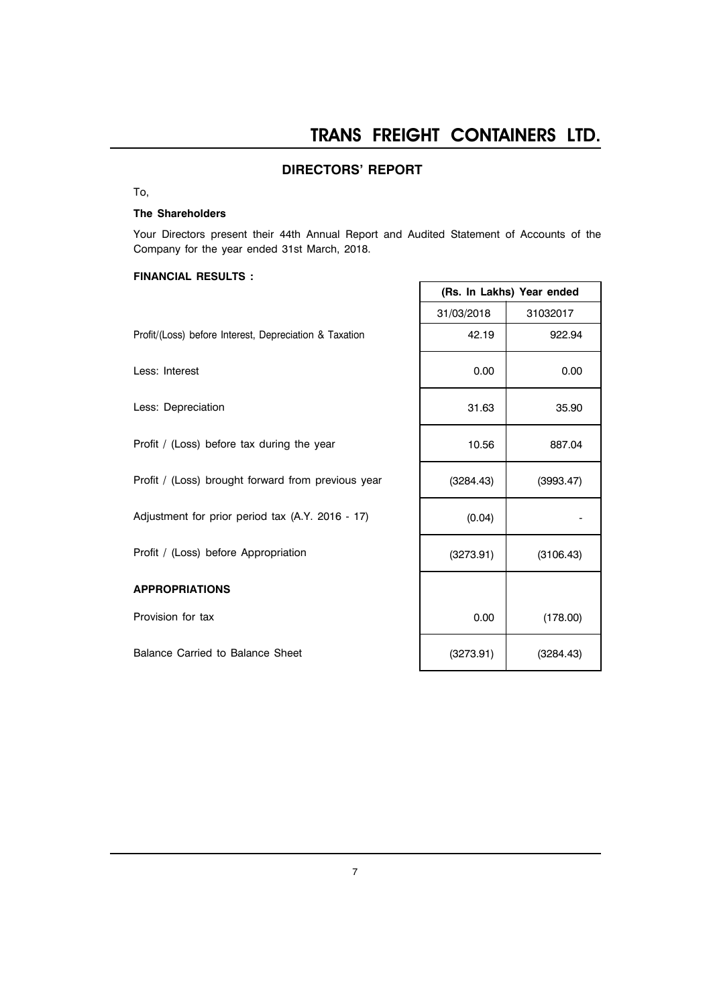**(Rs. In Lakhs) Year ended**

# **DIRECTORS' REPORT**

To,

#### **The Shareholders**

Your Directors present their 44th Annual Report and Audited Statement of Accounts of the Company for the year ended 31st March, 2018.

# **FINANCIAL RESULTS :**

|                                                        | 31/03/2018 | 31032017  |
|--------------------------------------------------------|------------|-----------|
| Profit/(Loss) before Interest, Depreciation & Taxation | 42.19      | 922.94    |
| Less: Interest                                         | 0.00       | 0.00      |
| Less: Depreciation                                     | 31.63      | 35.90     |
| Profit / (Loss) before tax during the year             | 10.56      | 887.04    |
| Profit / (Loss) brought forward from previous year     | (3284.43)  | (3993.47) |
| Adjustment for prior period tax (A.Y. 2016 - 17)       | (0.04)     |           |
| Profit / (Loss) before Appropriation                   | (3273.91)  | (3106.43) |
| <b>APPROPRIATIONS</b>                                  |            |           |
| Provision for tax                                      | 0.00       | (178.00)  |
| Balance Carried to Balance Sheet                       | (3273.91)  | (3284.43) |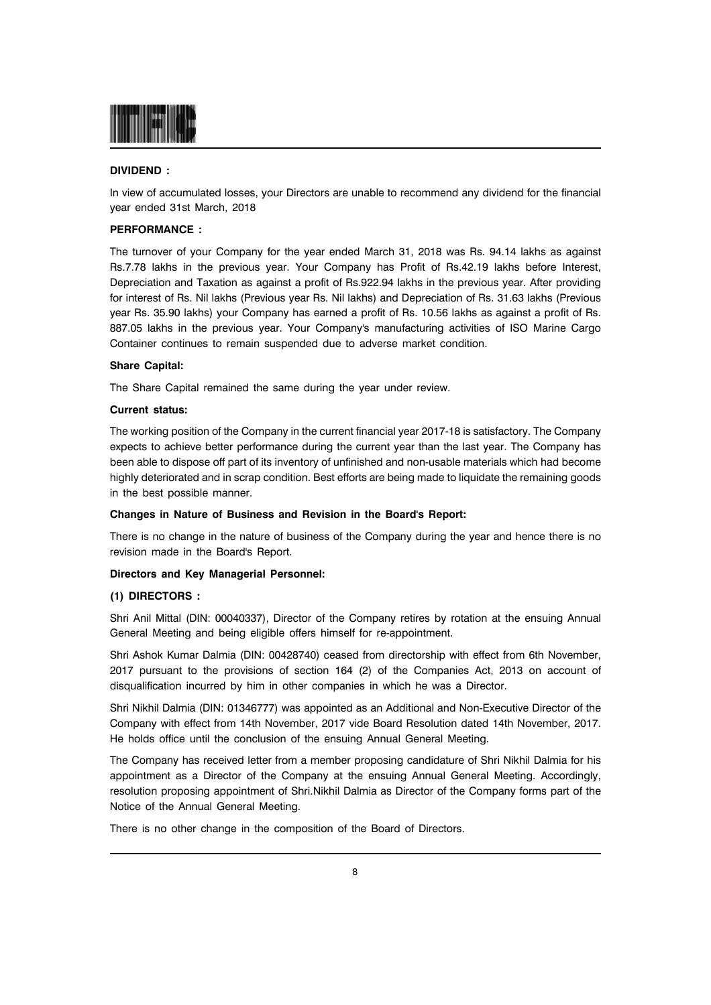

# **DIVIDEND :**

In view of accumulated losses, your Directors are unable to recommend any dividend for the financial year ended 31st March, 2018

## **PERFORMANCE :**

The turnover of your Company for the year ended March 31, 2018 was Rs. 94.14 lakhs as against Rs.7.78 lakhs in the previous year. Your Company has Profit of Rs.42.19 lakhs before Interest, Depreciation and Taxation as against a profit of Rs.922.94 lakhs in the previous year. After providing for interest of Rs. Nil lakhs (Previous year Rs. Nil lakhs) and Depreciation of Rs. 31.63 lakhs (Previous year Rs. 35.90 lakhs) your Company has earned a profit of Rs. 10.56 lakhs as against a profit of Rs. 887.05 lakhs in the previous year. Your Company's manufacturing activities of ISO Marine Cargo Container continues to remain suspended due to adverse market condition.

## **Share Capital:**

The Share Capital remained the same during the year under review.

#### **Current status:**

The working position of the Company in the current financial year 2017-18 is satisfactory. The Company expects to achieve better performance during the current year than the last year. The Company has been able to dispose off part of its inventory of unfinished and non-usable materials which had become highly deteriorated and in scrap condition. Best efforts are being made to liquidate the remaining goods in the best possible manner.

#### **Changes in Nature of Business and Revision in the Board's Report:**

There is no change in the nature of business of the Company during the year and hence there is no revision made in the Board's Report.

## **Directors and Key Managerial Personnel:**

## **(1) DIRECTORS :**

Shri Anil Mittal (DIN: 00040337), Director of the Company retires by rotation at the ensuing Annual General Meeting and being eligible offers himself for re-appointment.

Shri Ashok Kumar Dalmia (DIN: 00428740) ceased from directorship with effect from 6th November, 2017 pursuant to the provisions of section 164 (2) of the Companies Act, 2013 on account of disqualification incurred by him in other companies in which he was a Director.

Shri Nikhil Dalmia (DIN: 01346777) was appointed as an Additional and Non-Executive Director of the Company with effect from 14th November, 2017 vide Board Resolution dated 14th November, 2017. He holds office until the conclusion of the ensuing Annual General Meeting.

The Company has received letter from a member proposing candidature of Shri Nikhil Dalmia for his appointment as a Director of the Company at the ensuing Annual General Meeting. Accordingly, resolution proposing appointment of Shri.Nikhil Dalmia as Director of the Company forms part of the Notice of the Annual General Meeting.

There is no other change in the composition of the Board of Directors.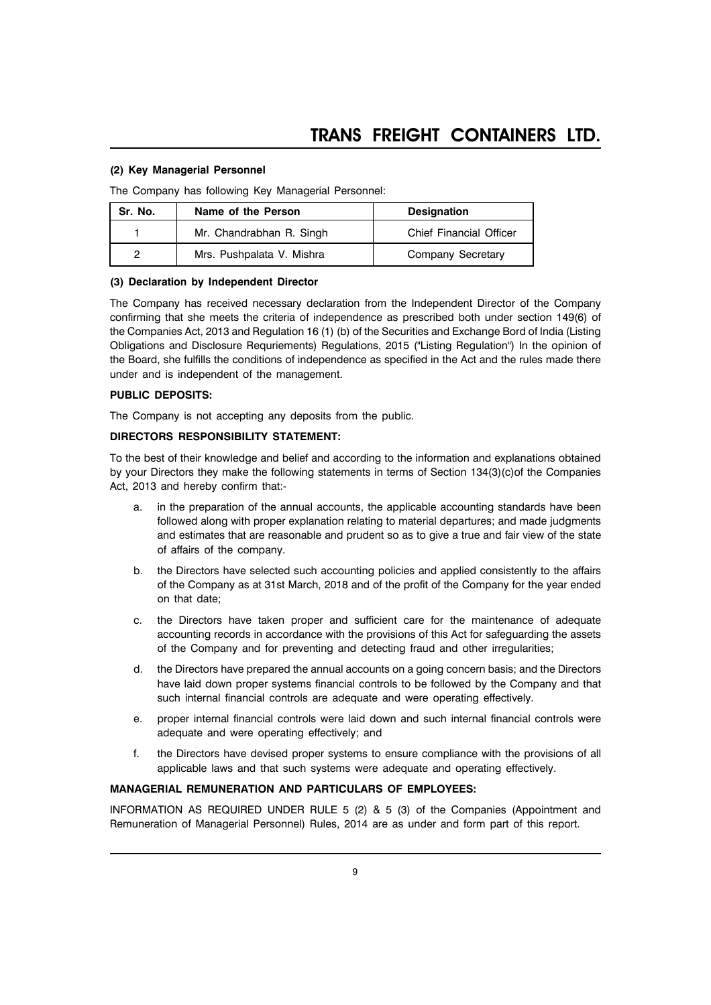## **(2) Key Managerial Personnel**

The Company has following Key Managerial Personnel:

| Sr. No. | Name of the Person        | <b>Designation</b>       |
|---------|---------------------------|--------------------------|
|         | Mr. Chandrabhan R. Singh  | Chief Financial Officer  |
|         | Mrs. Pushpalata V. Mishra | <b>Company Secretary</b> |

## **(3) Declaration by Independent Director**

The Company has received necessary declaration from the Independent Director of the Company confirming that she meets the criteria of independence as prescribed both under section 149(6) of the Companies Act, 2013 and Regulation 16 (1) (b) of the Securities and Exchange Bord of India (Listing Obligations and Disclosure Requriements) Regulations, 2015 ("Listing Regulation") In the opinion of the Board, she fulfills the conditions of independence as specified in the Act and the rules made there under and is independent of the management.

## **PUBLIC DEPOSITS:**

The Company is not accepting any deposits from the public.

## **DIRECTORS RESPONSIBILITY STATEMENT:**

To the best of their knowledge and belief and according to the information and explanations obtained by your Directors they make the following statements in terms of Section 134(3)(c)of the Companies Act, 2013 and hereby confirm that:-

- a. in the preparation of the annual accounts, the applicable accounting standards have been followed along with proper explanation relating to material departures; and made judgments and estimates that are reasonable and prudent so as to give a true and fair view of the state of affairs of the company.
- b. the Directors have selected such accounting policies and applied consistently to the affairs of the Company as at 31st March, 2018 and of the profit of the Company for the year ended on that date;
- c. the Directors have taken proper and sufficient care for the maintenance of adequate accounting records in accordance with the provisions of this Act for safeguarding the assets of the Company and for preventing and detecting fraud and other irregularities;
- d. the Directors have prepared the annual accounts on a going concern basis; and the Directors have laid down proper systems financial controls to be followed by the Company and that such internal financial controls are adequate and were operating effectively.
- e. proper internal financial controls were laid down and such internal financial controls were adequate and were operating effectively; and
- f. the Directors have devised proper systems to ensure compliance with the provisions of all applicable laws and that such systems were adequate and operating effectively.

# **MANAGERIAL REMUNERATION AND PARTICULARS OF EMPLOYEES:**

INFORMATION AS REQUIRED UNDER RULE 5 (2) & 5 (3) of the Companies (Appointment and Remuneration of Managerial Personnel) Rules, 2014 are as under and form part of this report.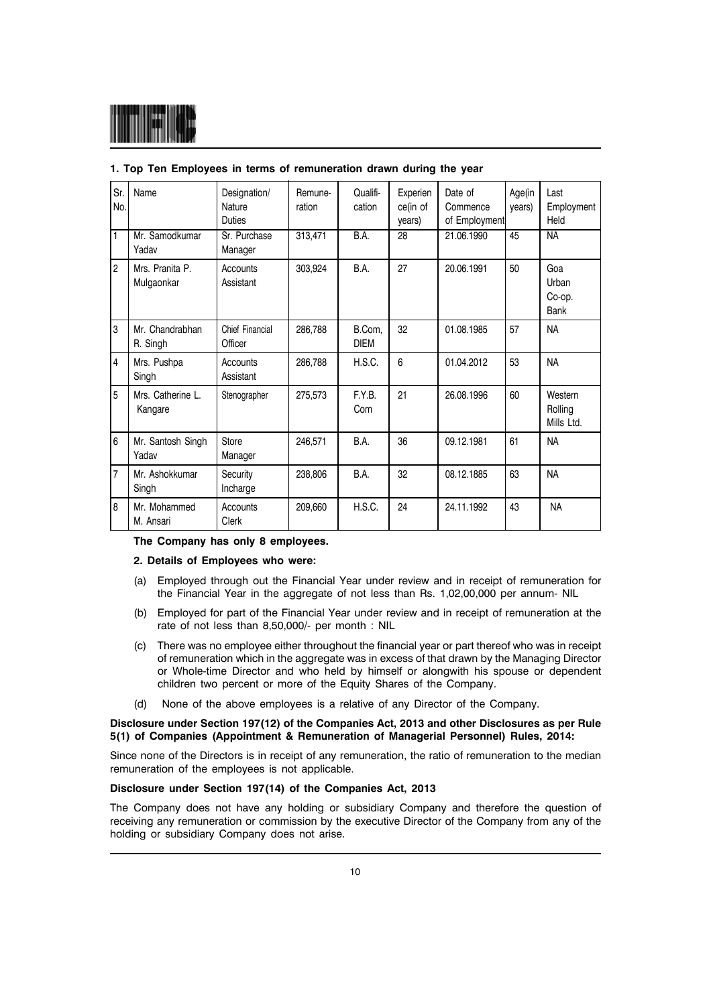

| Sr.<br>No.     | Name                          | Designation/<br>Nature<br><b>Duties</b> | Remune-<br>ration | Qualifi-<br>cation    | Experien<br>ce(in of<br>years) | Date of<br>Commence<br>of Employment | Age(in<br>years) | Last<br>Employment<br>Held       |
|----------------|-------------------------------|-----------------------------------------|-------------------|-----------------------|--------------------------------|--------------------------------------|------------------|----------------------------------|
| 1              | Mr. Samodkumar<br>Yadav       | Sr. Purchase<br>Manager                 | 313,471           | <b>B.A.</b>           | 28                             | 21.06.1990                           | 45               | <b>NA</b>                        |
| $\overline{2}$ | Mrs. Pranita P.<br>Mulgaonkar | Accounts<br>Assistant                   | 303,924           | B.A.                  | 27                             | 20.06.1991                           | 50               | Goa<br>Urban<br>Co-op.<br>Bank   |
| 3              | Mr. Chandrabhan<br>R. Singh   | Chief Financial<br>Officer              | 286,788           | B.Com,<br><b>DIEM</b> | 32                             | 01.08.1985                           | 57               | <b>NA</b>                        |
| 4              | Mrs. Pushpa<br>Singh          | Accounts<br>Assistant                   | 286,788           | H.S.C.                | 6                              | 01.04.2012                           | 53               | <b>NA</b>                        |
| 5              | Mrs. Catherine L.<br>Kangare  | Stenographer                            | 275,573           | F.Y.B.<br>Com         | 21                             | 26.08.1996                           | 60               | Western<br>Rolling<br>Mills Ltd. |
| 6              | Mr. Santosh Singh<br>Yadav    | <b>Store</b><br>Manager                 | 246,571           | B.A.                  | 36                             | 09.12.1981                           | 61               | <b>NA</b>                        |
| $\overline{7}$ | Mr. Ashokkumar<br>Singh       | Security<br>Incharge                    | 238,806           | <b>B.A.</b>           | 32                             | 08.12.1885                           | 63               | <b>NA</b>                        |
| 8              | Mr. Mohammed<br>M. Ansari     | Accounts<br>Clerk                       | 209,660           | H.S.C.                | 24                             | 24.11.1992                           | 43               | <b>NA</b>                        |

#### **1. Top Ten Employees in terms of remuneration drawn during the year**

#### **The Company has only 8 employees.**

#### **2. Details of Employees who were:**

- (a) Employed through out the Financial Year under review and in receipt of remuneration for the Financial Year in the aggregate of not less than Rs. 1,02,00,000 per annum- NIL
- (b) Employed for part of the Financial Year under review and in receipt of remuneration at the rate of not less than 8,50,000/- per month : NIL
- (c) There was no employee either throughout the financial year or part thereof who was in receipt of remuneration which in the aggregate was in excess of that drawn by the Managing Director or Whole-time Director and who held by himself or alongwith his spouse or dependent children two percent or more of the Equity Shares of the Company.
- (d) None of the above employees is a relative of any Director of the Company.

#### **Disclosure under Section 197(12) of the Companies Act, 2013 and other Disclosures as per Rule 5(1) of Companies (Appointment & Remuneration of Managerial Personnel) Rules, 2014:**

Since none of the Directors is in receipt of any remuneration, the ratio of remuneration to the median remuneration of the employees is not applicable.

#### **Disclosure under Section 197(14) of the Companies Act, 2013**

The Company does not have any holding or subsidiary Company and therefore the question of receiving any remuneration or commission by the executive Director of the Company from any of the holding or subsidiary Company does not arise.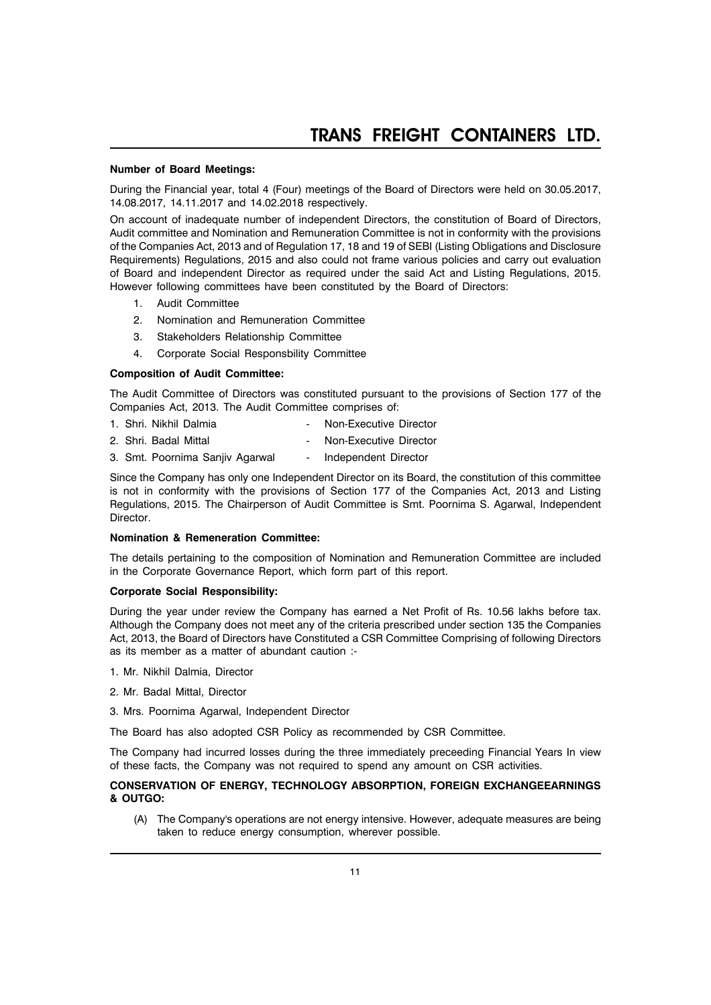#### **Number of Board Meetings:**

During the Financial year, total 4 (Four) meetings of the Board of Directors were held on 30.05.2017, 14.08.2017, 14.11.2017 and 14.02.2018 respectively.

On account of inadequate number of independent Directors, the constitution of Board of Directors, Audit committee and Nomination and Remuneration Committee is not in conformity with the provisions of the Companies Act, 2013 and of Regulation 17, 18 and 19 of SEBI (Listing Obligations and Disclosure Requirements) Regulations, 2015 and also could not frame various policies and carry out evaluation of Board and independent Director as required under the said Act and Listing Regulations, 2015. However following committees have been constituted by the Board of Directors:

- 1. Audit Committee
- 2. Nomination and Remuneration Committee
- 3. Stakeholders Relationship Committee
- 4. Corporate Social Responsbility Committee

#### **Composition of Audit Committee:**

The Audit Committee of Directors was constituted pursuant to the provisions of Section 177 of the Companies Act, 2013. The Audit Committee comprises of:

- 1. Shri. Nikhil Dalmia  **Non-Executive Director**
- 2. Shri. Badal Mittal Non-Executive Director
- 3. Smt. Poornima Sanjiv Agarwal Independent Director

Since the Company has only one Independent Director on its Board, the constitution of this committee is not in conformity with the provisions of Section 177 of the Companies Act, 2013 and Listing Regulations, 2015. The Chairperson of Audit Committee is Smt. Poornima S. Agarwal, Independent Director.

#### **Nomination & Remeneration Committee:**

The details pertaining to the composition of Nomination and Remuneration Committee are included in the Corporate Governance Report, which form part of this report.

#### **Corporate Social Responsibility:**

During the year under review the Company has earned a Net Profit of Rs. 10.56 lakhs before tax. Although the Company does not meet any of the criteria prescribed under section 135 the Companies Act, 2013, the Board of Directors have Constituted a CSR Committee Comprising of following Directors as its member as a matter of abundant caution :-

- 1. Mr. Nikhil Dalmia, Director
- 2. Mr. Badal Mittal, Director
- 3. Mrs. Poornima Agarwal, Independent Director

The Board has also adopted CSR Policy as recommended by CSR Committee.

The Company had incurred losses during the three immediately preceeding Financial Years In view of these facts, the Company was not required to spend any amount on CSR activities.

## **CONSERVATION OF ENERGY, TECHNOLOGY ABSORPTION, FOREIGN EXCHANGEEARNINGS & OUTGO:**

(A) The Company's operations are not energy intensive. However, adequate measures are being taken to reduce energy consumption, wherever possible.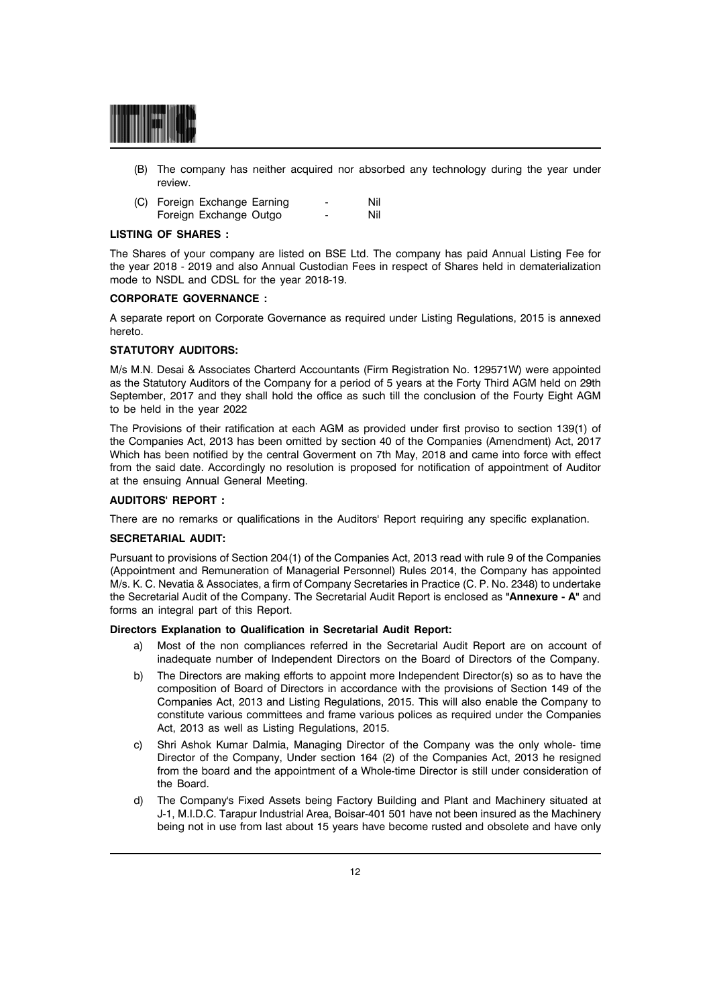

(B) The company has neither acquired nor absorbed any technology during the year under review.

|  | (C) Foreign Exchange Earning |  | Nil |
|--|------------------------------|--|-----|
|  | Foreign Exchange Outgo       |  | Nil |

#### **LISTING OF SHARES :**

The Shares of your company are listed on BSE Ltd. The company has paid Annual Listing Fee for the year 2018 - 2019 and also Annual Custodian Fees in respect of Shares held in dematerialization mode to NSDL and CDSL for the year 2018-19.

#### **CORPORATE GOVERNANCE :**

A separate report on Corporate Governance as required under Listing Regulations, 2015 is annexed hereto.

## **STATUTORY AUDITORS:**

M/s M.N. Desai & Associates Charterd Accountants (Firm Registration No. 129571W) were appointed as the Statutory Auditors of the Company for a period of 5 years at the Forty Third AGM held on 29th September, 2017 and they shall hold the office as such till the conclusion of the Fourty Eight AGM to be held in the year 2022

The Provisions of their ratification at each AGM as provided under first proviso to section 139(1) of the Companies Act, 2013 has been omitted by section 40 of the Companies (Amendment) Act, 2017 Which has been notified by the central Goverment on 7th May, 2018 and came into force with effect from the said date. Accordingly no resolution is proposed for notification of appointment of Auditor at the ensuing Annual General Meeting.

## **AUDITORS' REPORT :**

There are no remarks or qualifications in the Auditors' Report requiring any specific explanation.

#### **SECRETARIAL AUDIT:**

Pursuant to provisions of Section 204(1) of the Companies Act, 2013 read with rule 9 of the Companies (Appointment and Remuneration of Managerial Personnel) Rules 2014, the Company has appointed M/s. K. C. Nevatia & Associates, a firm of Company Secretaries in Practice (C. P. No. 2348) to undertake the Secretarial Audit of the Company. The Secretarial Audit Report is enclosed as **"Annexure - A"** and forms an integral part of this Report.

#### **Directors Explanation to Qualification in Secretarial Audit Report:**

- a) Most of the non compliances referred in the Secretarial Audit Report are on account of inadequate number of Independent Directors on the Board of Directors of the Company.
- b) The Directors are making efforts to appoint more Independent Director(s) so as to have the composition of Board of Directors in accordance with the provisions of Section 149 of the Companies Act, 2013 and Listing Regulations, 2015. This will also enable the Company to constitute various committees and frame various polices as required under the Companies Act, 2013 as well as Listing Regulations, 2015.
- c) Shri Ashok Kumar Dalmia, Managing Director of the Company was the only whole- time Director of the Company, Under section 164 (2) of the Companies Act, 2013 he resigned from the board and the appointment of a Whole-time Director is still under consideration of the Board.
- d) The Company's Fixed Assets being Factory Building and Plant and Machinery situated at J-1, M.I.D.C. Tarapur Industrial Area, Boisar-401 501 have not been insured as the Machinery being not in use from last about 15 years have become rusted and obsolete and have only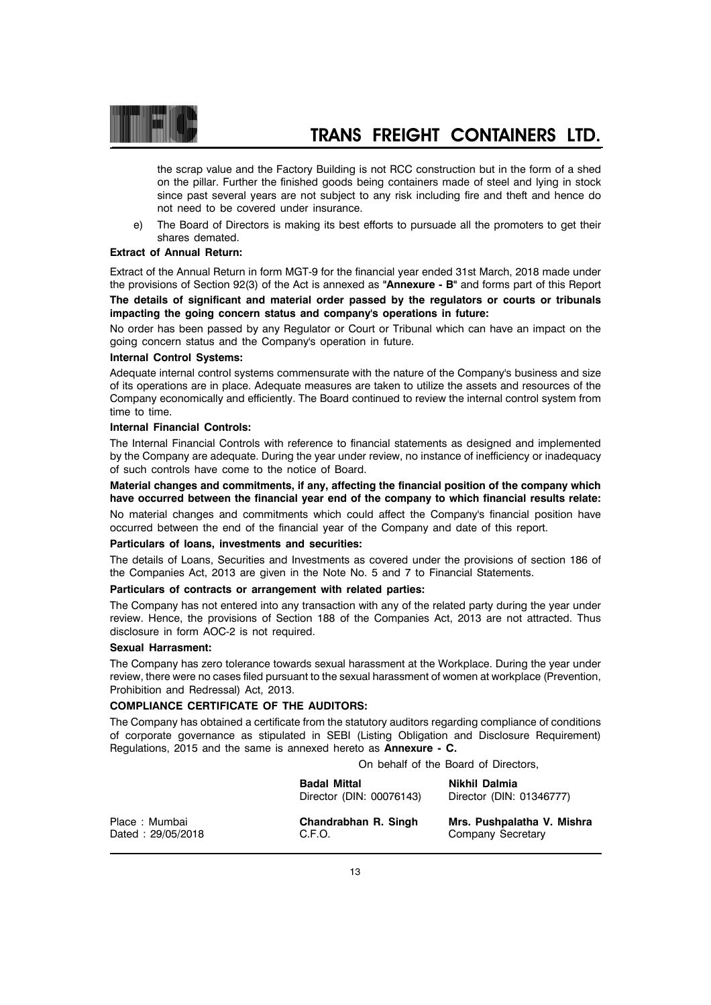

the scrap value and the Factory Building is not RCC construction but in the form of a shed on the pillar. Further the finished goods being containers made of steel and lying in stock since past several years are not subject to any risk including fire and theft and hence do not need to be covered under insurance.

e) The Board of Directors is making its best efforts to pursuade all the promoters to get their shares demated.

## **Extract of Annual Return:**

Extract of the Annual Return in form MGT-9 for the financial year ended 31st March, 2018 made under the provisions of Section 92(3) of the Act is annexed as **"Annexure - B"** and forms part of this Report **The details of significant and material order passed by the regulators or courts or tribunals impacting the going concern status and company's operations in future:**

No order has been passed by any Regulator or Court or Tribunal which can have an impact on the going concern status and the Company's operation in future.

#### **Internal Control Systems:**

Adequate internal control systems commensurate with the nature of the Company's business and size of its operations are in place. Adequate measures are taken to utilize the assets and resources of the Company economically and efficiently. The Board continued to review the internal control system from time to time.

#### **Internal Financial Controls:**

The Internal Financial Controls with reference to financial statements as designed and implemented by the Company are adequate. During the year under review, no instance of inefficiency or inadequacy of such controls have come to the notice of Board.

#### **Material changes and commitments, if any, affecting the financial position of the company which have occurred between the financial year end of the company to which financial results relate:**

No material changes and commitments which could affect the Company's financial position have occurred between the end of the financial year of the Company and date of this report.

## **Particulars of loans, investments and securities:**

The details of Loans, Securities and Investments as covered under the provisions of section 186 of the Companies Act, 2013 are given in the Note No. 5 and 7 to Financial Statements.

#### **Particulars of contracts or arrangement with related parties:**

The Company has not entered into any transaction with any of the related party during the year under review. Hence, the provisions of Section 188 of the Companies Act, 2013 are not attracted. Thus disclosure in form AOC-2 is not required.

# **Sexual Harrasment:**

The Company has zero tolerance towards sexual harassment at the Workplace. During the year under review, there were no cases filed pursuant to the sexual harassment of women at workplace (Prevention, Prohibition and Redressal) Act, 2013.

#### **COMPLIANCE CERTIFICATE OF THE AUDITORS:**

The Company has obtained a certificate from the statutory auditors regarding compliance of conditions of corporate governance as stipulated in SEBI (Listing Obligation and Disclosure Requirement) Regulations, 2015 and the same is annexed hereto as **Annexure - C.**

On behalf of the Board of Directors,

|                   | <b>Badal Mittal</b><br>Director (DIN: 00076143) | Nikhil Dalmia<br>Director (DIN: 01346777) |
|-------------------|-------------------------------------------------|-------------------------------------------|
| Place: Mumbai     | Chandrabhan R. Singh                            | Mrs. Pushpalatha V. Mishra                |
| Dated: 29/05/2018 | C.F.O.                                          | Company Secretary                         |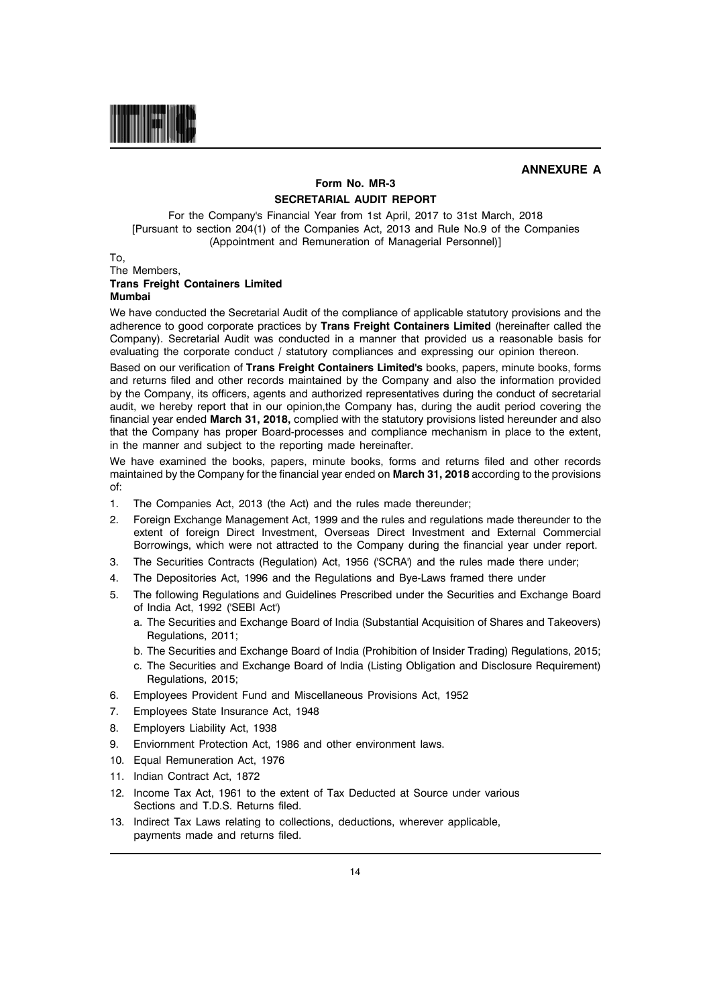

**ANNEXURE A**

# **Form No. MR-3**

# **SECRETARIAL AUDIT REPORT**

For the Company's Financial Year from 1st April, 2017 to 31st March, 2018 [Pursuant to section 204(1) of the Companies Act, 2013 and Rule No.9 of the Companies (Appointment and Remuneration of Managerial Personnel)]

#### To, The Members, **Trans Freight Containers Limited Mumbai**

We have conducted the Secretarial Audit of the compliance of applicable statutory provisions and the adherence to good corporate practices by **Trans Freight Containers Limited** (hereinafter called the Company). Secretarial Audit was conducted in a manner that provided us a reasonable basis for evaluating the corporate conduct / statutory compliances and expressing our opinion thereon.

Based on our verification of **Trans Freight Containers Limited's** books, papers, minute books, forms and returns filed and other records maintained by the Company and also the information provided by the Company, its officers, agents and authorized representatives during the conduct of secretarial audit, we hereby report that in our opinion,the Company has, during the audit period covering the financial year ended **March 31, 2018,** complied with the statutory provisions listed hereunder and also that the Company has proper Board-processes and compliance mechanism in place to the extent, in the manner and subject to the reporting made hereinafter.

We have examined the books, papers, minute books, forms and returns filed and other records maintained by the Company for the financial year ended on **March 31, 2018** according to the provisions of:

- 1. The Companies Act, 2013 (the Act) and the rules made thereunder;
- 2. Foreign Exchange Management Act, 1999 and the rules and regulations made thereunder to the extent of foreign Direct Investment, Overseas Direct Investment and External Commercial Borrowings, which were not attracted to the Company during the financial year under report.
- 3. The Securities Contracts (Regulation) Act, 1956 ('SCRA') and the rules made there under;
- 4. The Depositories Act, 1996 and the Regulations and Bye-Laws framed there under
- 5. The following Regulations and Guidelines Prescribed under the Securities and Exchange Board of India Act, 1992 ('SEBI Act')
	- a. The Securities and Exchange Board of India (Substantial Acquisition of Shares and Takeovers) Regulations, 2011;
	- b. The Securities and Exchange Board of India (Prohibition of Insider Trading) Regulations, 2015;
	- c. The Securities and Exchange Board of India (Listing Obligation and Disclosure Requirement) Regulations, 2015;
- 6. Employees Provident Fund and Miscellaneous Provisions Act, 1952
- 7. Employees State Insurance Act, 1948
- 8. Employers Liability Act, 1938
- 9. Enviornment Protection Act, 1986 and other environment laws.
- 10. Equal Remuneration Act, 1976
- 11. Indian Contract Act, 1872
- 12. Income Tax Act, 1961 to the extent of Tax Deducted at Source under various Sections and T.D.S. Returns filed.
- 13. Indirect Tax Laws relating to collections, deductions, wherever applicable, payments made and returns filed.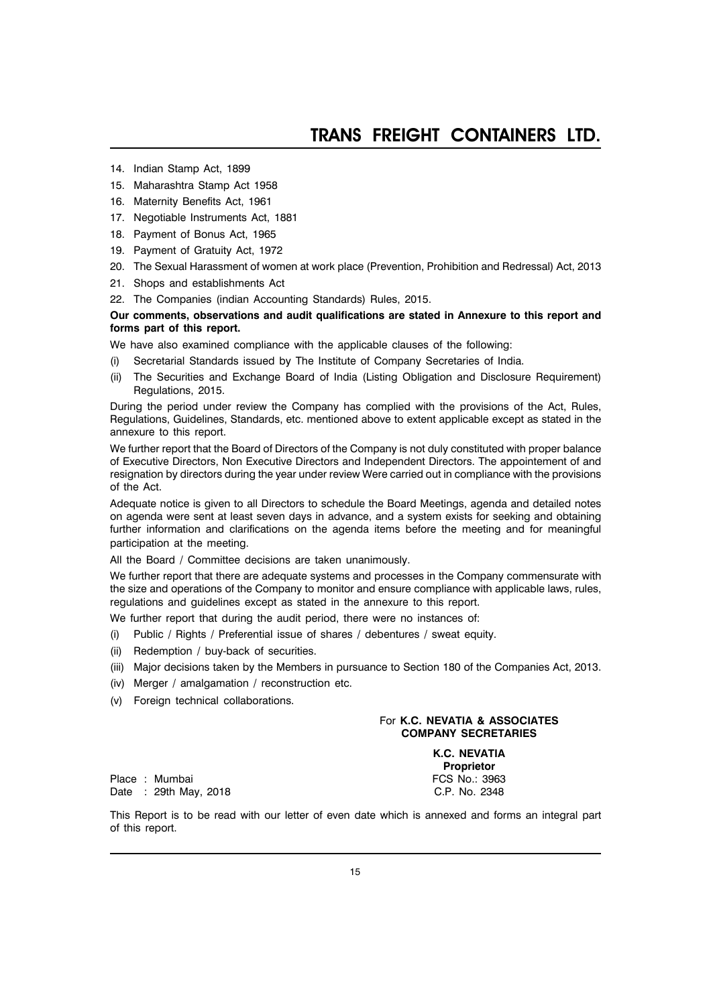- 14. Indian Stamp Act, 1899
- 15. Maharashtra Stamp Act 1958
- 16. Maternity Benefits Act, 1961
- 17. Negotiable Instruments Act, 1881
- 18. Payment of Bonus Act, 1965
- 19. Payment of Gratuity Act, 1972
- 20. The Sexual Harassment of women at work place (Prevention, Prohibition and Redressal) Act, 2013
- 21. Shops and establishments Act
- 22. The Companies (indian Accounting Standards) Rules, 2015.

## **Our comments, observations and audit qualifications are stated in Annexure to this report and forms part of this report.**

We have also examined compliance with the applicable clauses of the following:

- (i) Secretarial Standards issued by The Institute of Company Secretaries of India.
- (ii) The Securities and Exchange Board of India (Listing Obligation and Disclosure Requirement) Regulations, 2015.

During the period under review the Company has complied with the provisions of the Act, Rules, Regulations, Guidelines, Standards, etc. mentioned above to extent applicable except as stated in the annexure to this report.

We further report that the Board of Directors of the Company is not duly constituted with proper balance of Executive Directors, Non Executive Directors and Independent Directors. The appointement of and resignation by directors during the year under review Were carried out in compliance with the provisions of the Act.

Adequate notice is given to all Directors to schedule the Board Meetings, agenda and detailed notes on agenda were sent at least seven days in advance, and a system exists for seeking and obtaining further information and clarifications on the agenda items before the meeting and for meaningful participation at the meeting.

All the Board / Committee decisions are taken unanimously.

We further report that there are adequate systems and processes in the Company commensurate with the size and operations of the Company to monitor and ensure compliance with applicable laws, rules, regulations and guidelines except as stated in the annexure to this report.

We further report that during the audit period, there were no instances of:

- (i) Public / Rights / Preferential issue of shares / debentures / sweat equity.
- (ii) Redemption / buy-back of securities.
- (iii) Major decisions taken by the Members in pursuance to Section 180 of the Companies Act, 2013.
- (iv) Merger / amalgamation / reconstruction etc.
- (v) Foreign technical collaborations.

# For **K.C. NEVATIA & ASSOCIATES COMPANY SECRETARIES K.C. NEVATIA**

**Proprietor**

Place : Mumbai FCS No.: 3963 Date : 29th May, 2018

This Report is to be read with our letter of even date which is annexed and forms an integral part of this report.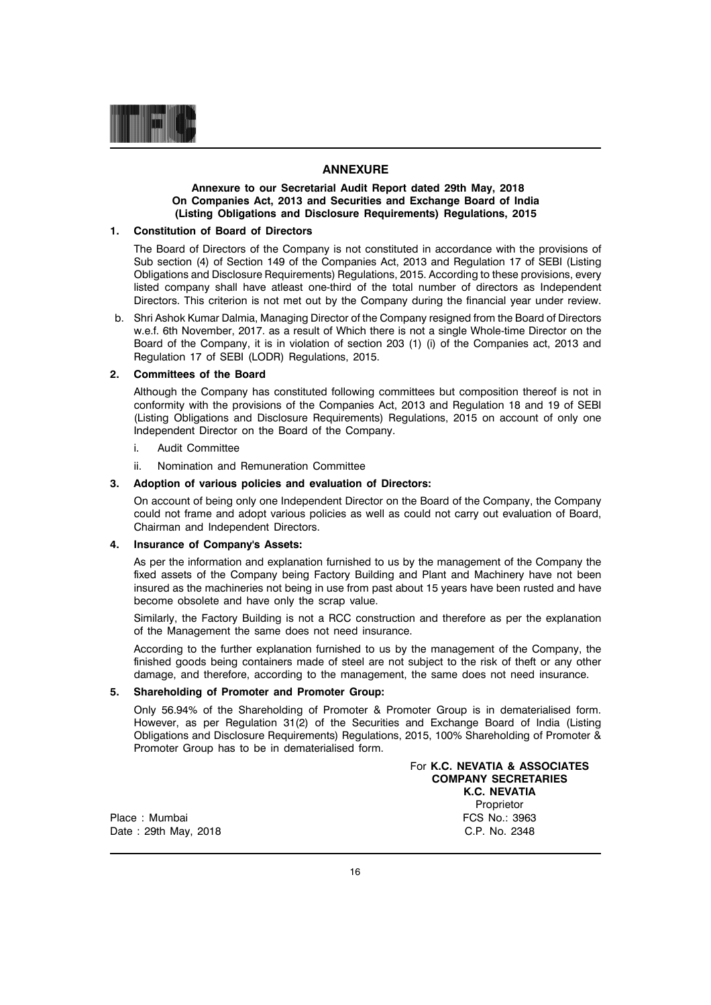

## **ANNEXURE**

## **Annexure to our Secretarial Audit Report dated 29th May, 2018 On Companies Act, 2013 and Securities and Exchange Board of India (Listing Obligations and Disclosure Requirements) Regulations, 2015**

## **1. Constitution of Board of Directors**

The Board of Directors of the Company is not constituted in accordance with the provisions of Sub section (4) of Section 149 of the Companies Act, 2013 and Regulation 17 of SEBI (Listing Obligations and Disclosure Requirements) Regulations, 2015. According to these provisions, every listed company shall have atleast one-third of the total number of directors as Independent Directors. This criterion is not met out by the Company during the financial year under review.

 b. Shri Ashok Kumar Dalmia, Managing Director of the Company resigned from the Board of Directors w.e.f. 6th November, 2017. as a result of Which there is not a single Whole-time Director on the Board of the Company, it is in violation of section 203 (1) (i) of the Companies act, 2013 and Regulation 17 of SEBI (LODR) Regulations, 2015.

#### **2. Committees of the Board**

Although the Company has constituted following committees but composition thereof is not in conformity with the provisions of the Companies Act, 2013 and Regulation 18 and 19 of SEBI (Listing Obligations and Disclosure Requirements) Regulations, 2015 on account of only one Independent Director on the Board of the Company.

- i. Audit Committee
- ii. Nomination and Remuneration Committee

#### **3. Adoption of various policies and evaluation of Directors:**

On account of being only one Independent Director on the Board of the Company, the Company could not frame and adopt various policies as well as could not carry out evaluation of Board, Chairman and Independent Directors.

#### **4. Insurance of Company's Assets:**

As per the information and explanation furnished to us by the management of the Company the fixed assets of the Company being Factory Building and Plant and Machinery have not been insured as the machineries not being in use from past about 15 years have been rusted and have become obsolete and have only the scrap value.

Similarly, the Factory Building is not a RCC construction and therefore as per the explanation of the Management the same does not need insurance.

According to the further explanation furnished to us by the management of the Company, the finished goods being containers made of steel are not subject to the risk of theft or any other damage, and therefore, according to the management, the same does not need insurance.

## **5. Shareholding of Promoter and Promoter Group:**

Only 56.94% of the Shareholding of Promoter & Promoter Group is in dematerialised form. However, as per Regulation 31(2) of the Securities and Exchange Board of India (Listing Obligations and Disclosure Requirements) Regulations, 2015, 100% Shareholding of Promoter & Promoter Group has to be in dematerialised form.

For **K.C. NEVATIA & ASSOCIATES COMPANY SECRETARIES K.C. NEVATIA** Proprietor Place : Mumbai FCS No.: 3963 Date : 29th May, 2018 C.P. No. 2348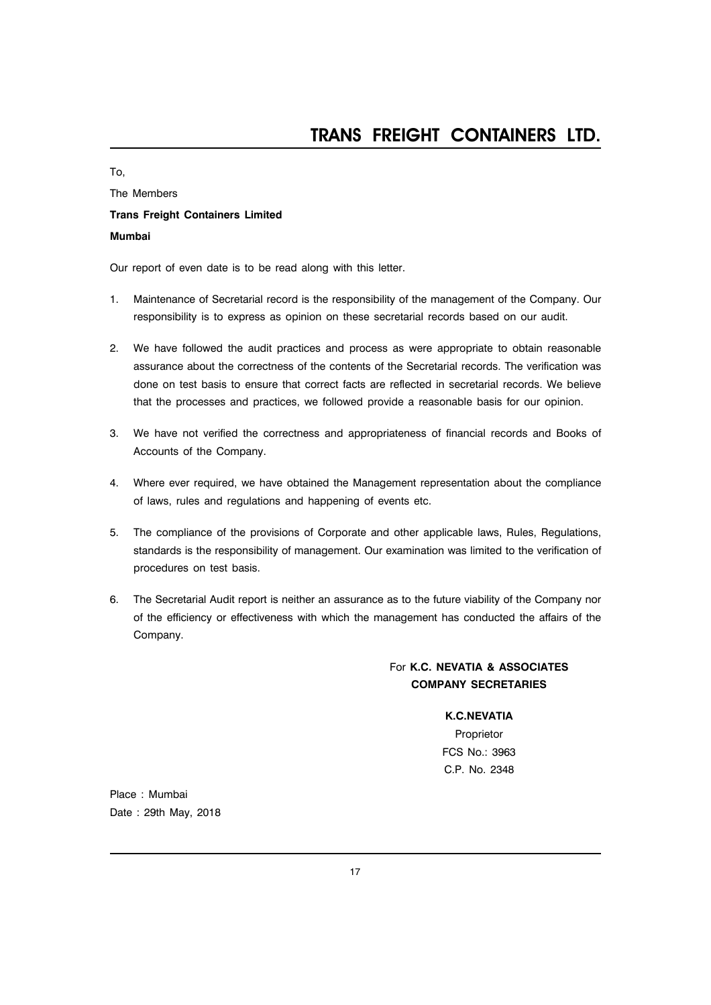To,

The Members

# **Trans Freight Containers Limited**

# **Mumbai**

Our report of even date is to be read along with this letter.

- 1. Maintenance of Secretarial record is the responsibility of the management of the Company. Our responsibility is to express as opinion on these secretarial records based on our audit.
- 2. We have followed the audit practices and process as were appropriate to obtain reasonable assurance about the correctness of the contents of the Secretarial records. The verification was done on test basis to ensure that correct facts are reflected in secretarial records. We believe that the processes and practices, we followed provide a reasonable basis for our opinion.
- 3. We have not verified the correctness and appropriateness of financial records and Books of Accounts of the Company.
- 4. Where ever required, we have obtained the Management representation about the compliance of laws, rules and regulations and happening of events etc.
- 5. The compliance of the provisions of Corporate and other applicable laws, Rules, Regulations, standards is the responsibility of management. Our examination was limited to the verification of procedures on test basis.
- 6. The Secretarial Audit report is neither an assurance as to the future viability of the Company nor of the efficiency or effectiveness with which the management has conducted the affairs of the Company.

# For **K.C. NEVATIA & ASSOCIATES COMPANY SECRETARIES**

# **K.C.NEVATIA**

Proprietor FCS No.: 3963 C.P. No. 2348

Place : Mumbai Date : 29th May, 2018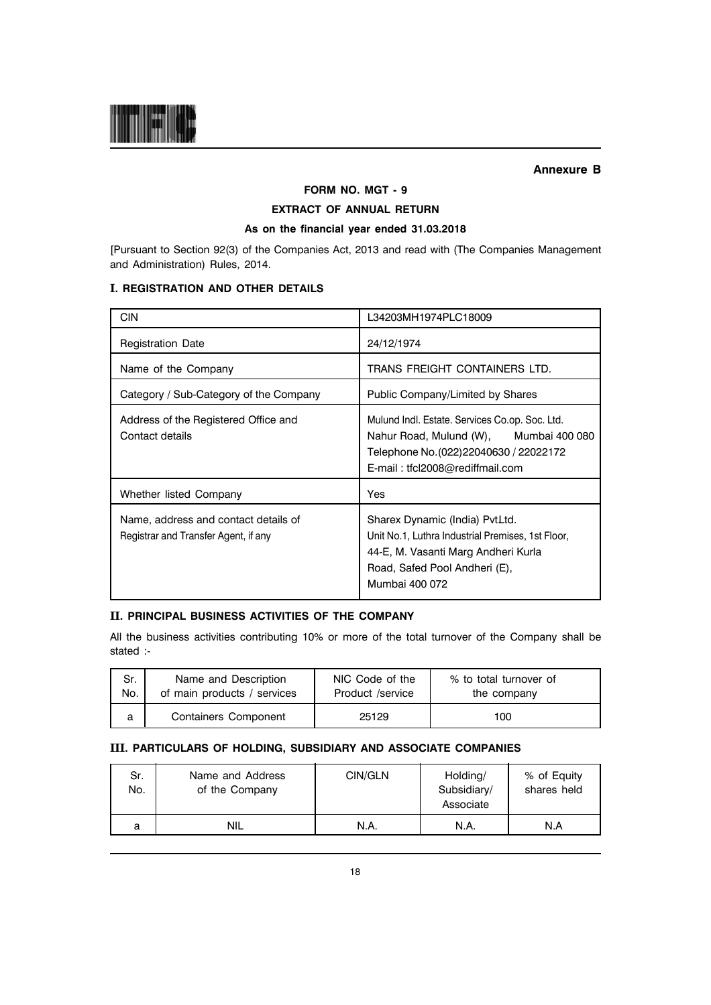

# **Annexure B**

# **FORM NO. MGT - 9**

# **EXTRACT OF ANNUAL RETURN**

# **As on the financial year ended 31.03.2018**

[Pursuant to Section 92(3) of the Companies Act, 2013 and read with (The Companies Management and Administration) Rules, 2014.

# **I. REGISTRATION AND OTHER DETAILS**

| <b>CIN</b>                                                                   | L34203MH1974PLC18009                                                                                                                                                          |
|------------------------------------------------------------------------------|-------------------------------------------------------------------------------------------------------------------------------------------------------------------------------|
| <b>Registration Date</b>                                                     | 24/12/1974                                                                                                                                                                    |
| Name of the Company                                                          | TRANS FREIGHT CONTAINERS LTD.                                                                                                                                                 |
| Category / Sub-Category of the Company                                       | Public Company/Limited by Shares                                                                                                                                              |
| Address of the Registered Office and<br>Contact details                      | Mulund Indl. Estate. Services Co.op. Soc. Ltd.<br>Nahur Road, Mulund (W), Mumbai 400 080<br>Telephone No.(022)22040630 / 22022172<br>E-mail: tfcl2008@rediffmail.com          |
| Whether listed Company                                                       | Yes                                                                                                                                                                           |
| Name, address and contact details of<br>Registrar and Transfer Agent, if any | Sharex Dynamic (India) PvtLtd.<br>Unit No.1, Luthra Industrial Premises, 1st Floor,<br>44-E, M. Vasanti Marg Andheri Kurla<br>Road, Safed Pool Andheri (E),<br>Mumbai 400 072 |

# **II. PRINCIPAL BUSINESS ACTIVITIES OF THE COMPANY**

All the business activities contributing 10% or more of the total turnover of the Company shall be stated :-

| Sr. | Name and Description        | NIC Code of the  | % to total turnover of |
|-----|-----------------------------|------------------|------------------------|
| No. | of main products / services | Product /service | the company            |
| а   | <b>Containers Component</b> | 25129            | 100                    |

# **III. PARTICULARS OF HOLDING, SUBSIDIARY AND ASSOCIATE COMPANIES**

| Sr.<br>No. | Name and Address<br>of the Company | CIN/GLN | Holding/<br>Subsidiary/<br>Associate | % of Equity<br>shares held |
|------------|------------------------------------|---------|--------------------------------------|----------------------------|
| a          | <b>NIL</b>                         | N.A.    | N.A.                                 | N.A                        |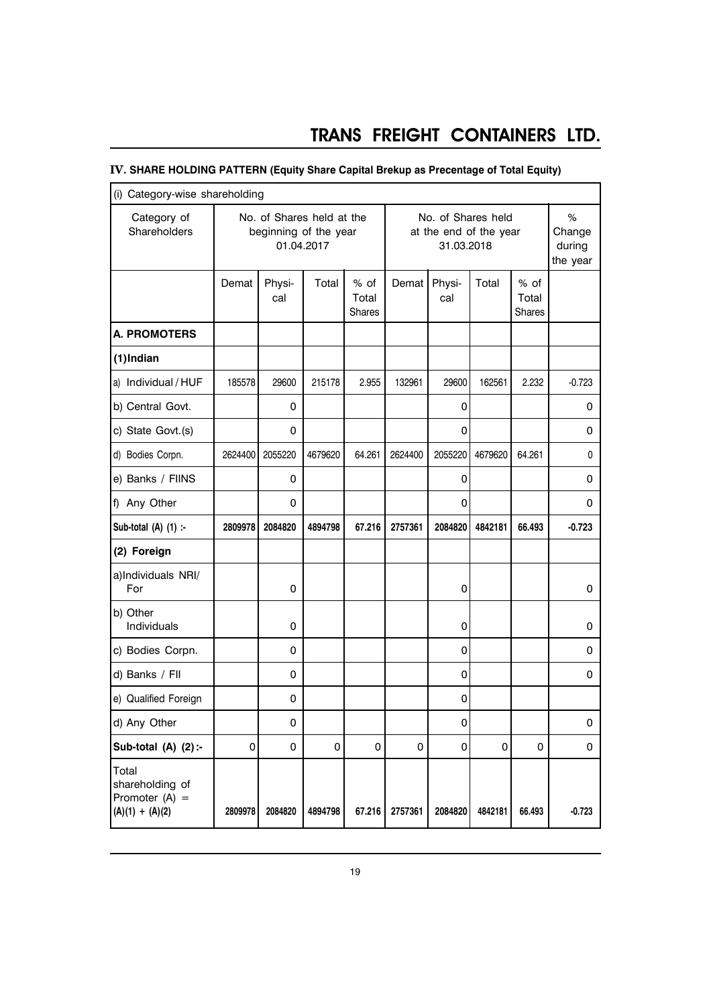| (i) Category-wise shareholding                                    |                                                                  |               |             |                                                            |         |               |         |                                   |          |
|-------------------------------------------------------------------|------------------------------------------------------------------|---------------|-------------|------------------------------------------------------------|---------|---------------|---------|-----------------------------------|----------|
| Category of<br>Shareholders                                       | No. of Shares held at the<br>beginning of the year<br>01.04.2017 |               |             | No. of Shares held<br>at the end of the year<br>31.03.2018 |         |               |         | %<br>Change<br>during<br>the year |          |
|                                                                   | Demat                                                            | Physi-<br>cal | Total       | $%$ of<br>Total<br><b>Shares</b>                           | Demat   | Physi-<br>cal | Total   | % of<br>Total<br><b>Shares</b>    |          |
| <b>A. PROMOTERS</b>                                               |                                                                  |               |             |                                                            |         |               |         |                                   |          |
| (1)Indian                                                         |                                                                  |               |             |                                                            |         |               |         |                                   |          |
| a) Individual / HUF                                               | 185578                                                           | 29600         | 215178      | 2.955                                                      | 132961  | 29600         | 162561  | 2.232                             | $-0.723$ |
| b) Central Govt.                                                  |                                                                  | 0             |             |                                                            |         | 0             |         |                                   | 0        |
| c) State Govt.(s)                                                 |                                                                  | 0             |             |                                                            |         | 0             |         |                                   | 0        |
| d) Bodies Corpn.                                                  | 2624400                                                          | 2055220       | 4679620     | 64.261                                                     | 2624400 | 2055220       | 4679620 | 64.261                            | 0        |
| e) Banks / FIINS                                                  |                                                                  | 0             |             |                                                            |         | 0             |         |                                   | 0        |
| f) Any Other                                                      |                                                                  | 0             |             |                                                            |         | 0             |         |                                   | 0        |
| Sub-total (A) (1) :-                                              | 2809978                                                          | 2084820       | 4894798     | 67.216                                                     | 2757361 | 2084820       | 4842181 | 66,493                            | $-0.723$ |
| (2) Foreign                                                       |                                                                  |               |             |                                                            |         |               |         |                                   |          |
| a)Individuals NRI/<br>For                                         |                                                                  | 0             |             |                                                            |         | 0             |         |                                   | 0        |
| b) Other<br>Individuals                                           |                                                                  | 0             |             |                                                            |         | 0             |         |                                   | 0        |
| c) Bodies Corpn.                                                  |                                                                  | 0             |             |                                                            |         | $\mathbf 0$   |         |                                   | 0        |
| d) Banks / Fll                                                    |                                                                  | 0             |             |                                                            |         | $\mathbf 0$   |         |                                   | 0        |
| e) Qualified Foreign                                              |                                                                  | 0             |             |                                                            |         | 0             |         |                                   |          |
| d) Any Other                                                      |                                                                  | 0             |             |                                                            |         | 0             |         |                                   | 0        |
| Sub-total (A) (2) :-                                              | 0                                                                | 0             | $\mathbf 0$ | 0                                                          | 0       | $\Omega$      | 0       | 0                                 | 0        |
| Total<br>shareholding of<br>Promoter $(A) =$<br>$(A)(1) + (A)(2)$ | 2809978                                                          | 2084820       | 4894798     | 67.216                                                     | 2757361 | 2084820       | 4842181 | 66.493                            | $-0.723$ |

# **IV. SHARE HOLDING PATTERN (Equity Share Capital Brekup as Precentage of Total Equity)**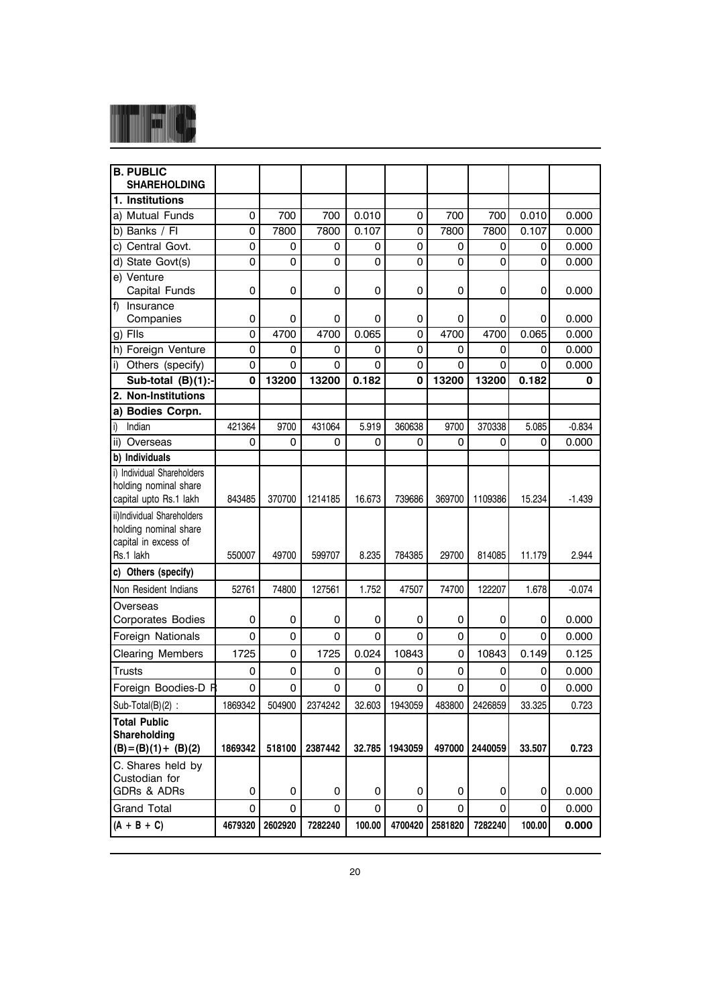

| <b>B. PUBLIC</b><br><b>SHAREHOLDING</b>                                                  |             |          |          |             |                |          |          |                |                |
|------------------------------------------------------------------------------------------|-------------|----------|----------|-------------|----------------|----------|----------|----------------|----------------|
| 1. Institutions                                                                          |             |          |          |             |                |          |          |                |                |
| a) Mutual Funds                                                                          | 0           | 700      | 700      | 0.010       | 0              | 700      | 700      | 0.010          | 0.000          |
| Banks / Fl<br>b)                                                                         | $\mathbf 0$ | 7800     | 7800     | 0.107       | 0              | 7800     | 7800     | 0.107          | 0.000          |
| Central Govt.<br>C)                                                                      | 0           | 0        | 0        | 0           | 0              | 0        | 0        | 0              | 0.000          |
| State Govt(s)<br>d)                                                                      | 0           | 0        | 0        | 0           | 0              | 0        | 0        | 0              | 0.000          |
| e) Venture<br>Capital Funds                                                              | 0           | 0        | 0        | 0           | 0              | 0        | 0        | 0              | 0.000          |
| f)<br>Insurance<br>Companies                                                             | 0           | 0        | 0        | 0           | 0              | 0        | 0        | 0              | 0.000          |
| g) Flls                                                                                  | 0           | 4700     | 4700     | 0.065       | 0              | 4700     | 4700     | 0.065          | 0.000          |
| h) Foreign Venture                                                                       | 0           | 0        | 0        | 0           | $\overline{0}$ | 0        | 0        | 0              | 0.000          |
| i)<br>Others (specify)                                                                   | 0           | $\Omega$ | $\Omega$ | $\Omega$    | 0              | $\Omega$ | $\Omega$ | $\Omega$       | 0.000          |
| Sub-total (B)(1):-                                                                       | O           | 13200    | 13200    | 0.182       | 0              | 13200    | 13200    | 0.182          | 0              |
| <b>Non-Institutions</b><br>2.                                                            |             |          |          |             |                |          |          |                |                |
| <b>Bodies Corpn.</b><br>a)                                                               |             |          |          |             |                |          |          |                |                |
| Indian<br>i)                                                                             | 421364      | 9700     | 431064   | 5.919       | 360638         | 9700     | 370338   | 5.085          | $-0.834$       |
| ii)<br>Overseas                                                                          | 0           | 0        | 0        | 0           | 0              | 0        | 0        | 0              | 0.000          |
| b) Individuals                                                                           |             |          |          |             |                |          |          |                |                |
| i) Individual Shareholders<br>holding nominal share<br>capital upto Rs.1 lakh            | 843485      | 370700   | 1214185  | 16.673      | 739686         | 369700   | 1109386  | 15.234         | $-1.439$       |
| ii)Individual Shareholders<br>holding nominal share<br>capital in excess of<br>Rs.1 lakh | 550007      | 49700    | 599707   | 8.235       | 784385         | 29700    | 814085   | 11.179         | 2.944          |
| c) Others (specify)                                                                      |             |          |          |             |                |          |          |                |                |
| Non Resident Indians                                                                     | 52761       | 74800    | 127561   | 1.752       | 47507          | 74700    | 122207   | 1.678          | $-0.074$       |
| Overseas<br>Corporates Bodies                                                            | 0           | 0        | 0        | 0           | 0              | 0        | 0        | 0              | 0.000          |
| Foreign Nationals                                                                        | $\Omega$    | 0        | $\Omega$ | $\Omega$    | $\Omega$       | 0        | $\Omega$ | $\Omega$       | 0.000          |
| <b>Clearing Members</b>                                                                  | 1725        | 0        | 1725     | 0.024       | 10843          | 0        | 10843    | 0.149          | 0.125          |
| Trusts                                                                                   | 0           | 0        | 0        | 0           | 0              | 0        | 0        | 0              | 0.000          |
| Foreign Boodies-D R                                                                      | $\mathbf 0$ | 0        | 0        | $\mathbf 0$ | 0              | 0        | 0        | $\overline{0}$ | 0.000          |
| $Sub-Total(B)(2)$ :                                                                      | 1869342     | 504900   | 2374242  | 32,603      | 1943059        | 483800   | 2426859  | 33.325         | 0.723          |
| <b>Total Public</b>                                                                      |             |          |          |             |                |          |          |                |                |
| Shareholding                                                                             |             |          |          |             |                |          |          |                |                |
| $(B) = (B)(1) + (B)(2)$                                                                  | 1869342     | 518100   | 2387442  | 32.785      | 1943059        | 497000   | 2440059  | 33.507         | 0.723          |
| C. Shares held by<br>Custodian for<br>GDRs & ADRs                                        | 0           | 0        | 0        | 0           | 0              | 0        | 0        | 0              |                |
|                                                                                          | 0           | 0        | 0        | 0           | 0              | 0        | 0        | $\overline{0}$ | 0.000          |
| Grand Total<br>$(A + B + C)$                                                             | 4679320     | 2602920  | 7282240  | 100.00      | 4700420        | 2581820  | 7282240  | 100.00         | 0.000<br>0.000 |
|                                                                                          |             |          |          |             |                |          |          |                |                |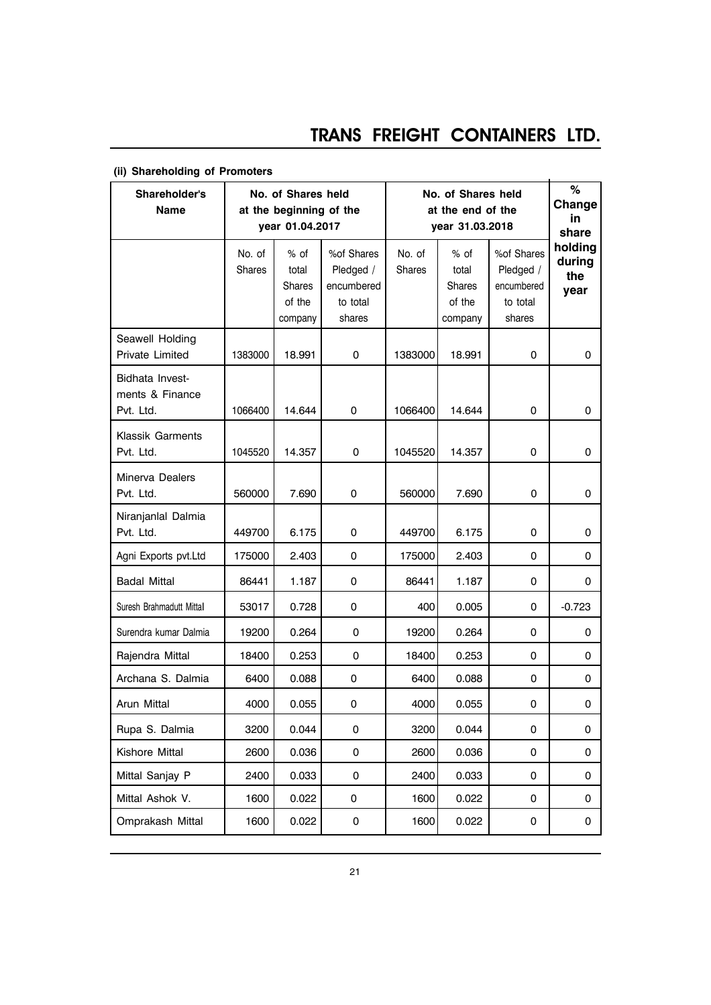| Shareholder's<br><b>Name</b>                    | No. of Shares held<br>at the beginning of the<br>year 01.04.2017 |                                                |                                                             |                         | No. of Shares held<br>at the end of the<br>year 31.03.2018 | %<br>Change<br>in<br>share                                  |                                  |  |
|-------------------------------------------------|------------------------------------------------------------------|------------------------------------------------|-------------------------------------------------------------|-------------------------|------------------------------------------------------------|-------------------------------------------------------------|----------------------------------|--|
|                                                 | No. of<br><b>Shares</b>                                          | $%$ of<br>total<br>Shares<br>of the<br>company | %of Shares<br>Pledged /<br>encumbered<br>to total<br>shares | No. of<br><b>Shares</b> | $%$ of<br>total<br>Shares<br>of the<br>company             | %of Shares<br>Pledged /<br>encumbered<br>to total<br>shares | holding<br>during<br>the<br>year |  |
| Seawell Holding<br>Private Limited              | 1383000                                                          | 18.991                                         | 0                                                           | 1383000                 | 18.991                                                     | 0                                                           | 0                                |  |
| Bidhata Invest-<br>ments & Finance<br>Pvt. Ltd. | 1066400                                                          | 14.644                                         | 0                                                           | 1066400                 | 14.644                                                     | 0                                                           | 0                                |  |
| Klassik Garments<br>Pvt. Ltd.                   | 1045520                                                          | 14.357                                         | 0                                                           | 1045520                 | 14.357                                                     | 0                                                           | 0                                |  |
| <b>Minerva Dealers</b><br>Pvt. Ltd.             | 560000                                                           | 7.690                                          | 0                                                           | 560000                  | 7.690                                                      | 0                                                           | 0                                |  |
| Niranjanlal Dalmia<br>Pvt. Ltd.                 | 449700                                                           | 6.175                                          | 0                                                           | 449700                  | 6.175                                                      | 0                                                           | 0                                |  |
| Agni Exports pvt.Ltd                            | 175000                                                           | 2.403                                          | 0                                                           | 175000                  | 2.403                                                      | 0                                                           | 0                                |  |
| <b>Badal Mittal</b>                             | 86441                                                            | 1.187                                          | 0                                                           | 86441                   | 1.187                                                      | 0                                                           | 0                                |  |
| Suresh Brahmadutt Mittal                        | 53017                                                            | 0.728                                          | 0                                                           | 400                     | 0.005                                                      | 0                                                           | $-0.723$                         |  |
| Surendra kumar Dalmia                           | 19200                                                            | 0.264                                          | 0                                                           | 19200                   | 0.264                                                      | 0                                                           | 0                                |  |
| Rajendra Mittal                                 | 18400                                                            | 0.253                                          | 0                                                           | 18400                   | 0.253                                                      | 0                                                           | 0                                |  |
| Archana S. Dalmia                               | 6400                                                             | 0.088                                          | 0                                                           | 6400                    | 0.088                                                      | 0                                                           | 0                                |  |
| Arun Mittal                                     | 4000                                                             | 0.055                                          | 0                                                           | 4000                    | 0.055                                                      | 0                                                           | 0                                |  |
| Rupa S. Dalmia                                  | 3200                                                             | 0.044                                          | 0                                                           | 3200                    | 0.044                                                      | 0                                                           | 0                                |  |
| Kishore Mittal                                  | 2600                                                             | 0.036                                          | 0                                                           | 2600                    | 0.036                                                      | 0                                                           | 0                                |  |
| Mittal Sanjay P                                 | 2400                                                             | 0.033                                          | 0                                                           | 2400                    | 0.033                                                      | 0                                                           | 0                                |  |
| Mittal Ashok V.                                 | 1600                                                             | 0.022                                          | 0                                                           | 1600                    | 0.022                                                      | 0                                                           | 0                                |  |
| Omprakash Mittal                                | 1600                                                             | 0.022                                          | 0                                                           | 1600                    | 0.022                                                      | 0                                                           | 0                                |  |

# **(ii) Shareholding of Promoters**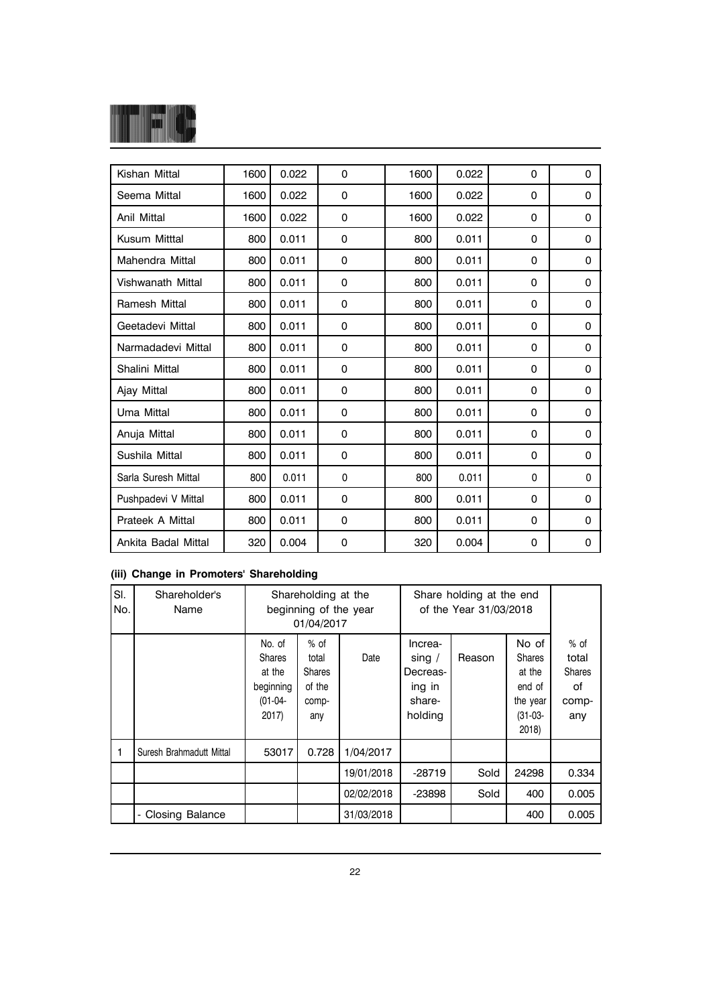

| Kishan Mittal       | 1600 | 0.022 | 0           | 1600 | 0.022 | 0           | $\Omega$    |
|---------------------|------|-------|-------------|------|-------|-------------|-------------|
| Seema Mittal        | 1600 | 0.022 | 0           | 1600 | 0.022 | 0           | 0           |
| Anil Mittal         | 1600 | 0.022 | 0           | 1600 | 0.022 | 0           | 0           |
| Kusum Mitttal       | 800  | 0.011 | 0           | 800  | 0.011 | 0           | 0           |
| Mahendra Mittal     | 800  | 0.011 | 0           | 800  | 0.011 | 0           | 0           |
| Vishwanath Mittal   | 800  | 0.011 | 0           | 800  | 0.011 | 0           | 0           |
| Ramesh Mittal       | 800  | 0.011 | 0           | 800  | 0.011 | 0           | 0           |
| Geetadevi Mittal    | 800  | 0.011 | 0           | 800  | 0.011 | 0           | 0           |
| Narmadadevi Mittal  | 800  | 0.011 | 0           | 800  | 0.011 | 0           | 0           |
| Shalini Mittal      | 800  | 0.011 | 0           | 800  | 0.011 | 0           | 0           |
| Ajay Mittal         | 800  | 0.011 | 0           | 800  | 0.011 | 0           | 0           |
| Uma Mittal          | 800  | 0.011 | 0           | 800  | 0.011 | 0           | 0           |
| Anuja Mittal        | 800  | 0.011 | 0           | 800  | 0.011 | 0           | 0           |
| Sushila Mittal      | 800  | 0.011 | 0           | 800  | 0.011 | 0           | 0           |
| Sarla Suresh Mittal | 800  | 0.011 | $\mathbf 0$ | 800  | 0.011 | $\mathbf 0$ | $\mathbf 0$ |
| Pushpadevi V Mittal | 800  | 0.011 | 0           | 800  | 0.011 | 0           | 0           |
| Prateek A Mittal    | 800  | 0.011 | 0           | 800  | 0.011 | 0           | 0           |
| Ankita Badal Mittal | 320  | 0.004 | 0           | 320  | 0.004 | 0           | 0           |

# **(iii) Change in Promoters' Shareholding**

| SI.<br>No. | Shareholder's<br>Name    | Shareholding at the<br>beginning of the year<br>01/04/2017   |                                                            |            | Share holding at the end<br>of the Year 31/03/2018               |        |                                                                           |                                                        |
|------------|--------------------------|--------------------------------------------------------------|------------------------------------------------------------|------------|------------------------------------------------------------------|--------|---------------------------------------------------------------------------|--------------------------------------------------------|
|            |                          | No. of<br>Shares<br>at the<br>beginning<br>$(01-04-$<br>2017 | $%$ of<br>total<br><b>Shares</b><br>of the<br>comp-<br>any | Date       | Increa-<br>$\sin q /$<br>Decreas-<br>ing in<br>share-<br>holding | Reason | No of<br><b>Shares</b><br>at the<br>end of<br>the year<br>(31-03-<br>2018 | $%$ of<br>total<br><b>Shares</b><br>οf<br>comp-<br>any |
|            | Suresh Brahmadutt Mittal | 53017                                                        | 0.728                                                      | 1/04/2017  |                                                                  |        |                                                                           |                                                        |
|            |                          |                                                              |                                                            | 19/01/2018 | $-28719$                                                         | Sold   | 24298                                                                     | 0.334                                                  |
|            |                          |                                                              |                                                            | 02/02/2018 | -23898                                                           | Sold   | 400                                                                       | 0.005                                                  |
|            | <b>Closing Balance</b>   |                                                              |                                                            | 31/03/2018 |                                                                  |        | 400                                                                       | 0.005                                                  |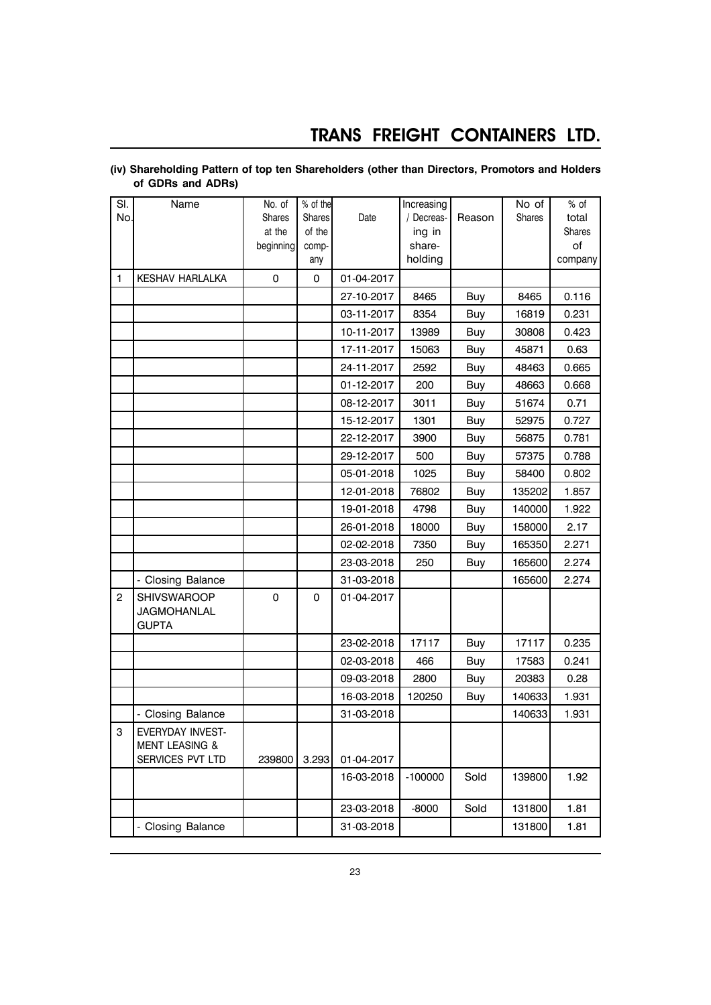| SI.<br>No.     | Name                                                              | No. of<br><b>Shares</b> | % of the<br><b>Shares</b> | Date       | Increasing<br>/ Decreas- | Reason | No of<br>Shares | $%$ of<br>total |
|----------------|-------------------------------------------------------------------|-------------------------|---------------------------|------------|--------------------------|--------|-----------------|-----------------|
|                |                                                                   | at the                  | of the                    |            | ing in                   |        |                 | <b>Shares</b>   |
|                |                                                                   | beginning               | comp-                     |            | share-<br>holding        |        |                 | of              |
|                |                                                                   |                         | any                       |            |                          |        |                 | company         |
| 1              | <b>KESHAV HARLALKA</b>                                            | 0                       | 0                         | 01-04-2017 |                          |        |                 |                 |
|                |                                                                   |                         |                           | 27-10-2017 | 8465                     | Buy    | 8465            | 0.116           |
|                |                                                                   |                         |                           | 03-11-2017 | 8354                     | Buy    | 16819           | 0.231           |
|                |                                                                   |                         |                           | 10-11-2017 | 13989                    | Buy    | 30808           | 0.423           |
|                |                                                                   |                         |                           | 17-11-2017 | 15063                    | Buy    | 45871           | 0.63            |
|                |                                                                   |                         |                           | 24-11-2017 | 2592                     | Buy    | 48463           | 0.665           |
|                |                                                                   |                         |                           | 01-12-2017 | 200                      | Buy    | 48663           | 0.668           |
|                |                                                                   |                         |                           | 08-12-2017 | 3011                     | Buy    | 51674           | 0.71            |
|                |                                                                   |                         |                           | 15-12-2017 | 1301                     | Buy    | 52975           | 0.727           |
|                |                                                                   |                         |                           | 22-12-2017 | 3900                     | Buy    | 56875           | 0.781           |
|                |                                                                   |                         |                           | 29-12-2017 | 500                      | Buy    | 57375           | 0.788           |
|                |                                                                   |                         |                           | 05-01-2018 | 1025                     | Buy    | 58400           | 0.802           |
|                |                                                                   |                         |                           | 12-01-2018 | 76802                    | Buy    | 135202          | 1.857           |
|                |                                                                   |                         |                           | 19-01-2018 | 4798                     | Buy    | 140000          | 1.922           |
|                |                                                                   |                         |                           | 26-01-2018 | 18000                    | Buy    | 158000          | 2.17            |
|                |                                                                   |                         |                           | 02-02-2018 | 7350                     | Buy    | 165350          | 2.271           |
|                |                                                                   |                         |                           | 23-03-2018 | 250                      | Buy    | 165600          | 2.274           |
|                | - Closing Balance                                                 |                         |                           | 31-03-2018 |                          |        | 165600          | 2.274           |
| $\overline{2}$ | <b>SHIVSWAROOP</b><br><b>JAGMOHANLAL</b><br><b>GUPTA</b>          | $\mathbf 0$             | 0                         | 01-04-2017 |                          |        |                 |                 |
|                |                                                                   |                         |                           | 23-02-2018 | 17117                    | Buy    | 17117           | 0.235           |
|                |                                                                   |                         |                           | 02-03-2018 | 466                      | Buy    | 17583           | 0.241           |
|                |                                                                   |                         |                           | 09-03-2018 | 2800                     | Buy    | 20383           | 0.28            |
|                |                                                                   |                         |                           | 16-03-2018 | 120250                   | Buy    | 140633          | 1.931           |
|                | - Closing Balance                                                 |                         |                           | 31-03-2018 |                          |        | 140633          | 1.931           |
| 3              | EVERYDAY INVEST-<br><b>MENT LEASING &amp;</b><br>SERVICES PVT LTD | 239800                  | 3.293                     | 01-04-2017 |                          |        |                 |                 |
|                |                                                                   |                         |                           | 16-03-2018 | $-100000$                | Sold   | 139800          | 1.92            |
|                |                                                                   |                         |                           | 23-03-2018 | $-8000$                  | Sold   | 131800          | 1.81            |
|                | - Closing Balance                                                 |                         |                           | 31-03-2018 |                          |        | 131800          | 1.81            |

# **(iv) Shareholding Pattern of top ten Shareholders (other than Directors, Promotors and Holders of GDRs and ADRs)**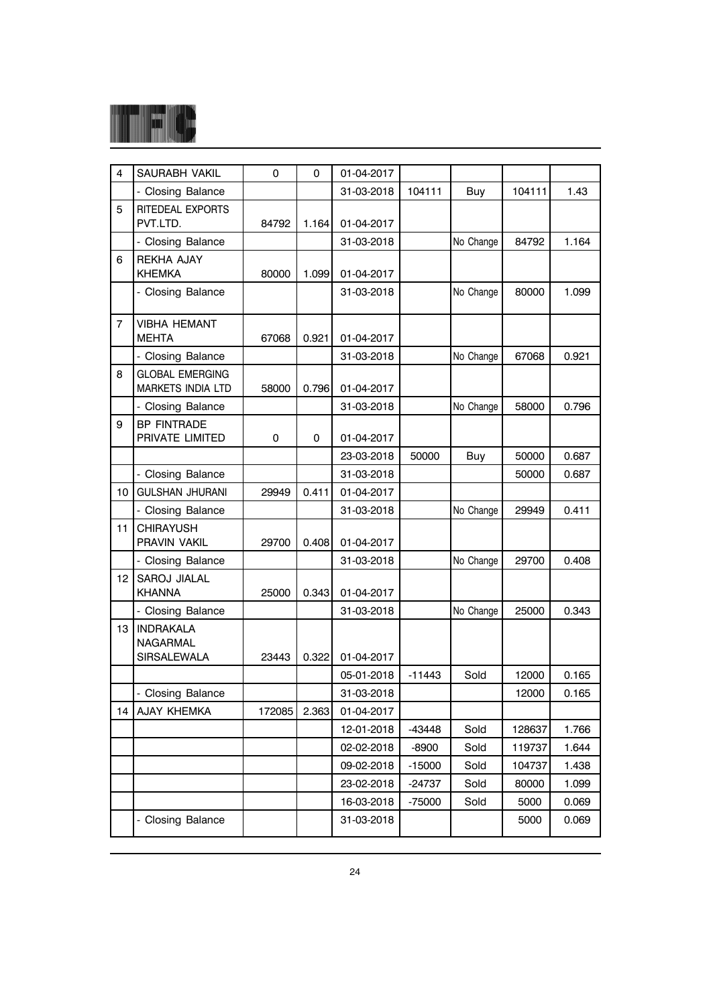

| $\overline{4}$ | <b>SAURABH VAKIL</b>                               | 0      | 0     | 01-04-2017 |          |           |        |       |
|----------------|----------------------------------------------------|--------|-------|------------|----------|-----------|--------|-------|
|                | - Closing Balance                                  |        |       | 31-03-2018 | 104111   | Buy       | 104111 | 1.43  |
| 5              | RITEDEAL EXPORTS                                   |        |       |            |          |           |        |       |
|                | PVT.LTD.                                           | 84792  | 1.164 | 01-04-2017 |          |           |        |       |
|                | - Closing Balance                                  |        |       | 31-03-2018 |          | No Change | 84792  | 1.164 |
| 6              | REKHA AJAY                                         |        |       |            |          |           |        |       |
|                | <b>KHEMKA</b>                                      | 80000  | 1.099 | 01-04-2017 |          |           |        |       |
|                | - Closing Balance                                  |        |       | 31-03-2018 |          | No Change | 80000  | 1.099 |
| $\overline{7}$ | <b>VIBHA HEMANT</b>                                |        |       |            |          |           |        |       |
|                | <b>MEHTA</b>                                       | 67068  | 0.921 | 01-04-2017 |          |           |        |       |
|                | - Closing Balance                                  |        |       | 31-03-2018 |          | No Change | 67068  | 0.921 |
| 8              | <b>GLOBAL EMERGING</b><br><b>MARKETS INDIA LTD</b> | 58000  | 0.796 | 01-04-2017 |          |           |        |       |
|                | - Closing Balance                                  |        |       | 31-03-2018 |          | No Change | 58000  | 0.796 |
| 9              | <b>BP FINTRADE</b>                                 |        |       |            |          |           |        |       |
|                | PRIVATE LIMITED                                    | 0      | 0     | 01-04-2017 |          |           |        |       |
|                |                                                    |        |       | 23-03-2018 | 50000    | Buy       | 50000  | 0.687 |
|                | - Closing Balance                                  |        |       | 31-03-2018 |          |           | 50000  | 0.687 |
| 10             | <b>GULSHAN JHURANI</b>                             | 29949  | 0.411 | 01-04-2017 |          |           |        |       |
|                | - Closing Balance                                  |        |       | 31-03-2018 |          | No Change | 29949  | 0.411 |
| 11             | <b>CHIRAYUSH</b>                                   |        |       |            |          |           |        |       |
|                | PRAVIN VAKIL                                       | 29700  | 0.408 | 01-04-2017 |          |           |        |       |
|                | - Closing Balance                                  |        |       | 31-03-2018 |          | No Change | 29700  | 0.408 |
| 12             | <b>SAROJ JIALAL</b>                                |        |       |            |          |           |        |       |
|                | <b>KHANNA</b>                                      | 25000  | 0.343 | 01-04-2017 |          |           |        |       |
|                | - Closing Balance                                  |        |       | 31-03-2018 |          | No Change | 25000  | 0.343 |
| 13             | <b>INDRAKALA</b>                                   |        |       |            |          |           |        |       |
|                | <b>NAGARMAL</b><br><b>SIRSALEWALA</b>              | 23443  | 0.322 | 01-04-2017 |          |           |        |       |
|                |                                                    |        |       | 05-01-2018 | $-11443$ | Sold      | 12000  | 0.165 |
|                | - Closing Balance                                  |        |       | 31-03-2018 |          |           | 12000  | 0.165 |
| 14 I           | AJAY KHEMKA                                        | 172085 | 2.363 | 01-04-2017 |          |           |        |       |
|                |                                                    |        |       | 12-01-2018 | $-43448$ | Sold      | 128637 | 1.766 |
|                |                                                    |        |       | 02-02-2018 | $-8900$  | Sold      | 119737 | 1.644 |
|                |                                                    |        |       | 09-02-2018 | $-15000$ | Sold      | 104737 | 1.438 |
|                |                                                    |        |       | 23-02-2018 | -24737   | Sold      | 80000  | 1.099 |
|                |                                                    |        |       | 16-03-2018 | -75000   | Sold      | 5000   | 0.069 |
|                | - Closing Balance                                  |        |       | 31-03-2018 |          |           | 5000   | 0.069 |
|                |                                                    |        |       |            |          |           |        |       |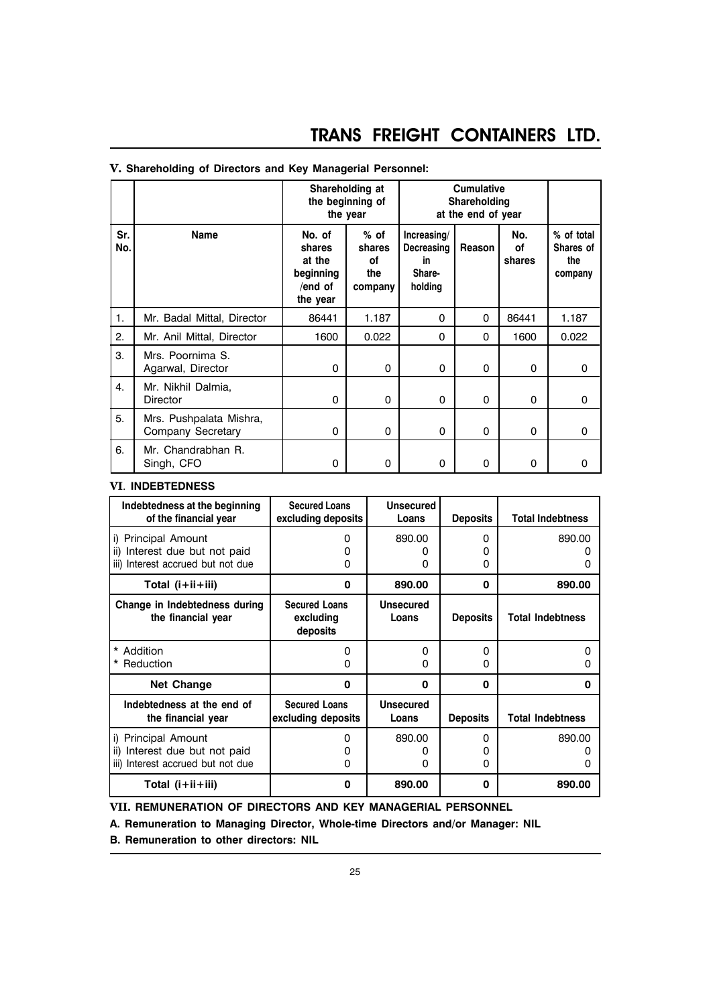|            |                                              | Shareholding at<br>the beginning of<br>the year                |                                          | <b>Cumulative</b><br>Shareholding<br>at the end of year |          |                     |                                           |
|------------|----------------------------------------------|----------------------------------------------------------------|------------------------------------------|---------------------------------------------------------|----------|---------------------|-------------------------------------------|
| Sr.<br>No. | <b>Name</b>                                  | No. of<br>shares<br>at the<br>beginning<br>/end of<br>the year | $%$ of<br>shares<br>οf<br>the<br>company | Increasing/<br>Decreasing<br>in.<br>Share-<br>holding   | Reason   | No.<br>Ωf<br>shares | % of total<br>Shares of<br>the<br>company |
| 1.         | Mr. Badal Mittal, Director                   | 86441                                                          | 1.187                                    | $\Omega$                                                | $\Omega$ | 86441               | 1.187                                     |
| 2.         | Mr. Anil Mittal, Director                    | 1600                                                           | 0.022                                    | 0                                                       | $\Omega$ | 1600                | 0.022                                     |
| 3.         | Mrs. Poornima S.<br>Agarwal, Director        | $\Omega$                                                       | $\Omega$                                 | 0                                                       | $\Omega$ | $\Omega$            | 0                                         |
| 4.         | Mr. Nikhil Dalmia,<br><b>Director</b>        | $\Omega$                                                       | $\Omega$                                 | 0                                                       | $\Omega$ | $\Omega$            | $\Omega$                                  |
| 5.         | Mrs. Pushpalata Mishra,<br>Company Secretary | $\mathbf 0$                                                    | $\Omega$                                 | 0                                                       | $\Omega$ | 0                   | $\Omega$                                  |
| 6.         | Mr. Chandrabhan R.<br>Singh, CFO             | 0                                                              | 0                                        | 0                                                       | $\Omega$ | 0                   | 0                                         |

# **V. Shareholding of Directors and Key Managerial Personnel:**

## **VI**. **INDEBTEDNESS**

| Indebtedness at the beginning<br>of the financial year                                          | <b>Secured Loans</b><br>excluding deposits    | <b>Unsecured</b><br>Loans | <b>Deposits</b>          | <b>Total Indebtness</b> |
|-------------------------------------------------------------------------------------------------|-----------------------------------------------|---------------------------|--------------------------|-------------------------|
| i) Principal Amount<br>Interest due but not paid<br>ii)<br>Interest accrued but not due<br>iii) | o<br>0<br>0                                   | 890.00<br>O<br>0          | 0<br>o<br>O              | 890.00                  |
| Total $(i+ii+iii)$                                                                              | 0                                             | 890.00                    | O                        | 890.00                  |
| Change in Indebtedness during<br>the financial year                                             | <b>Secured Loans</b><br>excluding<br>deposits | <b>Unsecured</b><br>Loans | <b>Deposits</b>          | <b>Total Indebtness</b> |
| * Addition<br>Reduction                                                                         | $\Omega$<br>O                                 | $\Omega$<br>$\Omega$      | $\Omega$<br><sup>0</sup> | n                       |
| <b>Net Change</b>                                                                               | 0                                             | 0                         | O                        | 0                       |
| Indebtedness at the end of<br>the financial year                                                | <b>Secured Loans</b><br>excluding deposits    | <b>Unsecured</b><br>Loans | <b>Deposits</b>          | <b>Total Indebtness</b> |
| i) Principal Amount<br>Interest due but not paid<br>ii)<br>iii) Interest accrued but not due    | 0<br>0<br>O                                   | 890.00<br>ი<br>n          | $\Omega$<br>0<br>O       | 890.00                  |
| Total (i+ii+iii)                                                                                | 0                                             | 890.00                    | 0                        | 890.00                  |

**VII. REMUNERATION OF DIRECTORS AND KEY MANAGERIAL PERSONNEL**

**A. Remuneration to Managing Director, Whole-time Directors and/or Manager: NIL**

**B. Remuneration to other directors: NIL**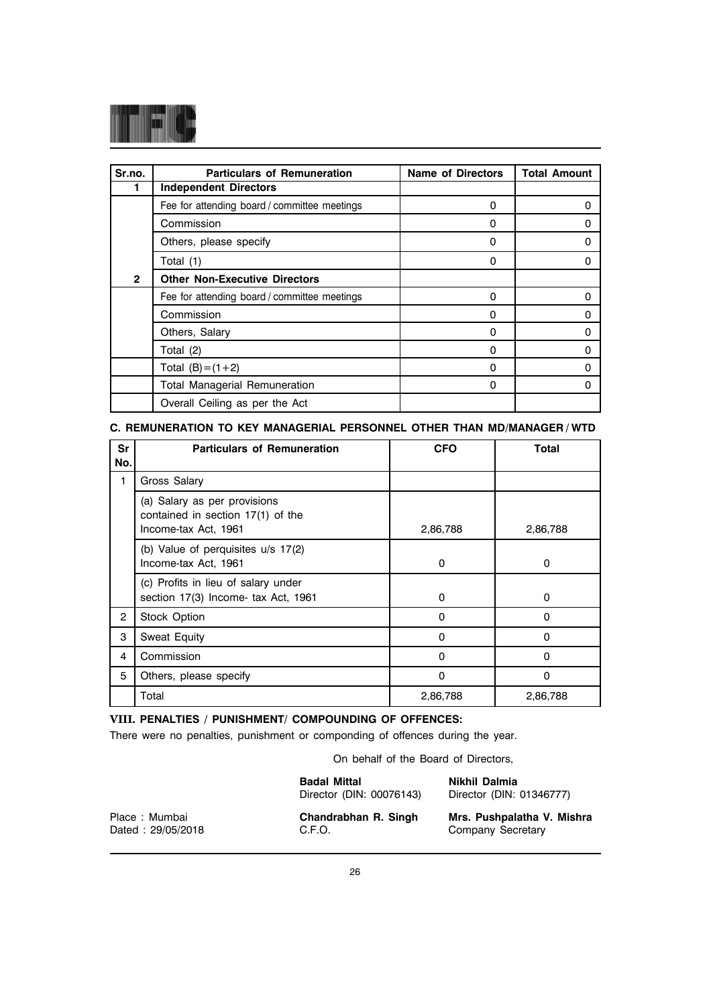

| Sr.no.         | <b>Particulars of Remuneration</b>           | <b>Name of Directors</b> | <b>Total Amount</b> |
|----------------|----------------------------------------------|--------------------------|---------------------|
|                | <b>Independent Directors</b>                 |                          |                     |
|                | Fee for attending board / committee meetings | 0                        | 0                   |
|                | Commission                                   | 0                        | $\Omega$            |
|                | Others, please specify                       | 0                        | $\Omega$            |
|                | Total (1)                                    | 0                        | $\Omega$            |
| $\overline{2}$ | <b>Other Non-Executive Directors</b>         |                          |                     |
|                | Fee for attending board / committee meetings | 0                        | $\Omega$            |
|                | Commission                                   | 0                        | 0                   |
|                | Others, Salary                               | o                        | 0                   |
|                | Total (2)                                    | Ω                        | 0                   |
|                | Total $(B) = (1 + 2)$                        | o                        | 0                   |
|                | <b>Total Managerial Remuneration</b>         | Ω                        | 0                   |
|                | Overall Ceiling as per the Act               |                          |                     |

**C. REMUNERATION TO KEY MANAGERIAL PERSONNEL OTHER THAN MD/MANAGER / WTD**

| Sr             | <b>Particulars of Remuneration</b>                                                        | <b>CFO</b> | Total    |
|----------------|-------------------------------------------------------------------------------------------|------------|----------|
| No.            |                                                                                           |            |          |
| 1              | Gross Salary                                                                              |            |          |
|                | (a) Salary as per provisions<br>contained in section 17(1) of the<br>Income-tax Act, 1961 | 2,86,788   | 2,86,788 |
|                | (b) Value of perquisites u/s 17(2)<br>Income-tax Act, 1961                                | 0          | 0        |
|                | (c) Profits in lieu of salary under<br>section 17(3) Income- tax Act, 1961                | $\Omega$   | $\Omega$ |
| $\overline{2}$ | Stock Option                                                                              | $\Omega$   | $\Omega$ |
| 3              | <b>Sweat Equity</b>                                                                       | $\Omega$   | $\Omega$ |
| 4              | Commission                                                                                | 0          | $\Omega$ |
| 5              | Others, please specify                                                                    | $\Omega$   | $\Omega$ |
|                | Total                                                                                     | 2,86,788   | 2,86,788 |

# **VIII. PENALTIES / PUNISHMENT/ COMPOUNDING OF OFFENCES:**

There were no penalties, punishment or componding of offences during the year.

On behalf of the Board of Directors,

|                   | <b>Badal Mittal</b><br>Director (DIN: 00076143) | Nikhil Dalmia<br>Director (DIN: 01346777) |
|-------------------|-------------------------------------------------|-------------------------------------------|
| Place: Mumbai     | Chandrabhan R. Singh                            | Mrs. Pushpalatha V. Mishra                |
| Dated: 29/05/2018 | C.F.O.                                          | Company Secretary                         |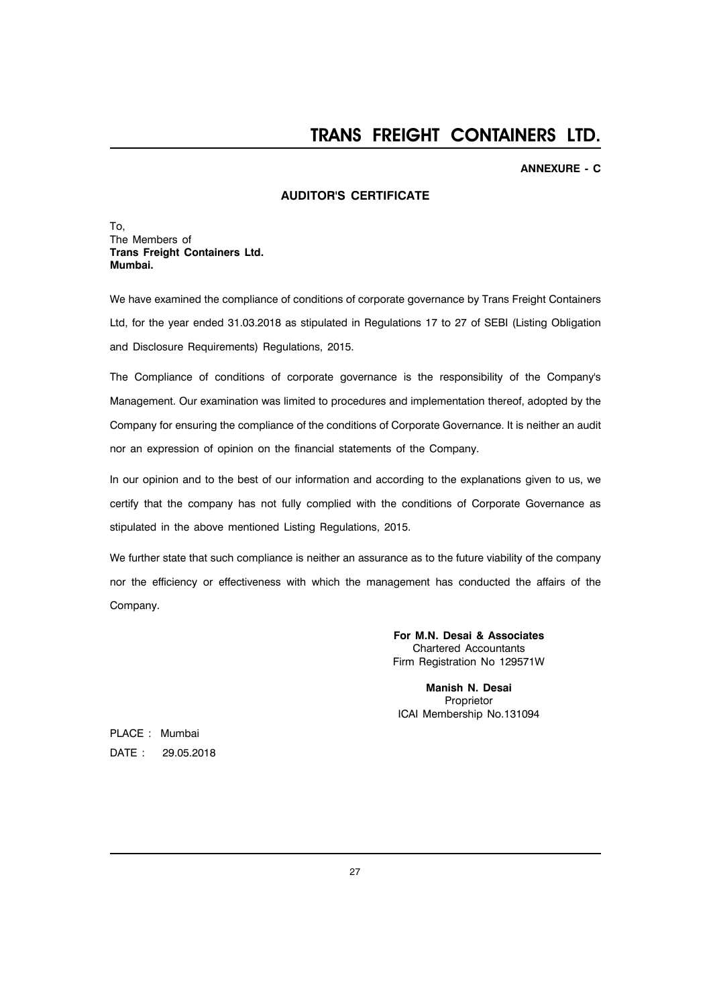**ANNEXURE - C**

# **AUDITOR'S CERTIFICATE**

To, The Members of **Trans Freight Containers Ltd. Mumbai.**

We have examined the compliance of conditions of corporate governance by Trans Freight Containers Ltd, for the year ended 31.03.2018 as stipulated in Regulations 17 to 27 of SEBI (Listing Obligation and Disclosure Requirements) Regulations, 2015.

The Compliance of conditions of corporate governance is the responsibility of the Company's Management. Our examination was limited to procedures and implementation thereof, adopted by the Company for ensuring the compliance of the conditions of Corporate Governance. It is neither an audit nor an expression of opinion on the financial statements of the Company.

In our opinion and to the best of our information and according to the explanations given to us, we certify that the company has not fully complied with the conditions of Corporate Governance as stipulated in the above mentioned Listing Regulations, 2015.

We further state that such compliance is neither an assurance as to the future viability of the company nor the efficiency or effectiveness with which the management has conducted the affairs of the Company.

> **For M.N. Desai & Associates** Chartered Accountants Firm Registration No 129571W

**Manish N. Desai** Proprietor ICAI Membership No.131094

PLACE : Mumbai DATE : 29.05.2018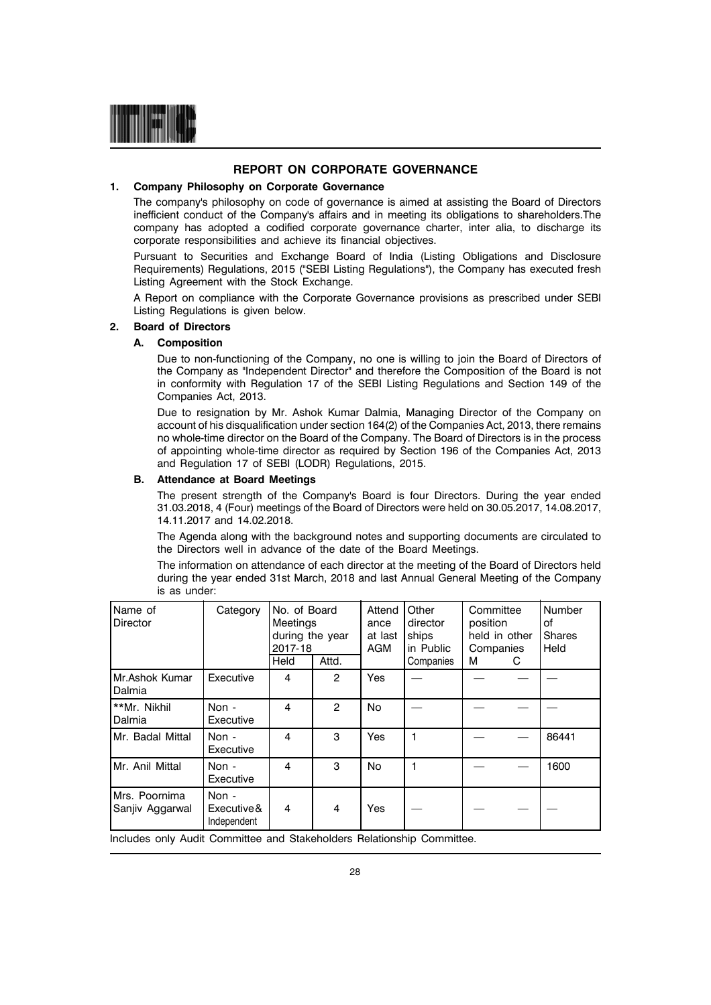

# **REPORT ON CORPORATE GOVERNANCE**

## **1. Company Philosophy on Corporate Governance**

The company's philosophy on code of governance is aimed at assisting the Board of Directors inefficient conduct of the Company's affairs and in meeting its obligations to shareholders.The company has adopted a codified corporate governance charter, inter alia, to discharge its corporate responsibilities and achieve its financial objectives.

Pursuant to Securities and Exchange Board of India (Listing Obligations and Disclosure Requirements) Regulations, 2015 ("SEBI Listing Regulations"), the Company has executed fresh Listing Agreement with the Stock Exchange.

A Report on compliance with the Corporate Governance provisions as prescribed under SEBI Listing Regulations is given below.

## **2. Board of Directors**

### **A. Composition**

Due to non-functioning of the Company, no one is willing to join the Board of Directors of the Company as "Independent Director" and therefore the Composition of the Board is not in conformity with Regulation 17 of the SEBI Listing Regulations and Section 149 of the Companies Act, 2013.

Due to resignation by Mr. Ashok Kumar Dalmia, Managing Director of the Company on account of his disqualification under section 164(2) of the Companies Act, 2013, there remains no whole-time director on the Board of the Company. The Board of Directors is in the process of appointing whole-time director as required by Section 196 of the Companies Act, 2013 and Regulation 17 of SEBI (LODR) Regulations, 2015.

# **B. Attendance at Board Meetings**

The present strength of the Company's Board is four Directors. During the year ended 31.03.2018, 4 (Four) meetings of the Board of Directors were held on 30.05.2017, 14.08.2017, 14.11.2017 and 14.02.2018.

The Agenda along with the background notes and supporting documents are circulated to the Directors well in advance of the date of the Board Meetings.

The information on attendance of each director at the meeting of the Board of Directors held during the year ended 31st March, 2018 and last Annual General Meeting of the Company is as under:

| Name of<br>Director              | Category                           | No. of Board<br>Meetings<br>during the year<br>2017-18<br>Held | Attd.          | Attend<br>ance<br>at last<br>AGM | Other<br>director<br>ships<br>in Public<br>Companies | Committee<br>position<br>held in other<br>Companies<br>м | С | Number<br>of<br><b>Shares</b><br>Held |
|----------------------------------|------------------------------------|----------------------------------------------------------------|----------------|----------------------------------|------------------------------------------------------|----------------------------------------------------------|---|---------------------------------------|
| Mr.Ashok Kumar<br>Dalmia         | Executive                          | 4                                                              | 2              | Yes                              |                                                      |                                                          |   |                                       |
| **Mr. Nikhil<br>Dalmia           | Non -<br>Executive                 | 4                                                              | $\overline{2}$ | <b>No</b>                        |                                                      |                                                          |   |                                       |
| Mr. Badal Mittal                 | Non -<br>Executive                 | 4                                                              | 3              | Yes                              | 1                                                    |                                                          |   | 86441                                 |
| Mr. Anil Mittal                  | Non -<br>Executive                 | 4                                                              | 3              | No.                              |                                                      |                                                          |   | 1600                                  |
| Mrs. Poornima<br>Sanjiv Aggarwal | Non -<br>Executive&<br>Independent | 4                                                              | 4              | Yes                              |                                                      |                                                          |   |                                       |

Includes only Audit Committee and Stakeholders Relationship Committee.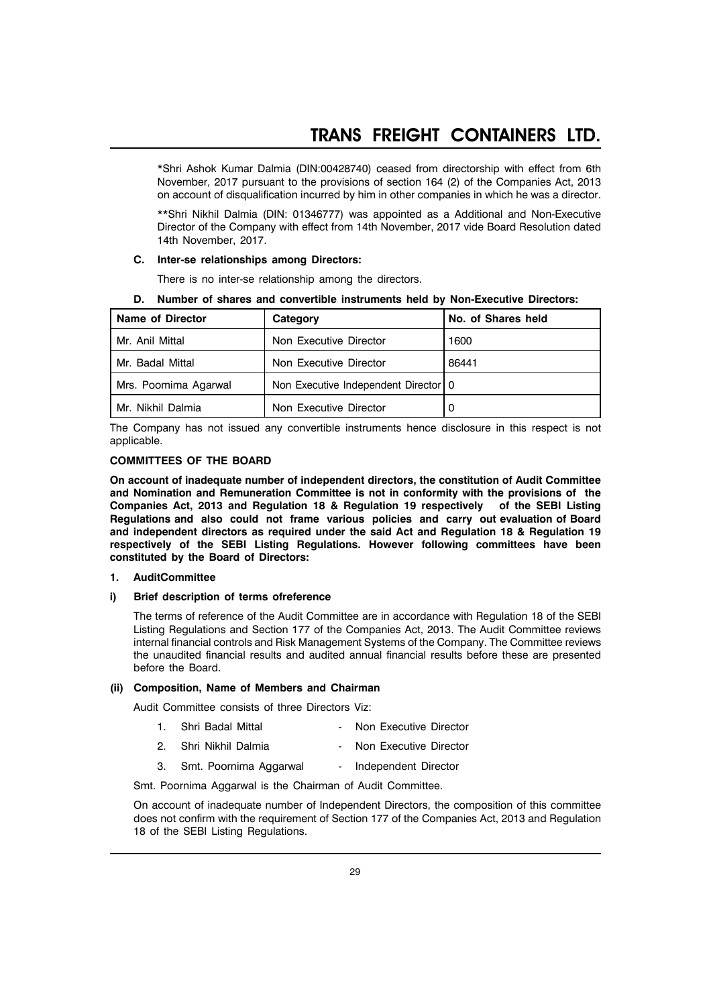\*Shri Ashok Kumar Dalmia (DIN:00428740) ceased from directorship with effect from 6th November, 2017 pursuant to the provisions of section 164 (2) of the Companies Act, 2013 on account of disqualification incurred by him in other companies in which he was a director.

\*\*Shri Nikhil Dalmia (DIN: 01346777) was appointed as a Additional and Non-Executive Director of the Company with effect from 14th November, 2017 vide Board Resolution dated 14th November, 2017.

#### **C. Inter-se relationships among Directors:**

There is no inter-se relationship among the directors.

#### **D. Number of shares and convertible instruments held by Non-Executive Directors:**

| Name of Director     | Category                               | No. of Shares held |
|----------------------|----------------------------------------|--------------------|
| Mr. Anil Mittal      | Non Executive Director                 | 1600               |
| Mr. Badal Mittal     | Non Executive Director                 | 86441              |
| Mrs. Poomima Agarwal | Non Executive Independent Director   0 |                    |
| Mr. Nikhil Dalmia    | Non Executive Director                 |                    |

The Company has not issued any convertible instruments hence disclosure in this respect is not applicable.

# **COMMITTEES OF THE BOARD**

**On account of inadequate number of independent directors, the constitution of Audit Committee and Nomination and Remuneration Committee is not in conformity with the provisions of the Companies Act, 2013 and Regulation 18 & Regulation 19 respectively of the SEBI Listing Regulations and also could not frame various policies and carry out evaluation of Board and independent directors as required under the said Act and Regulation 18 & Regulation 19 respectively of the SEBI Listing Regulations. However following committees have been constituted by the Board of Directors:**

#### **1. AuditCommittee**

## **i) Brief description of terms ofreference**

The terms of reference of the Audit Committee are in accordance with Regulation 18 of the SEBI Listing Regulations and Section 177 of the Companies Act, 2013. The Audit Committee reviews internal financial controls and Risk Management Systems of the Company. The Committee reviews the unaudited financial results and audited annual financial results before these are presented before the Board.

# **(ii) Composition, Name of Members and Chairman**

Audit Committee consists of three Directors Viz:

- 1. Shri Badal Mittal . . . . . . . Non Executive Director
- 2. Shri Nikhil Dalmia Non Executive Director
- 3. Smt. Poornima Aggarwal Independent Director

Smt. Poornima Aggarwal is the Chairman of Audit Committee.

On account of inadequate number of Independent Directors, the composition of this committee does not confirm with the requirement of Section 177 of the Companies Act, 2013 and Regulation 18 of the SEBI Listing Regulations.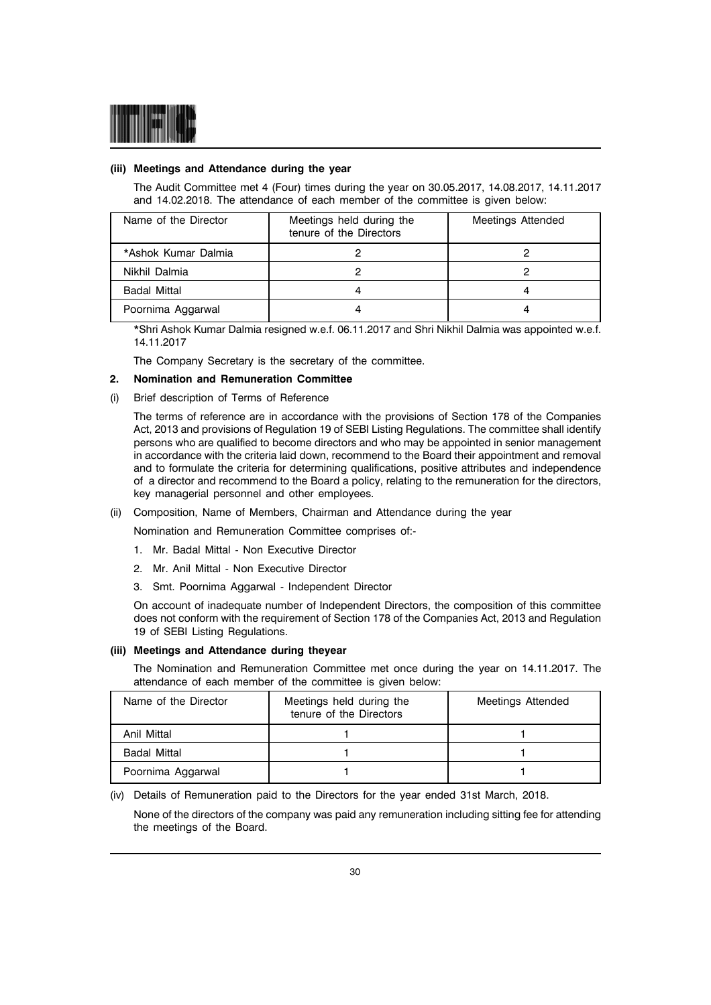

#### **(iii) Meetings and Attendance during the year**

The Audit Committee met 4 (Four) times during the year on 30.05.2017, 14.08.2017, 14.11.2017 and 14.02.2018. The attendance of each member of the committee is given below:

| Name of the Director | Meetings held during the<br>tenure of the Directors | Meetings Attended |
|----------------------|-----------------------------------------------------|-------------------|
| *Ashok Kumar Dalmia  |                                                     |                   |
| Nikhil Dalmia        |                                                     |                   |
| <b>Badal Mittal</b>  |                                                     |                   |
| Poornima Aggarwal    |                                                     |                   |

\*Shri Ashok Kumar Dalmia resigned w.e.f. 06.11.2017 and Shri Nikhil Dalmia was appointed w.e.f. 14.11.2017

The Company Secretary is the secretary of the committee.

#### **2. Nomination and Remuneration Committee**

(i) Brief description of Terms of Reference

The terms of reference are in accordance with the provisions of Section 178 of the Companies Act, 2013 and provisions of Regulation 19 of SEBI Listing Regulations. The committee shall identify persons who are qualified to become directors and who may be appointed in senior management in accordance with the criteria laid down, recommend to the Board their appointment and removal and to formulate the criteria for determining qualifications, positive attributes and independence of a director and recommend to the Board a policy, relating to the remuneration for the directors, key managerial personnel and other employees.

(ii) Composition, Name of Members, Chairman and Attendance during the year

Nomination and Remuneration Committee comprises of:-

- 1. Mr. Badal Mittal Non Executive Director
- 2. Mr. Anil Mittal Non Executive Director
- 3. Smt. Poornima Aggarwal Independent Director

On account of inadequate number of Independent Directors, the composition of this committee does not conform with the requirement of Section 178 of the Companies Act, 2013 and Regulation 19 of SEBI Listing Regulations.

## **(iii) Meetings and Attendance during theyear**

The Nomination and Remuneration Committee met once during the year on 14.11.2017. The attendance of each member of the committee is given below:

| Name of the Director | Meetings held during the<br>tenure of the Directors | Meetings Attended |
|----------------------|-----------------------------------------------------|-------------------|
| Anil Mittal          |                                                     |                   |
| Badal Mittal         |                                                     |                   |
| Poornima Aggarwal    |                                                     |                   |

(iv) Details of Remuneration paid to the Directors for the year ended 31st March, 2018.

None of the directors of the company was paid any remuneration including sitting fee for attending the meetings of the Board.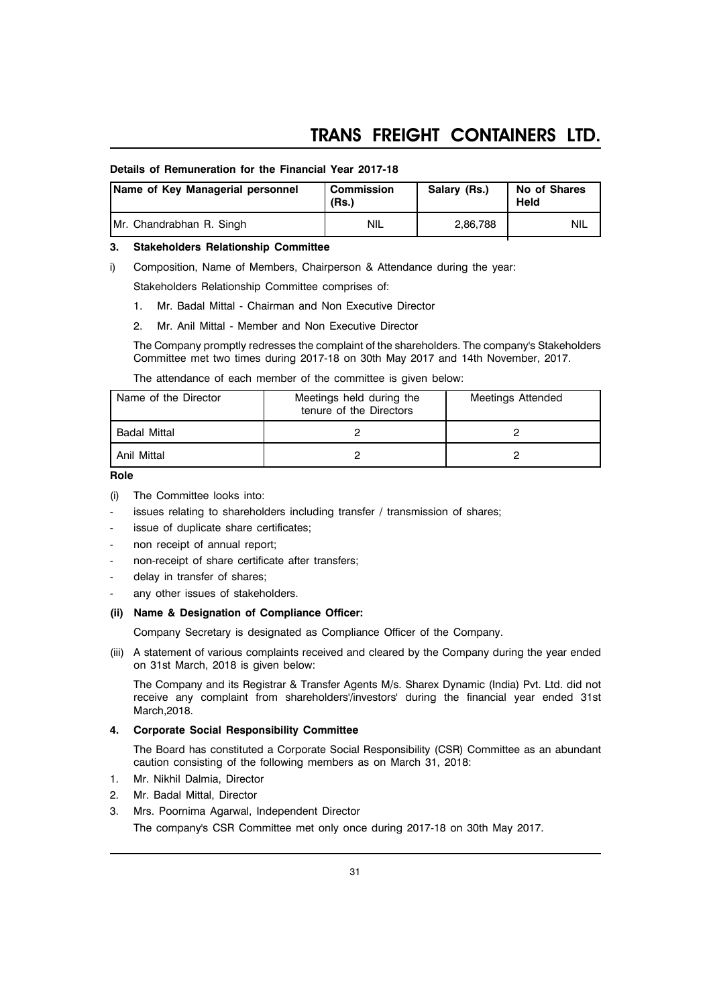## **Details of Remuneration for the Financial Year 2017-18**

| Name of Key Managerial personnel | <b>Commission</b><br>Salary (Rs.)<br>(Rs.) |          | No of Shares<br>Held |
|----------------------------------|--------------------------------------------|----------|----------------------|
| Mr. Chandrabhan R. Singh         | <b>NIL</b>                                 | 2.86.788 | NIL                  |

## **3. Stakeholders Relationship Committee**

i) Composition, Name of Members, Chairperson & Attendance during the year:

Stakeholders Relationship Committee comprises of:

- 1. Mr. Badal Mittal Chairman and Non Executive Director
- 2. Mr. Anil Mittal Member and Non Executive Director

The Company promptly redresses the complaint of the shareholders. The company's Stakeholders Committee met two times during 2017-18 on 30th May 2017 and 14th November, 2017.

### The attendance of each member of the committee is given below:

| Name of the Director | Meetings held during the<br>tenure of the Directors | Meetings Attended |
|----------------------|-----------------------------------------------------|-------------------|
| Badal Mittal         |                                                     |                   |
| Anil Mittal          |                                                     |                   |

#### **Role**

- (i) The Committee looks into:
- issues relating to shareholders including transfer / transmission of shares;
- issue of duplicate share certificates;
- non receipt of annual report;
- non-receipt of share certificate after transfers;
- delay in transfer of shares;
- any other issues of stakeholders.

#### **(ii) Name & Designation of Compliance Officer:**

Company Secretary is designated as Compliance Officer of the Company.

(iii) A statement of various complaints received and cleared by the Company during the year ended on 31st March, 2018 is given below:

The Company and its Registrar & Transfer Agents M/s. Sharex Dynamic (India) Pvt. Ltd. did not receive any complaint from shareholders'/investors' during the financial year ended 31st March,2018.

#### **4. Corporate Social Responsibility Committee**

The Board has constituted a Corporate Social Responsibility (CSR) Committee as an abundant caution consisting of the following members as on March 31, 2018:

- 1. Mr. Nikhil Dalmia, Director
- 2. Mr. Badal Mittal, Director
- 3. Mrs. Poornima Agarwal, Independent Director

The company's CSR Committee met only once during 2017-18 on 30th May 2017.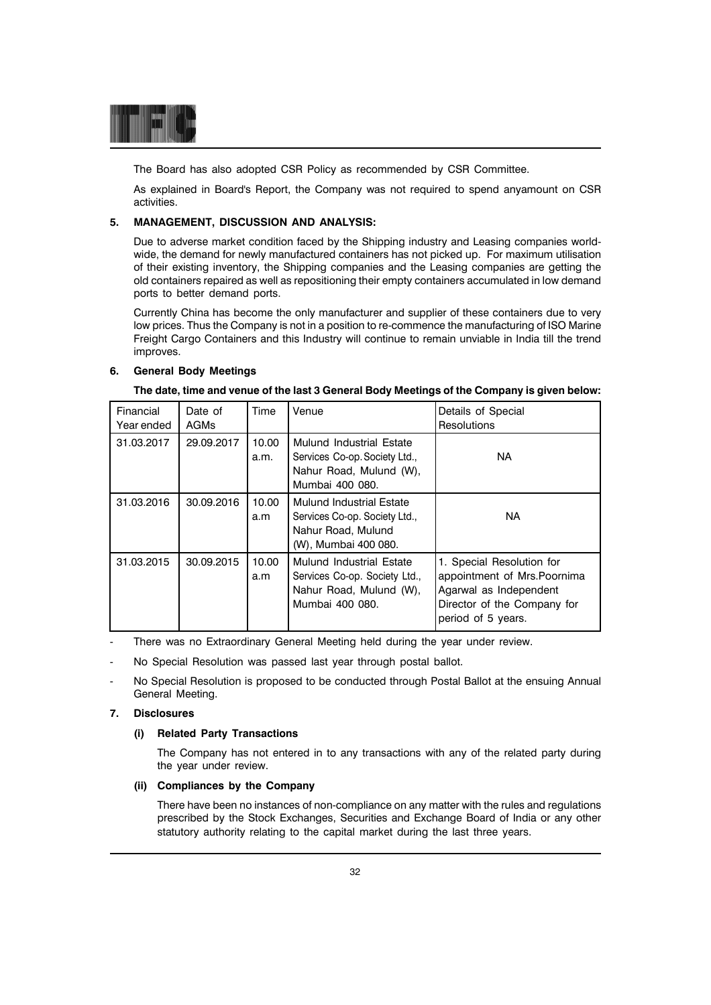

The Board has also adopted CSR Policy as recommended by CSR Committee.

As explained in Board's Report, the Company was not required to spend anyamount on CSR activities.

# **5. MANAGEMENT, DISCUSSION AND ANALYSIS:**

Due to adverse market condition faced by the Shipping industry and Leasing companies worldwide, the demand for newly manufactured containers has not picked up. For maximum utilisation of their existing inventory, the Shipping companies and the Leasing companies are getting the old containers repaired as well as repositioning their empty containers accumulated in low demand ports to better demand ports.

Currently China has become the only manufacturer and supplier of these containers due to very low prices. Thus the Company is not in a position to re-commence the manufacturing of ISO Marine Freight Cargo Containers and this Industry will continue to remain unviable in India till the trend improves.

#### **6. General Body Meetings**

#### **The date, time and venue of the last 3 General Body Meetings of the Company is given below:**

| Financial<br>Year ended | Date of<br>AGMs | Time          | Venue                                                                                                   | Details of Special<br>Resolutions                                                                                                        |
|-------------------------|-----------------|---------------|---------------------------------------------------------------------------------------------------------|------------------------------------------------------------------------------------------------------------------------------------------|
| 31.03.2017              | 29.09.2017      | 10.00<br>a.m. | Mulund Industrial Estate<br>Services Co-op. Society Ltd.,<br>Nahur Road, Mulund (W),<br>Mumbai 400 080. | NA.                                                                                                                                      |
| 31.03.2016              | 30.09.2016      | 10.00<br>a.m  | Mulund Industrial Estate<br>Services Co-op. Society Ltd.,<br>Nahur Road, Mulund<br>(W), Mumbai 400 080. | NA.                                                                                                                                      |
| 31.03.2015              | 30.09.2015      | 10.00<br>a.m  | Mulund Industrial Estate<br>Services Co-op. Society Ltd.,<br>Nahur Road, Mulund (W),<br>Mumbai 400 080. | 1. Special Resolution for<br>appointment of Mrs. Poornima<br>Agarwal as Independent<br>Director of the Company for<br>period of 5 years. |

There was no Extraordinary General Meeting held during the year under review.

- No Special Resolution was passed last year through postal ballot.
- No Special Resolution is proposed to be conducted through Postal Ballot at the ensuing Annual General Meeting.

#### **7. Disclosures**

#### **(i) Related Party Transactions**

The Company has not entered in to any transactions with any of the related party during the year under review.

#### **(ii) Compliances by the Company**

There have been no instances of non-compliance on any matter with the rules and regulations prescribed by the Stock Exchanges, Securities and Exchange Board of India or any other statutory authority relating to the capital market during the last three years.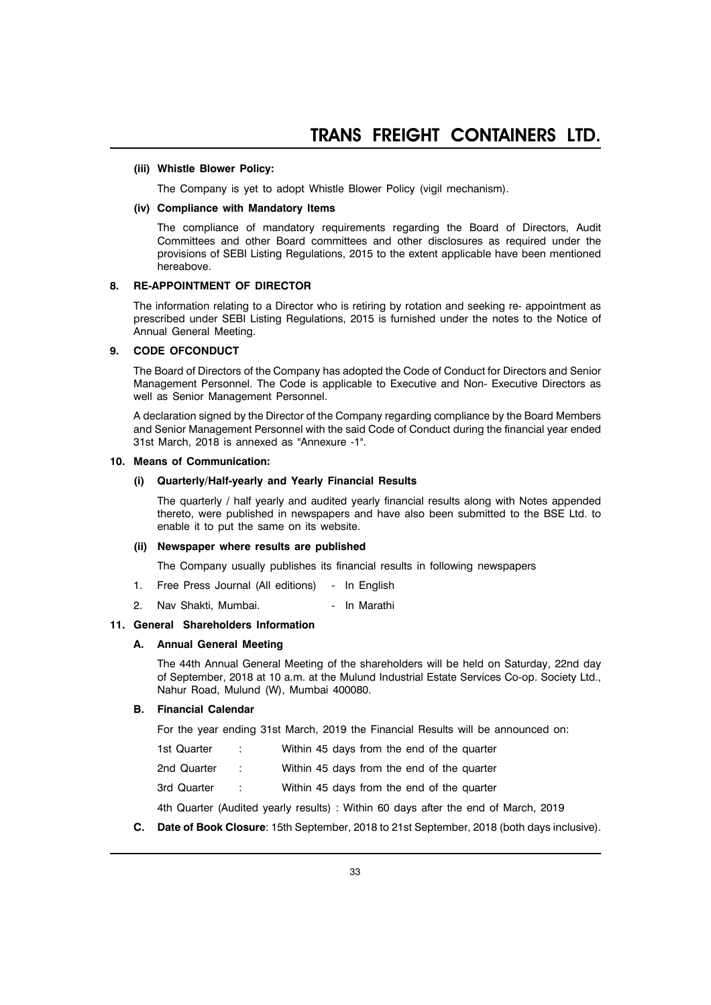#### **(iii) Whistle Blower Policy:**

The Company is yet to adopt Whistle Blower Policy (vigil mechanism).

#### **(iv) Compliance with Mandatory Items**

The compliance of mandatory requirements regarding the Board of Directors, Audit Committees and other Board committees and other disclosures as required under the provisions of SEBI Listing Regulations, 2015 to the extent applicable have been mentioned hereabove.

## **8. RE-APPOINTMENT OF DIRECTOR**

The information relating to a Director who is retiring by rotation and seeking re- appointment as prescribed under SEBI Listing Regulations, 2015 is furnished under the notes to the Notice of Annual General Meeting.

#### **9. CODE OFCONDUCT**

The Board of Directors of the Company has adopted the Code of Conduct for Directors and Senior Management Personnel. The Code is applicable to Executive and Non- Executive Directors as well as Senior Management Personnel.

A declaration signed by the Director of the Company regarding compliance by the Board Members and Senior Management Personnel with the said Code of Conduct during the financial year ended 31st March, 2018 is annexed as "Annexure -1".

#### **10. Means of Communication:**

#### **(i) Quarterly/Half-yearly and Yearly Financial Results**

The quarterly / half yearly and audited yearly financial results along with Notes appended thereto, were published in newspapers and have also been submitted to the BSE Ltd. to enable it to put the same on its website.

#### **(ii) Newspaper where results are published**

The Company usually publishes its financial results in following newspapers

- 1. Free Press Journal (All editions) In English
- 2. Nav Shakti, Mumbai. **1988 In Marathi**

# **11. General Shareholders Information**

# **A. Annual General Meeting**

The 44th Annual General Meeting of the shareholders will be held on Saturday, 22nd day of September, 2018 at 10 a.m. at the Mulund Industrial Estate Services Co-op. Society Ltd., Nahur Road, Mulund (W), Mumbai 400080.

## **B. Financial Calendar**

For the year ending 31st March, 2019 the Financial Results will be announced on:

- 1st Quarter : Within 45 days from the end of the quarter
- 2nd Quarter : Within 45 days from the end of the quarter
- 3rd Quarter : Within 45 days from the end of the quarter

4th Quarter (Audited yearly results) : Within 60 days after the end of March, 2019

**C. Date of Book Closure**: 15th September, 2018 to 21st September, 2018 (both days inclusive).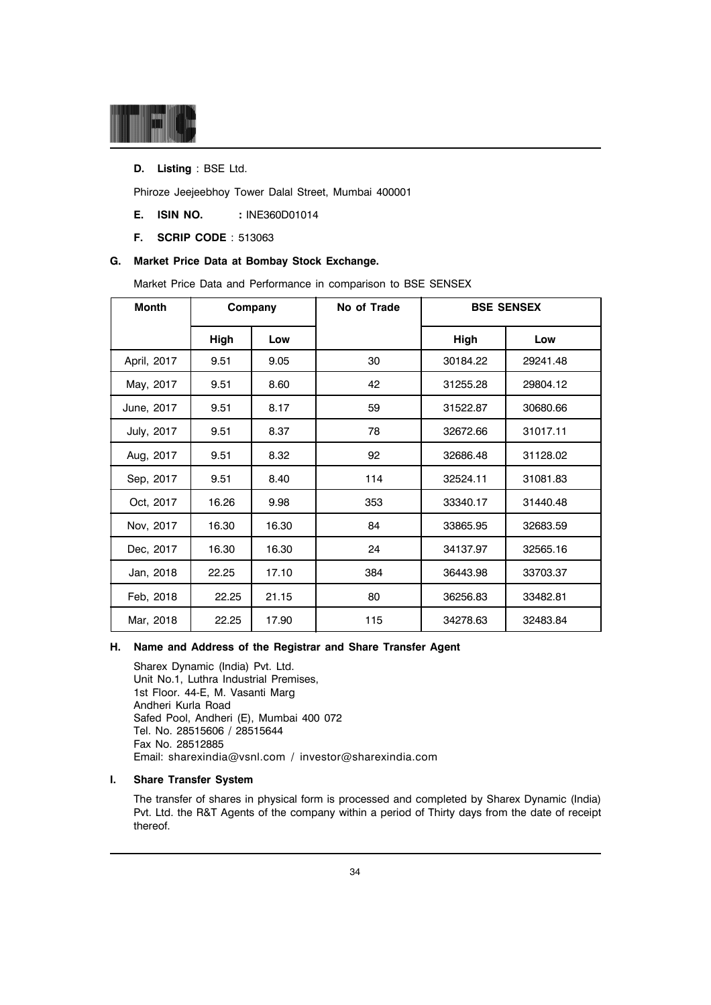

**D. Listing** : BSE Ltd.

Phiroze Jeejeebhoy Tower Dalal Street, Mumbai 400001

- **E. ISIN NO. :** INE360D01014
- **F. SCRIP CODE** : 513063

#### **G. Market Price Data at Bombay Stock Exchange.**

|  |  | Market Price Data and Performance in comparison to BSE SENSEX |  |  |  |  |
|--|--|---------------------------------------------------------------|--|--|--|--|
|--|--|---------------------------------------------------------------|--|--|--|--|

| <b>Month</b> |             | Company | No of Trade | <b>BSE SENSEX</b> |          |
|--------------|-------------|---------|-------------|-------------------|----------|
|              | <b>High</b> | Low     |             | High              | Low      |
| April, 2017  | 9.51        | 9.05    | 30          | 30184.22          | 29241.48 |
| May, 2017    | 9.51        | 8.60    | 42          | 31255.28          | 29804.12 |
| June, 2017   | 9.51        | 8.17    | 59          | 31522.87          | 30680.66 |
| July, 2017   | 9.51        | 8.37    | 78          | 32672.66          | 31017.11 |
| Aug, 2017    | 9.51        | 8.32    | 92          | 32686.48          | 31128.02 |
| Sep, 2017    | 9.51        | 8.40    | 114         | 32524.11          | 31081.83 |
| Oct, 2017    | 16.26       | 9.98    | 353         | 33340.17          | 31440.48 |
| Nov, 2017    | 16.30       | 16.30   | 84          | 33865.95          | 32683.59 |
| Dec, 2017    | 16.30       | 16.30   | 24          | 34137.97          | 32565.16 |
| Jan, 2018    | 22.25       | 17.10   | 384         | 36443.98          | 33703.37 |
| Feb, 2018    | 22.25       | 21.15   | 80          | 36256.83          | 33482.81 |
| Mar, 2018    | 22.25       | 17.90   | 115         | 34278.63          | 32483.84 |

## **H. Name and Address of the Registrar and Share Transfer Agent**

Sharex Dynamic (India) Pvt. Ltd. Unit No.1, Luthra Industrial Premises, 1st Floor. 44-E, M. Vasanti Marg Andheri Kurla Road Safed Pool, Andheri (E), Mumbai 400 072 Tel. No. 28515606 / 28515644 Fax No. 28512885 Email: sharexindia@vsnl.com / investor@sharexindia.com

# **I. Share Transfer System**

The transfer of shares in physical form is processed and completed by Sharex Dynamic (India) Pvt. Ltd. the R&T Agents of the company within a period of Thirty days from the date of receipt thereof.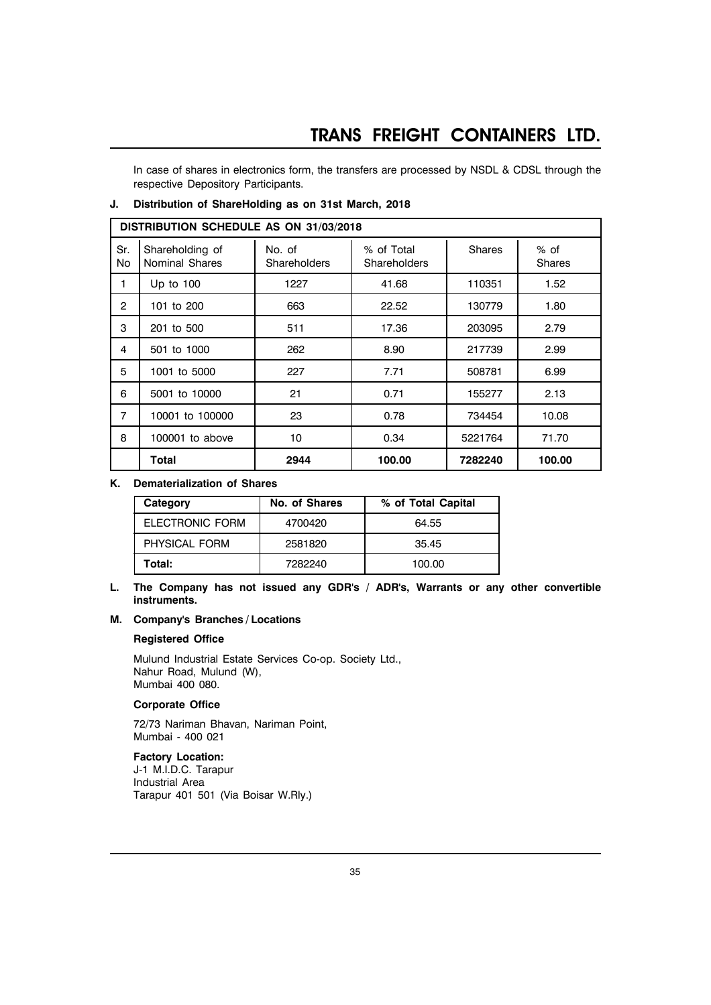In case of shares in electronics form, the transfers are processed by NSDL & CDSL through the respective Depository Participants.

### **J. Distribution of ShareHolding as on 31st March, 2018**

|           | DISTRIBUTION SCHEDULE AS ON 31/03/2018 |                               |                                   |               |                         |
|-----------|----------------------------------------|-------------------------------|-----------------------------------|---------------|-------------------------|
| Sr.<br>No | Shareholding of<br>Nominal Shares      | No. of<br><b>Shareholders</b> | % of Total<br><b>Shareholders</b> | <b>Shares</b> | $%$ of<br><b>Shares</b> |
| 1.        | Up to $100$                            | 1227                          | 41.68                             | 110351        | 1.52                    |
| 2         | 101 to 200                             | 663                           | 22.52                             | 130779        | 1.80                    |
| 3         | 201 to 500                             | 511                           | 17.36                             | 203095        | 2.79                    |
| 4         | 501 to 1000                            | 262                           | 8.90                              | 217739        | 2.99                    |
| 5         | 1001 to 5000                           | 227                           | 7.71                              | 508781        | 6.99                    |
| 6         | 5001 to 10000                          | 21                            | 0.71                              | 155277        | 2.13                    |
| 7         | 10001 to 100000                        | 23                            | 0.78                              | 734454        | 10.08                   |
| 8         | 100001 to above                        | 10                            | 0.34                              | 5221764       | 71.70                   |
|           | Total                                  | 2944                          | 100.00                            | 7282240       | 100.00                  |

# **K. Dematerialization of Shares**

| Category        | No. of Shares | % of Total Capital |
|-----------------|---------------|--------------------|
| ELECTRONIC FORM | 4700420       | 64.55              |
| PHYSICAL FORM   | 2581820       | 35.45              |
| Total:          | 7282240       | 100.00             |

### **L. The Company has not issued any GDR's / ADR's, Warrants or any other convertible instruments.**

# **M. Company's Branches / Locations**

### **Registered Office**

Mulund Industrial Estate Services Co-op. Society Ltd., Nahur Road, Mulund (W), Mumbai 400 080.

# **Corporate Office**

72/73 Nariman Bhavan, Nariman Point, Mumbai - 400 021

### **Factory Location:**

J-1 M.I.D.C. Tarapur Industrial Area Tarapur 401 501 (Via Boisar W.Rly.)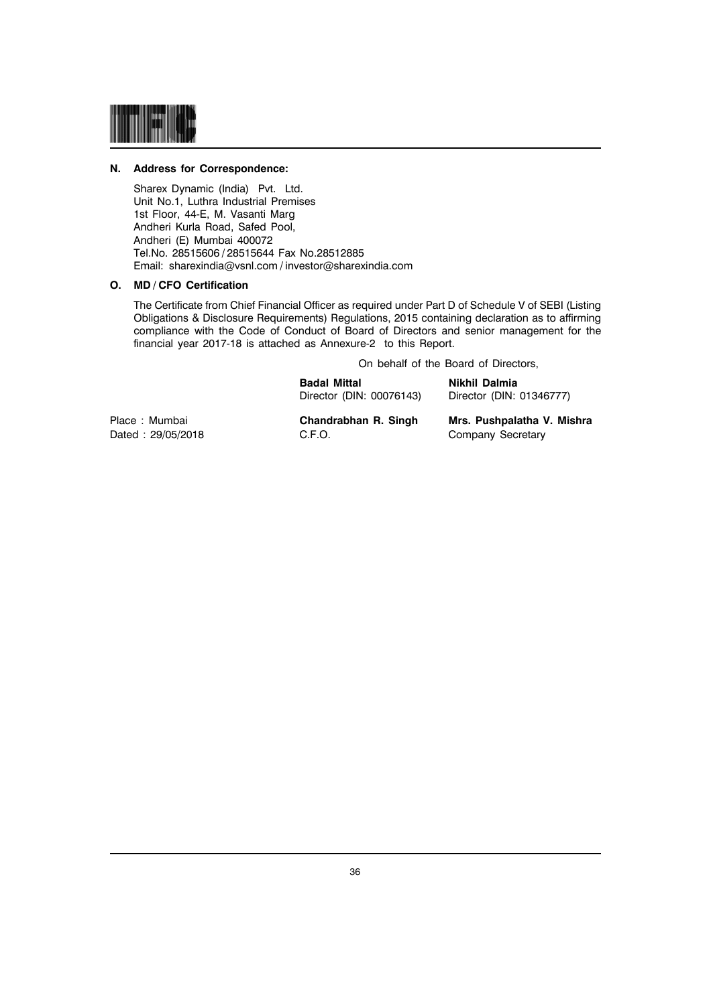

# **N. Address for Correspondence:**

Sharex Dynamic (India) Pvt. Ltd. Unit No.1, Luthra Industrial Premises 1st Floor, 44-E, M. Vasanti Marg Andheri Kurla Road, Safed Pool, Andheri (E) Mumbai 400072 Tel.No. 28515606 / 28515644 Fax No.28512885 Email: sharexindia@vsnl.com / investor@sharexindia.com

### **O. MD / CFO Certification**

The Certificate from Chief Financial Officer as required under Part D of Schedule V of SEBI (Listing Obligations & Disclosure Requirements) Regulations, 2015 containing declaration as to affirming compliance with the Code of Conduct of Board of Directors and senior management for the financial year 2017-18 is attached as Annexure-2 to this Report.

On behalf of the Board of Directors,

|                   | <b>Badal Mittal</b><br>Director (DIN: 00076143) | Nikhil Dalmia<br>Director (DIN: 01346777) |
|-------------------|-------------------------------------------------|-------------------------------------------|
| Place: Mumbai     | Chandrabhan R. Singh                            | Mrs. Pushpalatha V. Mishra                |
| Dated: 29/05/2018 | C.F.O.                                          | Company Secretary                         |

36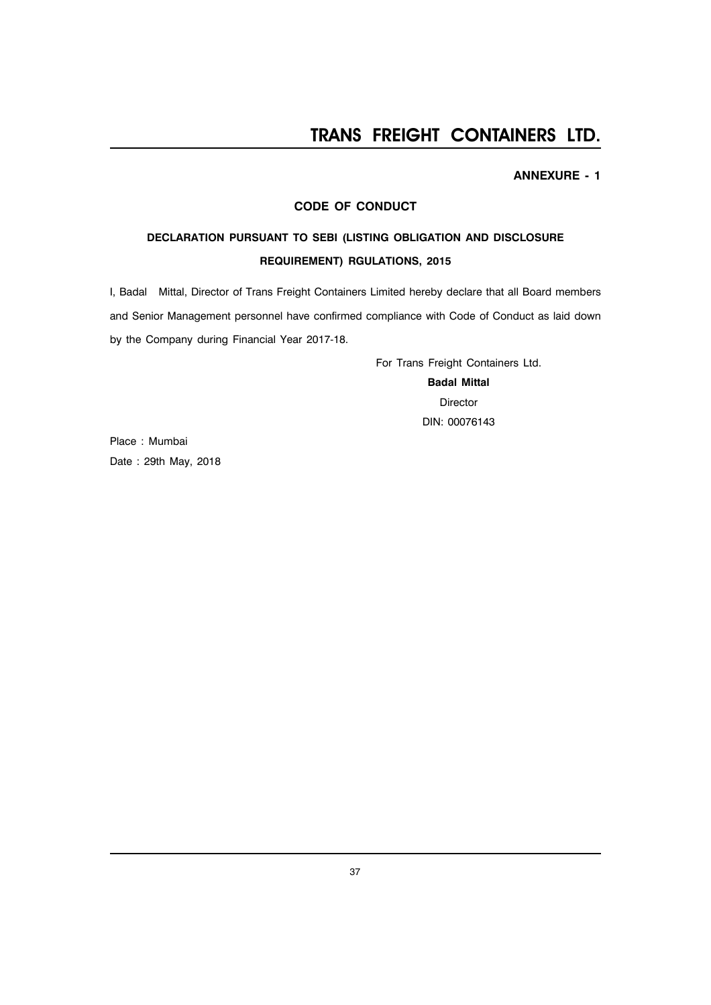# **ANNEXURE - 1**

# **CODE OF CONDUCT**

# **DECLARATION PURSUANT TO SEBI (LISTING OBLIGATION AND DISCLOSURE REQUIREMENT) RGULATIONS, 2015**

I, Badal Mittal, Director of Trans Freight Containers Limited hereby declare that all Board members and Senior Management personnel have confirmed compliance with Code of Conduct as laid down by the Company during Financial Year 2017-18.

> For Trans Freight Containers Ltd. **Badal Mittal Director** DIN: 00076143

Place : Mumbai Date : 29th May, 2018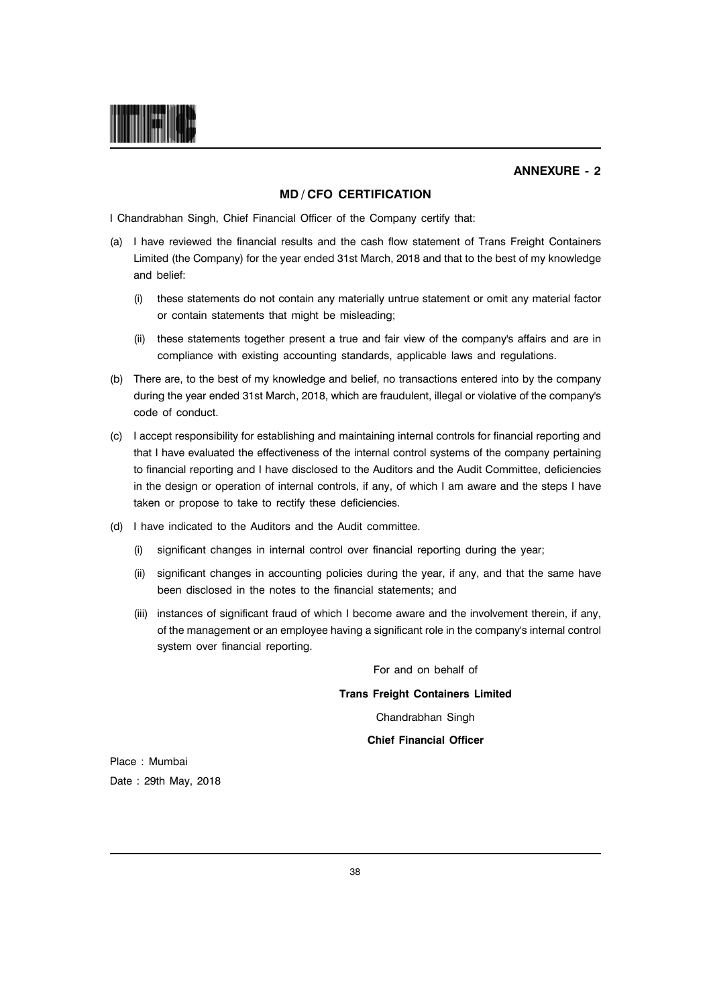

# **ANNEXURE - 2**

### **MD / CFO CERTIFICATION**

I Chandrabhan Singh, Chief Financial Officer of the Company certify that:

- (a) I have reviewed the financial results and the cash flow statement of Trans Freight Containers Limited (the Company) for the year ended 31st March, 2018 and that to the best of my knowledge and belief:
	- (i) these statements do not contain any materially untrue statement or omit any material factor or contain statements that might be misleading;
	- (ii) these statements together present a true and fair view of the company's affairs and are in compliance with existing accounting standards, applicable laws and regulations.
- (b) There are, to the best of my knowledge and belief, no transactions entered into by the company during the year ended 31st March, 2018, which are fraudulent, illegal or violative of the company's code of conduct.
- (c) I accept responsibility for establishing and maintaining internal controls for financial reporting and that I have evaluated the effectiveness of the internal control systems of the company pertaining to financial reporting and I have disclosed to the Auditors and the Audit Committee, deficiencies in the design or operation of internal controls, if any, of which I am aware and the steps I have taken or propose to take to rectify these deficiencies.
- (d) I have indicated to the Auditors and the Audit committee.
	- (i) significant changes in internal control over financial reporting during the year;
	- (ii) significant changes in accounting policies during the year, if any, and that the same have been disclosed in the notes to the financial statements; and
	- (iii) instances of significant fraud of which I become aware and the involvement therein, if any, of the management or an employee having a significant role in the company's internal control system over financial reporting.

For and on behalf of

**Trans Freight Containers Limited**

Chandrabhan Singh

**Chief Financial Officer**

Place : Mumbai Date : 29th May, 2018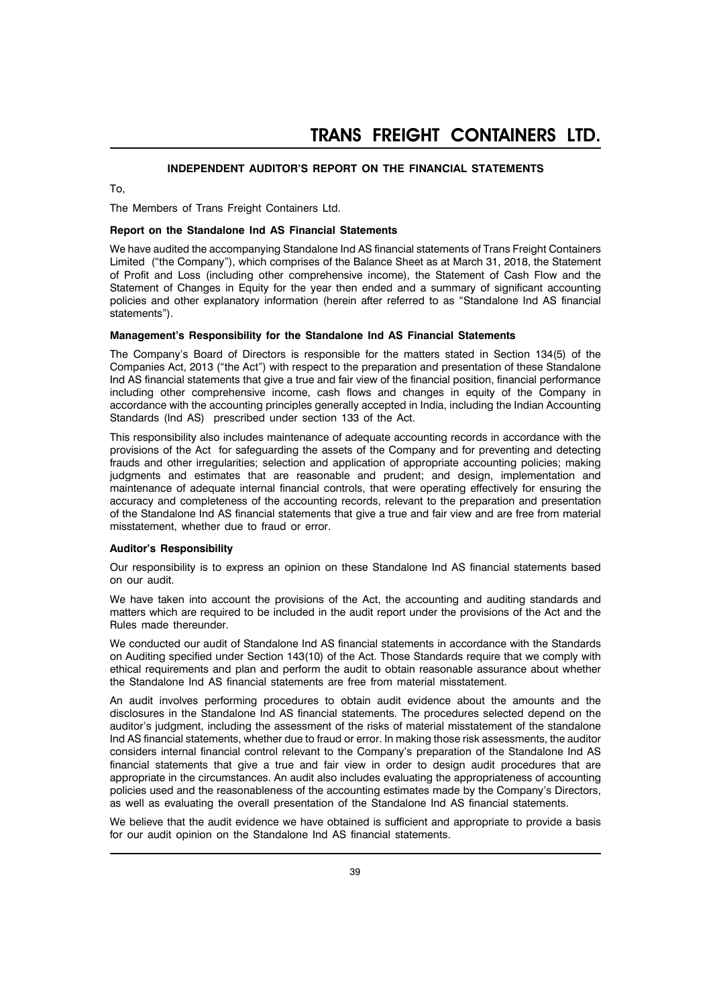### **INDEPENDENT AUDITOR'S REPORT ON THE FINANCIAL STATEMENTS**

To,

The Members of Trans Freight Containers Ltd.

### **Report on the Standalone Ind AS Financial Statements**

We have audited the accompanying Standalone Ind AS financial statements of Trans Freight Containers Limited ("the Company"), which comprises of the Balance Sheet as at March 31, 2018, the Statement of Profit and Loss (including other comprehensive income), the Statement of Cash Flow and the Statement of Changes in Equity for the year then ended and a summary of significant accounting policies and other explanatory information (herein after referred to as "Standalone Ind AS financial statements").

### **Management's Responsibility for the Standalone Ind AS Financial Statements**

The Company's Board of Directors is responsible for the matters stated in Section 134(5) of the Companies Act, 2013 ("the Act") with respect to the preparation and presentation of these Standalone Ind AS financial statements that give a true and fair view of the financial position, financial performance including other comprehensive income, cash flows and changes in equity of the Company in accordance with the accounting principles generally accepted in India, including the Indian Accounting Standards (Ind AS) prescribed under section 133 of the Act.

This responsibility also includes maintenance of adequate accounting records in accordance with the provisions of the Act for safeguarding the assets of the Company and for preventing and detecting frauds and other irregularities; selection and application of appropriate accounting policies; making judgments and estimates that are reasonable and prudent; and design, implementation and maintenance of adequate internal financial controls, that were operating effectively for ensuring the accuracy and completeness of the accounting records, relevant to the preparation and presentation of the Standalone Ind AS financial statements that give a true and fair view and are free from material misstatement, whether due to fraud or error.

### **Auditor's Responsibility**

Our responsibility is to express an opinion on these Standalone Ind AS financial statements based on our audit.

We have taken into account the provisions of the Act, the accounting and auditing standards and matters which are required to be included in the audit report under the provisions of the Act and the Rules made thereunder.

We conducted our audit of Standalone Ind AS financial statements in accordance with the Standards on Auditing specified under Section 143(10) of the Act. Those Standards require that we comply with ethical requirements and plan and perform the audit to obtain reasonable assurance about whether the Standalone Ind AS financial statements are free from material misstatement.

An audit involves performing procedures to obtain audit evidence about the amounts and the disclosures in the Standalone Ind AS financial statements. The procedures selected depend on the auditor's judgment, including the assessment of the risks of material misstatement of the standalone Ind AS financial statements, whether due to fraud or error. In making those risk assessments, the auditor considers internal financial control relevant to the Company's preparation of the Standalone Ind AS financial statements that give a true and fair view in order to design audit procedures that are appropriate in the circumstances. An audit also includes evaluating the appropriateness of accounting policies used and the reasonableness of the accounting estimates made by the Company's Directors, as well as evaluating the overall presentation of the Standalone Ind AS financial statements.

We believe that the audit evidence we have obtained is sufficient and appropriate to provide a basis for our audit opinion on the Standalone Ind AS financial statements.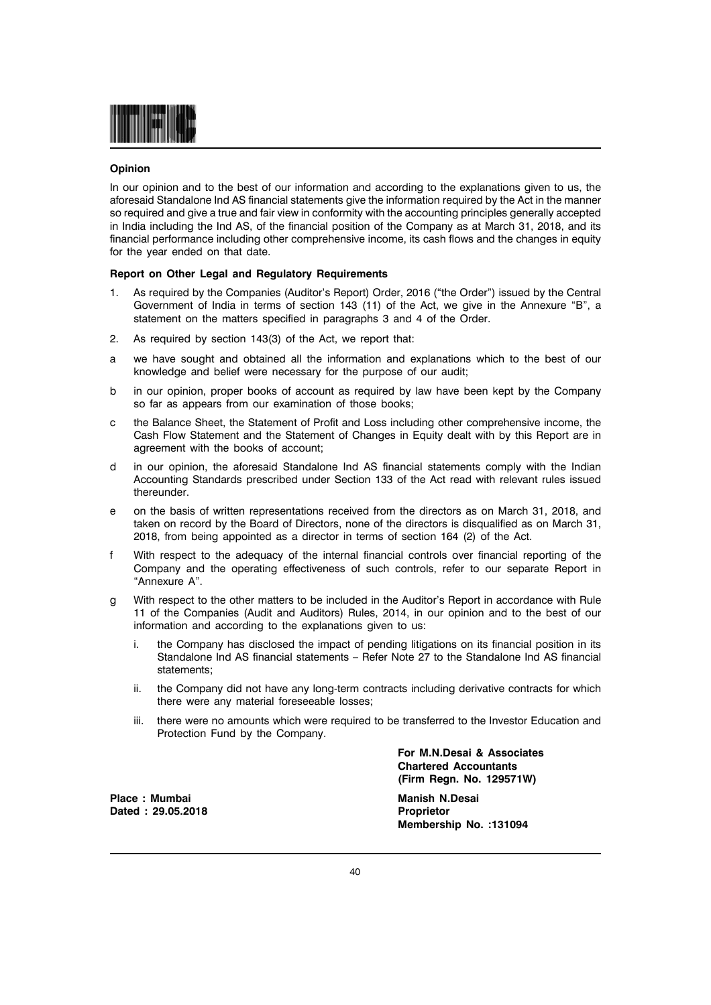

### **Opinion**

In our opinion and to the best of our information and according to the explanations given to us, the aforesaid Standalone Ind AS financial statements give the information required by the Act in the manner so required and give a true and fair view in conformity with the accounting principles generally accepted in India including the Ind AS, of the financial position of the Company as at March 31, 2018, and its financial performance including other comprehensive income, its cash flows and the changes in equity for the year ended on that date.

# **Report on Other Legal and Regulatory Requirements**

- 1. As required by the Companies (Auditor's Report) Order, 2016 ("the Order") issued by the Central Government of India in terms of section 143 (11) of the Act, we give in the Annexure "B", a statement on the matters specified in paragraphs 3 and 4 of the Order.
- 2. As required by section 143(3) of the Act, we report that:
- a we have sought and obtained all the information and explanations which to the best of our knowledge and belief were necessary for the purpose of our audit;
- b in our opinion, proper books of account as required by law have been kept by the Company so far as appears from our examination of those books;
- c the Balance Sheet, the Statement of Profit and Loss including other comprehensive income, the Cash Flow Statement and the Statement of Changes in Equity dealt with by this Report are in agreement with the books of account;
- d in our opinion, the aforesaid Standalone Ind AS financial statements comply with the Indian Accounting Standards prescribed under Section 133 of the Act read with relevant rules issued thereunder.
- e on the basis of written representations received from the directors as on March 31, 2018, and taken on record by the Board of Directors, none of the directors is disqualified as on March 31, 2018, from being appointed as a director in terms of section 164 (2) of the Act.
- f With respect to the adequacy of the internal financial controls over financial reporting of the Company and the operating effectiveness of such controls, refer to our separate Report in "Annexure A".
- g With respect to the other matters to be included in the Auditor's Report in accordance with Rule 11 of the Companies (Audit and Auditors) Rules, 2014, in our opinion and to the best of our information and according to the explanations given to us:
	- i. the Company has disclosed the impact of pending litigations on its financial position in its Standalone Ind AS financial statements – Refer Note 27 to the Standalone Ind AS financial statements;
	- ii. the Company did not have any long-term contracts including derivative contracts for which there were any material foreseeable losses;
	- iii. there were no amounts which were required to be transferred to the Investor Education and Protection Fund by the Company.

Place : Mumbai **Manish N.Desai Dated : 29.05.2018 Proprietor**

**For M.N.Desai & Associates Chartered Accountants (Firm Regn. No. 129571W)**

**Membership No. :131094**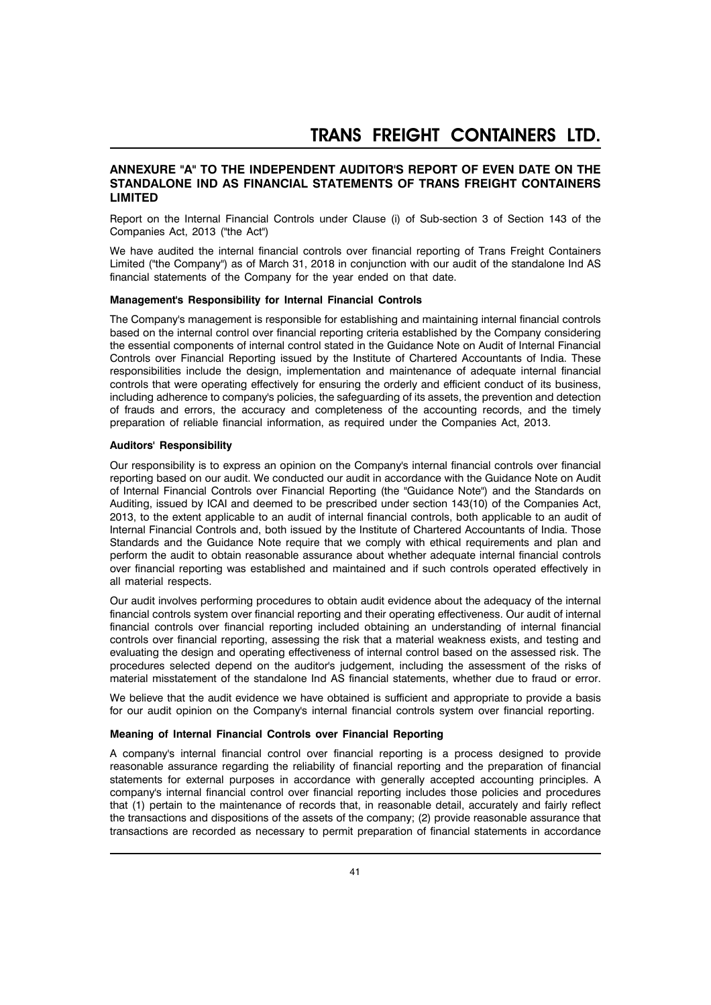# **ANNEXURE "A" TO THE INDEPENDENT AUDITOR'S REPORT OF EVEN DATE ON THE STANDALONE IND AS FINANCIAL STATEMENTS OF TRANS FREIGHT CONTAINERS LIMITED**

Report on the Internal Financial Controls under Clause (i) of Sub-section 3 of Section 143 of the Companies Act, 2013 ("the Act")

We have audited the internal financial controls over financial reporting of Trans Freight Containers Limited ("the Company") as of March 31, 2018 in conjunction with our audit of the standalone Ind AS financial statements of the Company for the year ended on that date.

#### **Management's Responsibility for Internal Financial Controls**

The Company's management is responsible for establishing and maintaining internal financial controls based on the internal control over financial reporting criteria established by the Company considering the essential components of internal control stated in the Guidance Note on Audit of Internal Financial Controls over Financial Reporting issued by the Institute of Chartered Accountants of India. These responsibilities include the design, implementation and maintenance of adequate internal financial controls that were operating effectively for ensuring the orderly and efficient conduct of its business, including adherence to company's policies, the safeguarding of its assets, the prevention and detection of frauds and errors, the accuracy and completeness of the accounting records, and the timely preparation of reliable financial information, as required under the Companies Act, 2013.

#### **Auditors' Responsibility**

Our responsibility is to express an opinion on the Company's internal financial controls over financial reporting based on our audit. We conducted our audit in accordance with the Guidance Note on Audit of Internal Financial Controls over Financial Reporting (the "Guidance Note") and the Standards on Auditing, issued by ICAI and deemed to be prescribed under section 143(10) of the Companies Act, 2013, to the extent applicable to an audit of internal financial controls, both applicable to an audit of Internal Financial Controls and, both issued by the Institute of Chartered Accountants of India. Those Standards and the Guidance Note require that we comply with ethical requirements and plan and perform the audit to obtain reasonable assurance about whether adequate internal financial controls over financial reporting was established and maintained and if such controls operated effectively in all material respects.

Our audit involves performing procedures to obtain audit evidence about the adequacy of the internal financial controls system over financial reporting and their operating effectiveness. Our audit of internal financial controls over financial reporting included obtaining an understanding of internal financial controls over financial reporting, assessing the risk that a material weakness exists, and testing and evaluating the design and operating effectiveness of internal control based on the assessed risk. The procedures selected depend on the auditor's judgement, including the assessment of the risks of material misstatement of the standalone Ind AS financial statements, whether due to fraud or error.

We believe that the audit evidence we have obtained is sufficient and appropriate to provide a basis for our audit opinion on the Company's internal financial controls system over financial reporting.

### **Meaning of Internal Financial Controls over Financial Reporting**

A company's internal financial control over financial reporting is a process designed to provide reasonable assurance regarding the reliability of financial reporting and the preparation of financial statements for external purposes in accordance with generally accepted accounting principles. A company's internal financial control over financial reporting includes those policies and procedures that (1) pertain to the maintenance of records that, in reasonable detail, accurately and fairly reflect the transactions and dispositions of the assets of the company; (2) provide reasonable assurance that transactions are recorded as necessary to permit preparation of financial statements in accordance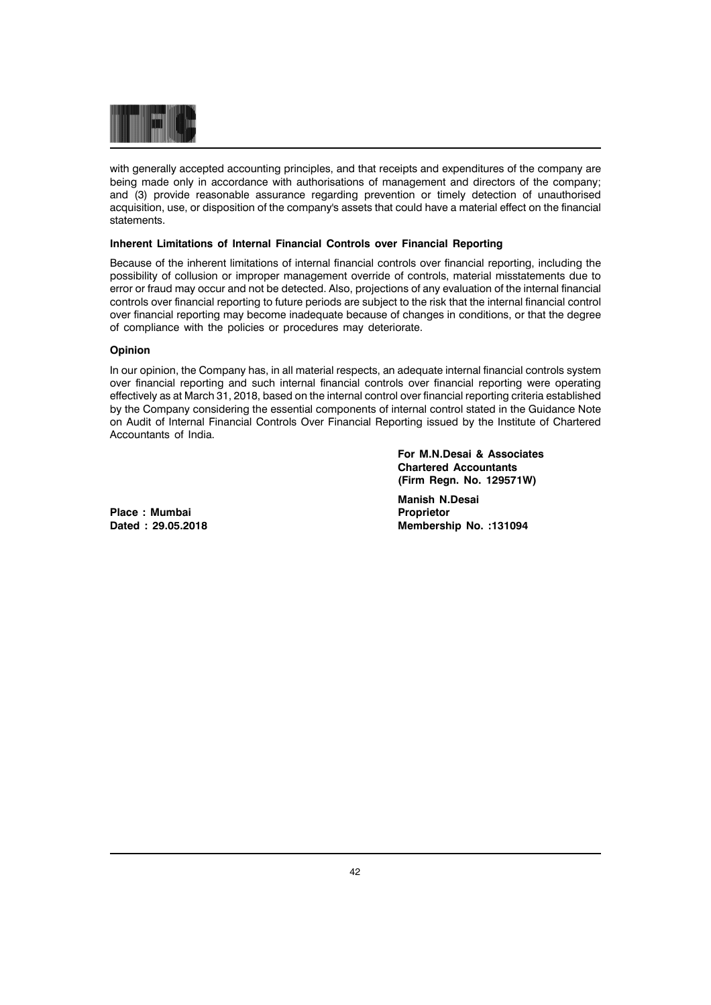

with generally accepted accounting principles, and that receipts and expenditures of the company are being made only in accordance with authorisations of management and directors of the company; and (3) provide reasonable assurance regarding prevention or timely detection of unauthorised acquisition, use, or disposition of the company's assets that could have a material effect on the financial statements.

### **Inherent Limitations of Internal Financial Controls over Financial Reporting**

Because of the inherent limitations of internal financial controls over financial reporting, including the possibility of collusion or improper management override of controls, material misstatements due to error or fraud may occur and not be detected. Also, projections of any evaluation of the internal financial controls over financial reporting to future periods are subject to the risk that the internal financial control over financial reporting may become inadequate because of changes in conditions, or that the degree of compliance with the policies or procedures may deteriorate.

### **Opinion**

In our opinion, the Company has, in all material respects, an adequate internal financial controls system over financial reporting and such internal financial controls over financial reporting were operating effectively as at March 31, 2018, based on the internal control over financial reporting criteria established by the Company considering the essential components of internal control stated in the Guidance Note on Audit of Internal Financial Controls Over Financial Reporting issued by the Institute of Chartered Accountants of India.

> **For M.N.Desai & Associates Chartered Accountants (Firm Regn. No. 129571W)**

Place:Mumbai Proprietor<br>Dated:29.05.2018 Membersh

**Manish N.Desai** Membership No. :131094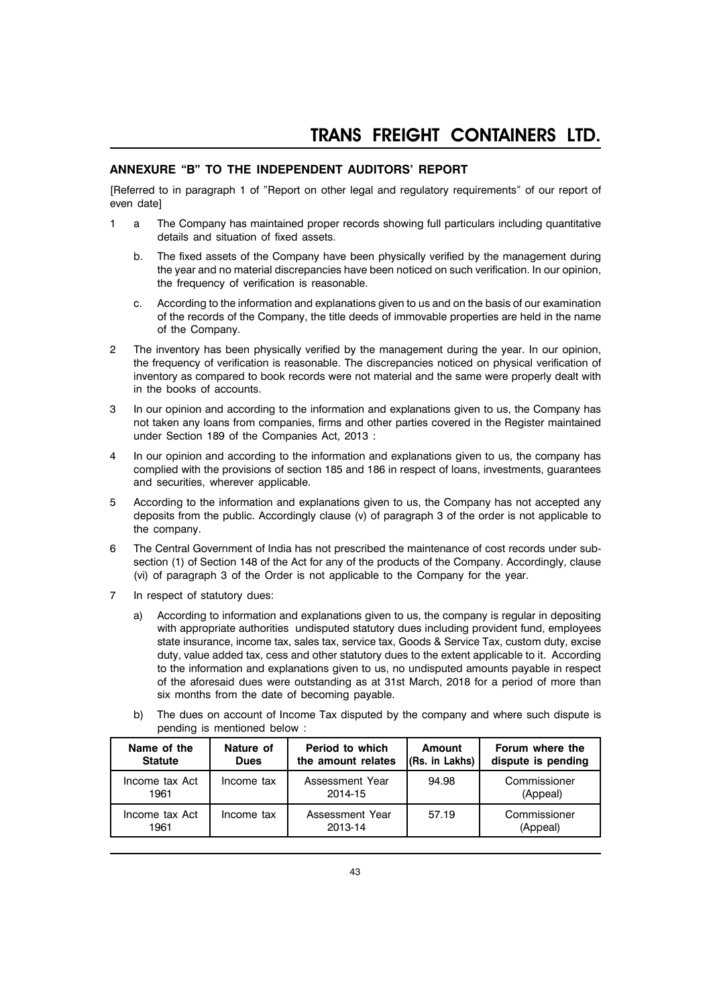# **ANNEXURE "B" TO THE INDEPENDENT AUDITORS' REPORT**

[Referred to in paragraph 1 of "Report on other legal and regulatory requirements" of our report of even date]

- 1 a The Company has maintained proper records showing full particulars including quantitative details and situation of fixed assets.
	- b. The fixed assets of the Company have been physically verified by the management during the year and no material discrepancies have been noticed on such verification. In our opinion, the frequency of verification is reasonable.
	- c. According to the information and explanations given to us and on the basis of our examination of the records of the Company, the title deeds of immovable properties are held in the name of the Company.
- 2 The inventory has been physically verified by the management during the year. In our opinion, the frequency of verification is reasonable. The discrepancies noticed on physical verification of inventory as compared to book records were not material and the same were properly dealt with in the books of accounts.
- 3 In our opinion and according to the information and explanations given to us, the Company has not taken any loans from companies, firms and other parties covered in the Register maintained under Section 189 of the Companies Act, 2013 :
- 4 In our opinion and according to the information and explanations given to us, the company has complied with the provisions of section 185 and 186 in respect of loans, investments, guarantees and securities, wherever applicable.
- 5 According to the information and explanations given to us, the Company has not accepted any deposits from the public. Accordingly clause (v) of paragraph 3 of the order is not applicable to the company.
- 6 The Central Government of India has not prescribed the maintenance of cost records under subsection (1) of Section 148 of the Act for any of the products of the Company. Accordingly, clause (vi) of paragraph 3 of the Order is not applicable to the Company for the year.
- 7 In respect of statutory dues:
	- a) According to information and explanations given to us, the company is regular in depositing with appropriate authorities undisputed statutory dues including provident fund, employees state insurance, income tax, sales tax, service tax, Goods & Service Tax, custom duty, excise duty, value added tax, cess and other statutory dues to the extent applicable to it. According to the information and explanations given to us, no undisputed amounts payable in respect of the aforesaid dues were outstanding as at 31st March, 2018 for a period of more than six months from the date of becoming payable.
	- b) The dues on account of Income Tax disputed by the company and where such dispute is pending is mentioned below :

| Name of the<br><b>Statute</b> | Nature of<br><b>Dues</b> | Period to which<br>the amount relates | Amount<br>$ $ (Rs. in Lakhs) | Forum where the<br>dispute is pending |
|-------------------------------|--------------------------|---------------------------------------|------------------------------|---------------------------------------|
| Income tax Act<br>1961        | Income tax               | Assessment Year<br>2014-15            | 94.98                        | Commissioner<br>(Appeal)              |
| Income tax Act<br>1961        | Income tax               | Assessment Year<br>2013-14            | 57.19                        | Commissioner<br>(Appeal)              |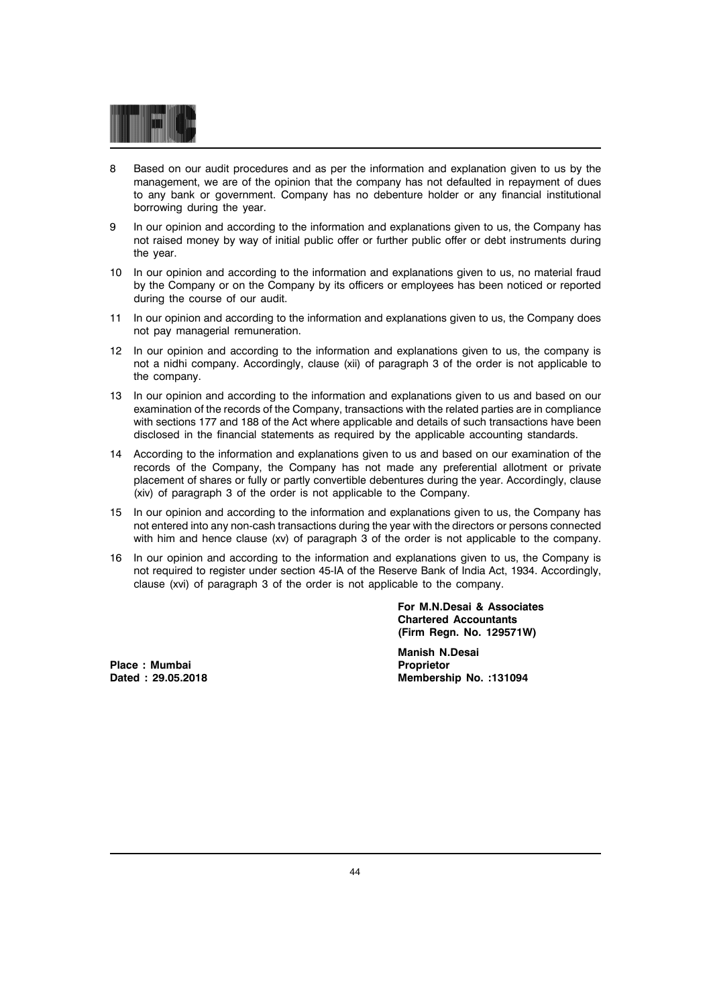

- 8 Based on our audit procedures and as per the information and explanation given to us by the management, we are of the opinion that the company has not defaulted in repayment of dues to any bank or government. Company has no debenture holder or any financial institutional borrowing during the year.
- 9 In our opinion and according to the information and explanations given to us, the Company has not raised money by way of initial public offer or further public offer or debt instruments during the year.
- 10 In our opinion and according to the information and explanations given to us, no material fraud by the Company or on the Company by its officers or employees has been noticed or reported during the course of our audit.
- 11 In our opinion and according to the information and explanations given to us, the Company does not pay managerial remuneration.
- 12 In our opinion and according to the information and explanations given to us, the company is not a nidhi company. Accordingly, clause (xii) of paragraph 3 of the order is not applicable to the company.
- 13 In our opinion and according to the information and explanations given to us and based on our examination of the records of the Company, transactions with the related parties are in compliance with sections 177 and 188 of the Act where applicable and details of such transactions have been disclosed in the financial statements as required by the applicable accounting standards.
- 14 According to the information and explanations given to us and based on our examination of the records of the Company, the Company has not made any preferential allotment or private placement of shares or fully or partly convertible debentures during the year. Accordingly, clause (xiv) of paragraph 3 of the order is not applicable to the Company.
- 15 In our opinion and according to the information and explanations given to us, the Company has not entered into any non-cash transactions during the year with the directors or persons connected with him and hence clause (xv) of paragraph 3 of the order is not applicable to the company.
- 16 In our opinion and according to the information and explanations given to us, the Company is not required to register under section 45-IA of the Reserve Bank of India Act, 1934. Accordingly, clause (xvi) of paragraph 3 of the order is not applicable to the company.

Place : Mumbai **Proprietor** 

**For M.N.Desai & Associates Chartered Accountants (Firm Regn. No. 129571W)**

**Manish N.Desai Dated : 29.05.2018 Membership No. :131094**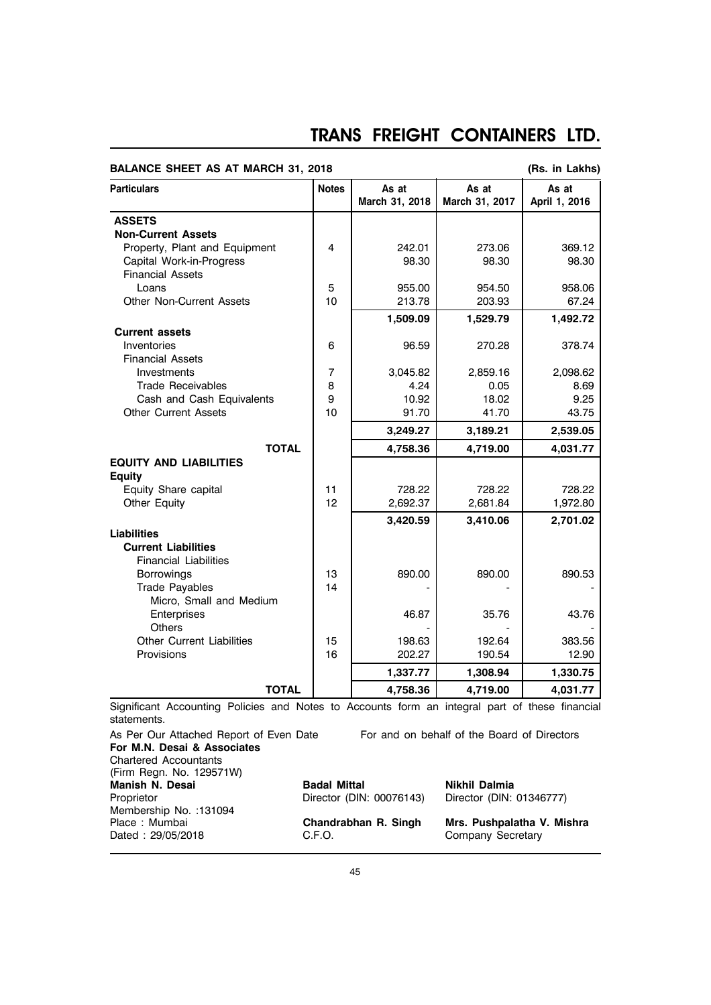# BALANCE SHEET AS AT MARCH 31, 2018 **(RS. in Lakhs)**

| <b>Particulars</b>               | <b>Notes</b> | As at          | As at          | As at         |
|----------------------------------|--------------|----------------|----------------|---------------|
|                                  |              | March 31, 2018 | March 31, 2017 | April 1, 2016 |
| <b>ASSETS</b>                    |              |                |                |               |
| <b>Non-Current Assets</b>        |              |                |                |               |
| Property, Plant and Equipment    | 4            | 242.01         | 273.06         | 369.12        |
| Capital Work-in-Progress         |              | 98.30          | 98.30          | 98.30         |
| <b>Financial Assets</b>          |              |                |                |               |
| Loans                            | 5            | 955.00         | 954.50         | 958.06        |
| <b>Other Non-Current Assets</b>  | 10           | 213.78         | 203.93         | 67.24         |
|                                  |              | 1,509.09       | 1,529.79       | 1,492.72      |
| <b>Current assets</b>            |              |                |                |               |
| Inventories                      | 6            | 96.59          | 270.28         | 378.74        |
| <b>Financial Assets</b>          |              |                |                |               |
| Investments                      | 7            | 3,045.82       | 2,859.16       | 2,098.62      |
| <b>Trade Receivables</b>         | 8            | 4.24           | 0.05           | 8.69          |
| Cash and Cash Equivalents        | 9            | 10.92          | 18.02          | 9.25          |
| <b>Other Current Assets</b>      | 10           | 91.70          | 41.70          | 43.75         |
|                                  |              | 3,249.27       | 3,189.21       | 2,539.05      |
| <b>TOTAL</b>                     |              | 4,758.36       | 4,719.00       | 4,031.77      |
| <b>EQUITY AND LIABILITIES</b>    |              |                |                |               |
| <b>Equity</b>                    |              |                |                |               |
| Equity Share capital             | 11           | 728.22         | 728.22         | 728.22        |
| Other Equity                     | 12           | 2,692.37       | 2,681.84       | 1,972.80      |
|                                  |              | 3,420.59       | 3,410.06       | 2,701.02      |
| <b>Liabilities</b>               |              |                |                |               |
| <b>Current Liabilities</b>       |              |                |                |               |
| <b>Financial Liabilities</b>     |              |                |                |               |
| <b>Borrowings</b>                | 13           | 890.00         | 890.00         | 890.53        |
| <b>Trade Payables</b>            | 14           |                |                |               |
| Micro, Small and Medium          |              |                |                |               |
| Enterprises                      |              | 46.87          | 35.76          | 43.76         |
| Others                           |              |                |                |               |
| <b>Other Current Liabilities</b> | 15           | 198.63         | 192.64         | 383.56        |
| Provisions                       | 16           | 202.27         | 190.54         | 12.90         |
|                                  |              | 1,337.77       | 1,308.94       | 1,330.75      |
| <b>TOTAL</b>                     |              | 4,758.36       | 4,719.00       | 4,031.77      |

Significant Accounting Policies and Notes to Accounts form an integral part of these financial statements.

As Per Our Attached Report of Even Date For and on behalf of the Board of Directors **For M.N. Desai & Associates** Chartered Accountants (Firm Regn. No. 129571W) **Manish N. Desai Badal Mittal Mittal Proprietor (DIN: 00076143)** Director (DIN: 01346777) Director (DIN: 00076143) Membership No. : 131094<br>Place : Mumbai Place : Mumbai **Chandrabhan R. Singh Mrs. Pushpalatha V. Mishra** Company Secretary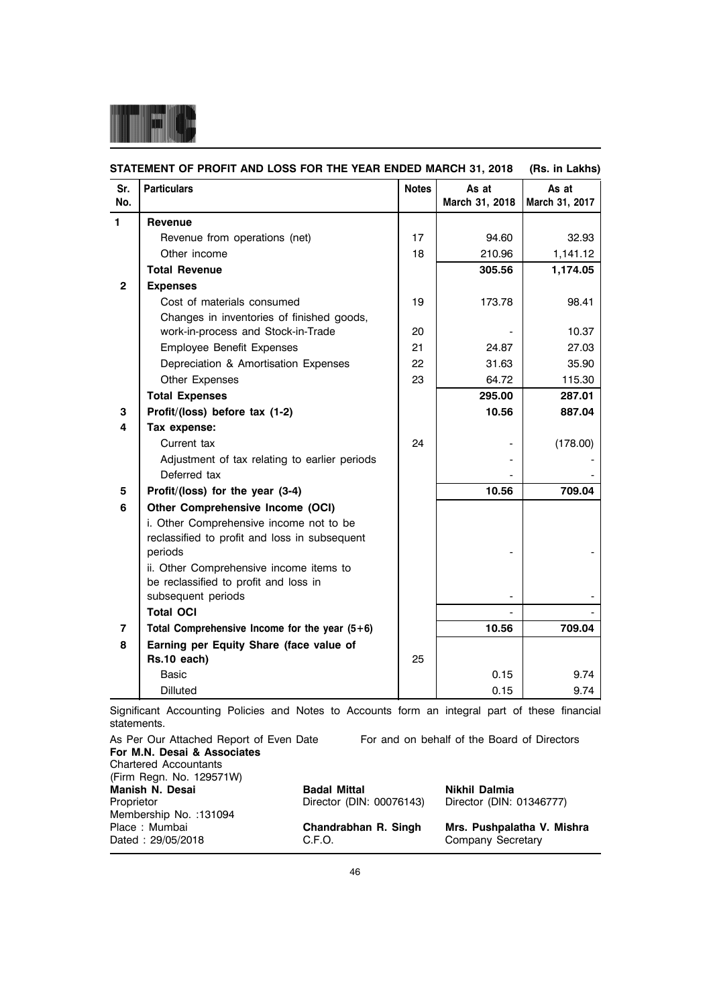

|              | STATEMENT OF PROFIT AND LOSS FOR THE YEAR ENDED MARCH 31, 2018 |              |                         | (Rs. in Lakhs)          |
|--------------|----------------------------------------------------------------|--------------|-------------------------|-------------------------|
| Sr.<br>No.   | <b>Particulars</b>                                             | <b>Notes</b> | As at<br>March 31, 2018 | As at<br>March 31, 2017 |
| 1            | Revenue                                                        |              |                         |                         |
|              | Revenue from operations (net)                                  | 17           | 94.60                   | 32.93                   |
|              | Other income                                                   | 18           | 210.96                  | 1,141.12                |
|              | <b>Total Revenue</b>                                           |              | 305.56                  | 1,174.05                |
| $\mathbf{2}$ | <b>Expenses</b>                                                |              |                         |                         |
|              | Cost of materials consumed                                     | 19           | 173.78                  | 98.41                   |
|              | Changes in inventories of finished goods,                      |              |                         |                         |
|              | work-in-process and Stock-in-Trade                             | 20           |                         | 10.37                   |
|              | <b>Employee Benefit Expenses</b>                               | 21           | 24.87                   | 27.03                   |
|              | Depreciation & Amortisation Expenses                           | 22           | 31.63                   | 35.90                   |
|              | Other Expenses                                                 | 23           | 64.72                   | 115.30                  |
|              | <b>Total Expenses</b>                                          |              | 295,00                  | 287.01                  |
| 3            | Profit/(loss) before tax (1-2)                                 |              | 10.56                   | 887.04                  |
| 4            | Tax expense:                                                   |              |                         |                         |
|              | Current tax                                                    | 24           |                         | (178.00)                |
|              | Adjustment of tax relating to earlier periods                  |              |                         |                         |
|              | Deferred tax                                                   |              |                         |                         |
| 5            | Profit/(loss) for the year (3-4)                               |              | 10.56                   | 709.04                  |
| 6            | Other Comprehensive Income (OCI)                               |              |                         |                         |
|              | i. Other Comprehensive income not to be                        |              |                         |                         |
|              | reclassified to profit and loss in subsequent                  |              |                         |                         |
|              | periods                                                        |              |                         |                         |
|              | ii. Other Comprehensive income items to                        |              |                         |                         |
|              | be reclassified to profit and loss in                          |              |                         |                         |
|              | subsequent periods                                             |              |                         |                         |
|              | <b>Total OCI</b>                                               |              |                         |                         |
| 7            | Total Comprehensive Income for the year $(5+6)$                |              | 10.56                   | 709.04                  |
| 8            | Earning per Equity Share (face value of                        |              |                         |                         |
|              | Rs.10 each)                                                    | 25           |                         |                         |
|              | Basic                                                          |              | 0.15                    | 9.74                    |
|              | <b>Dilluted</b>                                                |              | 0.15                    | 9.74                    |

Significant Accounting Policies and Notes to Accounts form an integral part of these financial statements.

| As Per Our Attached Report of Even Date<br>For M.N. Desai & Associates<br><b>Chartered Accountants</b><br>(Firm Regn. No. 129571W) |                          | For and on behalf of the Board of Directors |
|------------------------------------------------------------------------------------------------------------------------------------|--------------------------|---------------------------------------------|
| Manish N. Desai                                                                                                                    | <b>Badal Mittal</b>      | Nikhil Dalmia                               |
| Proprietor                                                                                                                         | Director (DIN: 00076143) | Director (DIN: 01346777)                    |
| Membership No. : 131094                                                                                                            |                          |                                             |
| Place: Mumbai                                                                                                                      | Chandrabhan R. Singh     | Mrs. Pushpalatha V. Mishra                  |
| Dated: 29/05/2018                                                                                                                  | C.F.O.                   | Company Secretary                           |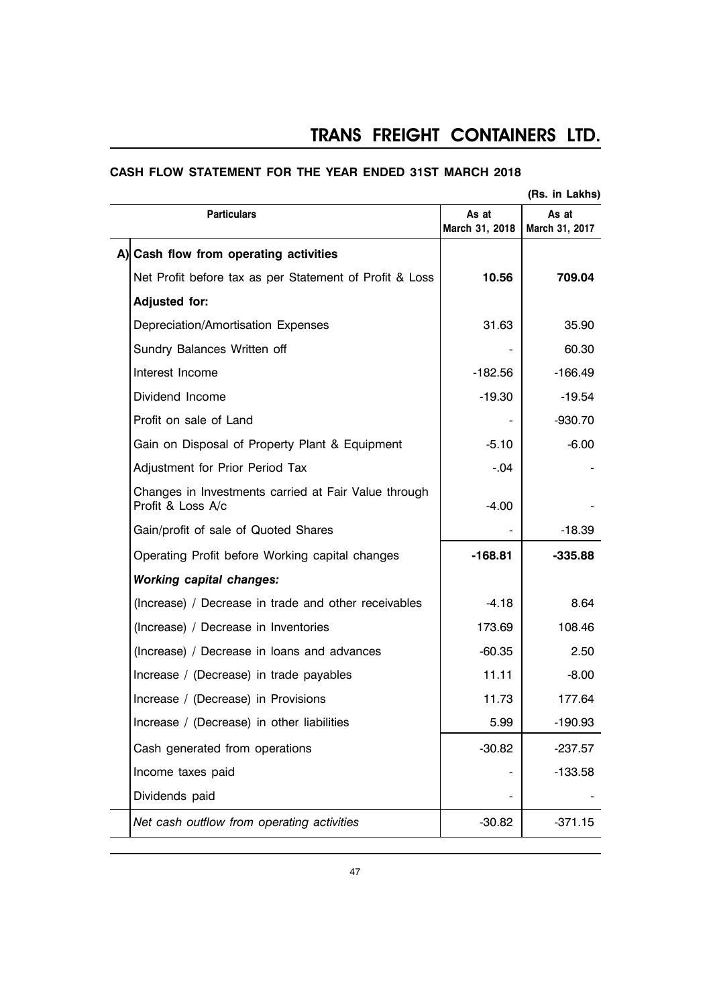# **CASH FLOW STATEMENT FOR THE YEAR ENDED 31ST MARCH 2018**

| <b>Particulars</b>                                                        | As at<br>March 31, 2018 | As at<br>March 31, 2017 |
|---------------------------------------------------------------------------|-------------------------|-------------------------|
| A) Cash flow from operating activities                                    |                         |                         |
| Net Profit before tax as per Statement of Profit & Loss                   | 10.56                   | 709.04                  |
| <b>Adjusted for:</b>                                                      |                         |                         |
| Depreciation/Amortisation Expenses                                        | 31.63                   | 35.90                   |
| Sundry Balances Written off                                               |                         | 60.30                   |
| Interest Income                                                           | $-182.56$               | $-166.49$               |
| Dividend Income                                                           | $-19.30$                | $-19.54$                |
| Profit on sale of Land                                                    |                         | -930.70                 |
| Gain on Disposal of Property Plant & Equipment                            | $-5.10$                 | $-6.00$                 |
| Adjustment for Prior Period Tax                                           | $-.04$                  |                         |
| Changes in Investments carried at Fair Value through<br>Profit & Loss A/c | $-4.00$                 |                         |
| Gain/profit of sale of Quoted Shares                                      |                         | $-18.39$                |
| Operating Profit before Working capital changes                           | $-168.81$               | $-335.88$               |
| <b>Working capital changes:</b>                                           |                         |                         |
| (Increase) / Decrease in trade and other receivables                      | $-4.18$                 | 8.64                    |
| (Increase) / Decrease in Inventories                                      | 173.69                  | 108.46                  |
| (Increase) / Decrease in loans and advances                               | $-60.35$                | 2.50                    |
| Increase / (Decrease) in trade payables                                   | 11.11                   | $-8.00$                 |
| Increase / (Decrease) in Provisions                                       | 11.73                   | 177.64                  |
| Increase / (Decrease) in other liabilities                                | 5.99                    | $-190.93$               |
| Cash generated from operations                                            | $-30.82$                | $-237.57$               |
| Income taxes paid                                                         |                         | $-133.58$               |
| Dividends paid                                                            |                         |                         |
| Net cash outflow from operating activities                                | $-30.82$                | $-371.15$               |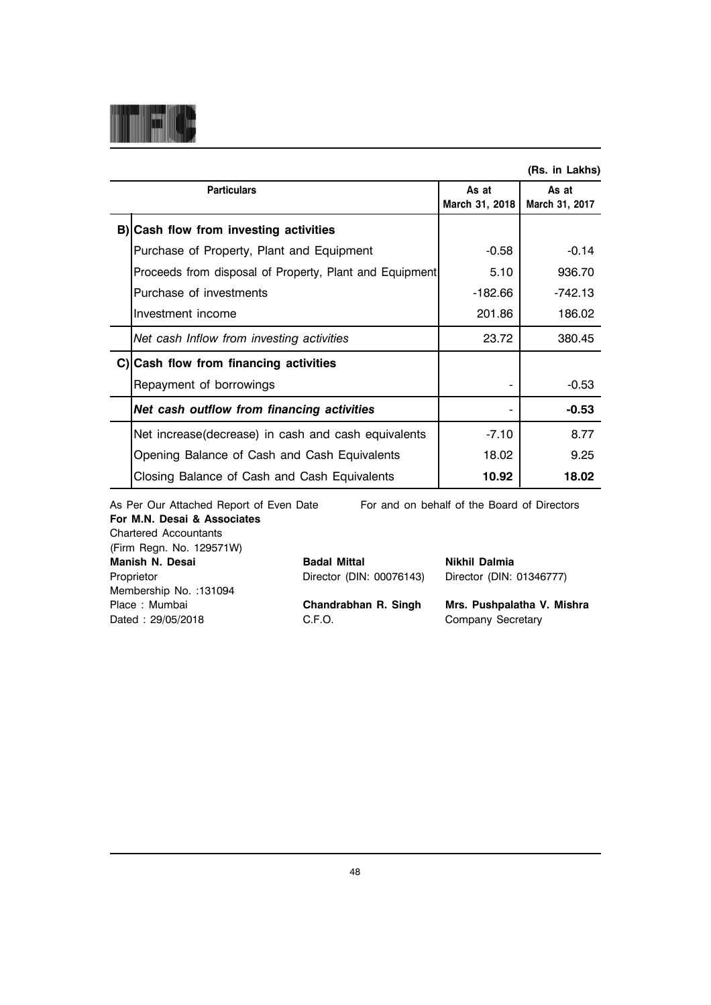

|                                                         |                | (Rs. in Lakhs) |
|---------------------------------------------------------|----------------|----------------|
| <b>Particulars</b>                                      | As at          | As at          |
|                                                         | March 31, 2018 | March 31, 2017 |
| B) Cash flow from investing activities                  |                |                |
| Purchase of Property, Plant and Equipment               | $-0.58$        | $-0.14$        |
| Proceeds from disposal of Property, Plant and Equipment | 5.10           | 936.70         |
| Purchase of investments                                 | -182.66        | $-742.13$      |
| Investment income                                       | 201.86         | 186.02         |
| Net cash Inflow from investing activities               | 23.72          | 380.45         |
| C) Cash flow from financing activities                  |                |                |
| Repayment of borrowings                                 |                | $-0.53$        |
| Net cash outflow from financing activities              |                | $-0.53$        |
| Net increase(decrease) in cash and cash equivalents     | $-7.10$        | 8.77           |
| Opening Balance of Cash and Cash Equivalents            | 18.02          | 9.25           |
| Closing Balance of Cash and Cash Equivalents            | 10.92          | 18.02          |

As Per Our Attached Report of Even Date For and on behalf of the Board of Directors **For M.N. Desai & Associates** Chartered Accountants (Firm Regn. No. 129571W) **Manish N. Desai Badal Mittal Nikhil Dalmia** Proprietor Director (DIN: 00076143) Director (DIN: 01346777) Membership No. :131094 Place : Mumbai **Chandrabhan R. Singh Mrs. Pushpalatha V. Mishra** Dated : 29/05/2018 C.F.O. C.F.O. Company Secretary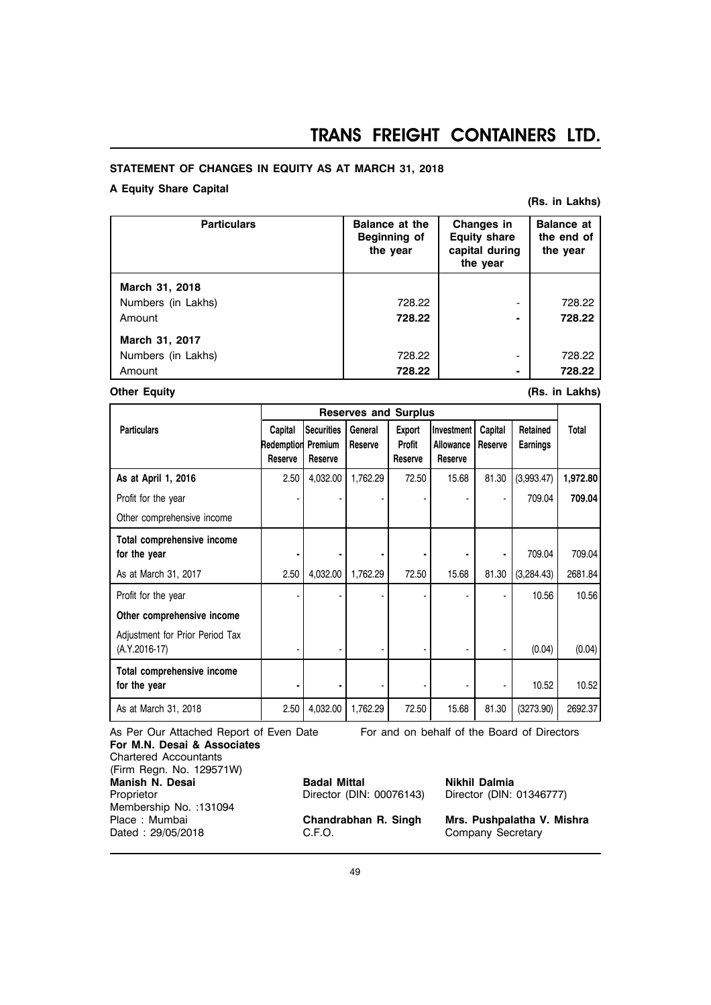# **STATEMENT OF CHANGES IN EQUITY AS AT MARCH 31, 2018**

# **A Equity Share Capital**

### **(Rs. in Lakhs)**

| <b>Particulars</b> | Balance at the<br>Beginning of<br>the year | Changes in<br><b>Equity share</b><br>capital during<br>the year | <b>Balance at</b><br>the end of<br>the year |
|--------------------|--------------------------------------------|-----------------------------------------------------------------|---------------------------------------------|
| March 31, 2018     |                                            |                                                                 |                                             |
| Numbers (in Lakhs) | 728.22                                     | $\overline{\phantom{0}}$                                        | 728.22                                      |
| Amount             | 728.22                                     | ۰                                                               | 728.22                                      |
| March 31, 2017     |                                            |                                                                 |                                             |
| Numbers (in Lakhs) | 728.22                                     | -                                                               | 728.22                                      |
| Amount             | 728.22                                     | ۰                                                               | 728.22                                      |

**Other Equity (Rs. in Lakhs)**

|                                                    |                                          |                              | <b>Reserves and Surplus</b> |                                           |                                           |                    |                             |          |
|----------------------------------------------------|------------------------------------------|------------------------------|-----------------------------|-------------------------------------------|-------------------------------------------|--------------------|-----------------------------|----------|
| <b>Particulars</b>                                 | Capital<br>Redemption Premium<br>Reserve | <b>Securities</b><br>Reserve | General<br>Reserve          | <b>Export</b><br><b>Profit</b><br>Reserve | <b>Investment</b><br>Allowance<br>Reserve | Capital<br>Reserve | Retained<br><b>Earnings</b> | Total    |
| As at April 1, 2016                                | 2.50                                     | 4,032.00                     | 1,762.29                    | 72.50                                     | 15.68                                     | 81.30              | (3,993.47)                  | 1,972.80 |
| Profit for the year                                |                                          |                              |                             |                                           |                                           |                    | 709.04                      | 709.04   |
| Other comprehensive income                         |                                          |                              |                             |                                           |                                           |                    |                             |          |
| Total comprehensive income<br>for the year         |                                          |                              |                             |                                           |                                           |                    | 709.04                      | 709.04   |
| As at March 31, 2017                               | 2.50                                     | 4,032.00                     | 1,762.29                    | 72.50                                     | 15.68                                     | 81.30              | (3,284.43)                  | 2681.84  |
| Profit for the year                                |                                          |                              |                             |                                           |                                           |                    | 10.56                       | 10.56    |
| Other comprehensive income                         |                                          |                              |                             |                                           |                                           |                    |                             |          |
| Adjustment for Prior Period Tax<br>$(A.Y.2016-17)$ |                                          |                              |                             |                                           |                                           |                    | (0.04)                      | (0.04)   |
| Total comprehensive income<br>for the year         |                                          |                              |                             |                                           |                                           |                    | 10.52                       | 10.52    |
| As at March 31, 2018                               | 2.50                                     | 4,032.00                     | 1,762.29                    | 72.50                                     | 15.68                                     | 81.30              | (3273.90)                   | 2692.37  |

As Per Our Attached Report of Even Date For and on behalf of the Board of Directors **For M.N. Desai & Associates**

Chartered Accountants (Firm Regn. No. 129571W) **Manish N. Desai** (*Manish N. Desai* (*Manish N. Desai* (*Manish N. Desai* (*Manish Dalmia* Director (*DIN*: 00076143) Director (*DIN*: Membership No. :131094 Place : Mumbai **Chandrabhan R. Singh Mrs. Pushpalatha V. Mishra**<br>Dated : 29/05/2018 **C.F.O.** C.F.O. Company Secretary Dated : 29/05/2018 C.F.O. C.F.O. Company Secretary

Director (DIN: 01346777)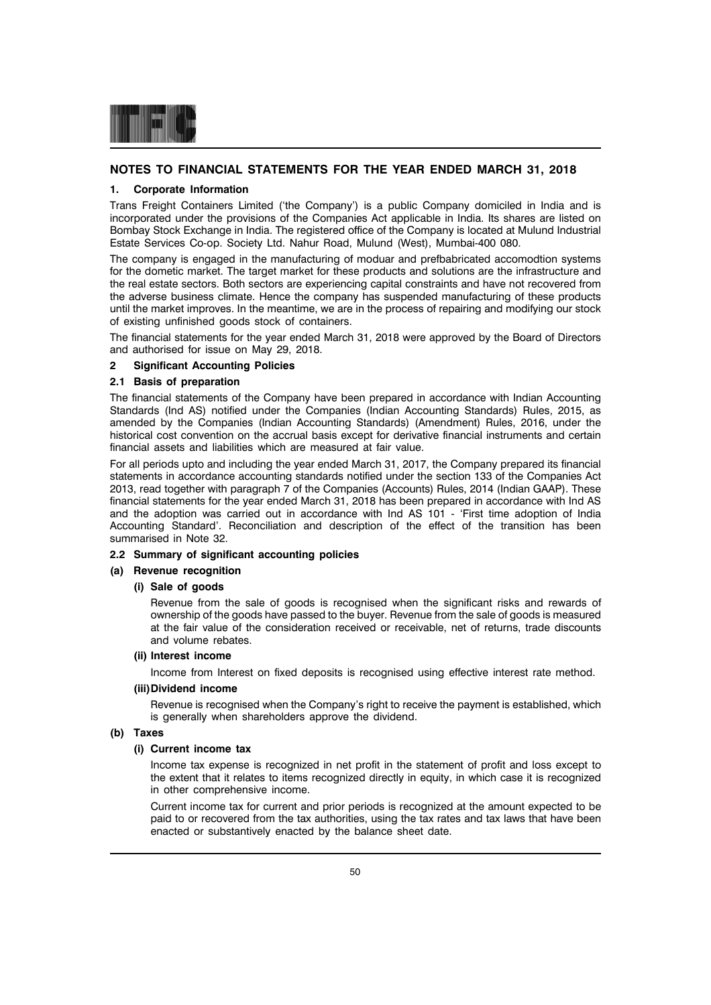

# **NOTES TO FINANCIAL STATEMENTS FOR THE YEAR ENDED MARCH 31, 2018**

## **1. Corporate Information**

Trans Freight Containers Limited ('the Company') is a public Company domiciled in India and is incorporated under the provisions of the Companies Act applicable in India. Its shares are listed on Bombay Stock Exchange in India. The registered office of the Company is located at Mulund Industrial Estate Services Co-op. Society Ltd. Nahur Road, Mulund (West), Mumbai-400 080.

The company is engaged in the manufacturing of moduar and prefbabricated accomodtion systems for the dometic market. The target market for these products and solutions are the infrastructure and the real estate sectors. Both sectors are experiencing capital constraints and have not recovered from the adverse business climate. Hence the company has suspended manufacturing of these products until the market improves. In the meantime, we are in the process of repairing and modifying our stock of existing unfinished goods stock of containers.

The financial statements for the year ended March 31, 2018 were approved by the Board of Directors and authorised for issue on May 29, 2018.

### **2 Significant Accounting Policies**

### **2.1 Basis of preparation**

The financial statements of the Company have been prepared in accordance with Indian Accounting Standards (Ind AS) notified under the Companies (Indian Accounting Standards) Rules, 2015, as amended by the Companies (Indian Accounting Standards) (Amendment) Rules, 2016, under the historical cost convention on the accrual basis except for derivative financial instruments and certain financial assets and liabilities which are measured at fair value.

For all periods upto and including the year ended March 31, 2017, the Company prepared its financial statements in accordance accounting standards notified under the section 133 of the Companies Act 2013, read together with paragraph 7 of the Companies (Accounts) Rules, 2014 (Indian GAAP). These financial statements for the year ended March 31, 2018 has been prepared in accordance with Ind AS and the adoption was carried out in accordance with Ind AS 101 - 'First time adoption of India Accounting Standard'. Reconciliation and description of the effect of the transition has been summarised in Note 32.

### **2.2 Summary of significant accounting policies**

# **(a) Revenue recognition**

### **(i) Sale of goods**

Revenue from the sale of goods is recognised when the significant risks and rewards of ownership of the goods have passed to the buyer. Revenue from the sale of goods is measured at the fair value of the consideration received or receivable, net of returns, trade discounts and volume rebates.

### **(ii) Interest income**

Income from Interest on fixed deposits is recognised using effective interest rate method. **(iii)Dividend income**

Revenue is recognised when the Company's right to receive the payment is established, which is generally when shareholders approve the dividend.

### **(b) Taxes**

### **(i) Current income tax**

Income tax expense is recognized in net profit in the statement of profit and loss except to the extent that it relates to items recognized directly in equity, in which case it is recognized in other comprehensive income.

Current income tax for current and prior periods is recognized at the amount expected to be paid to or recovered from the tax authorities, using the tax rates and tax laws that have been enacted or substantively enacted by the balance sheet date.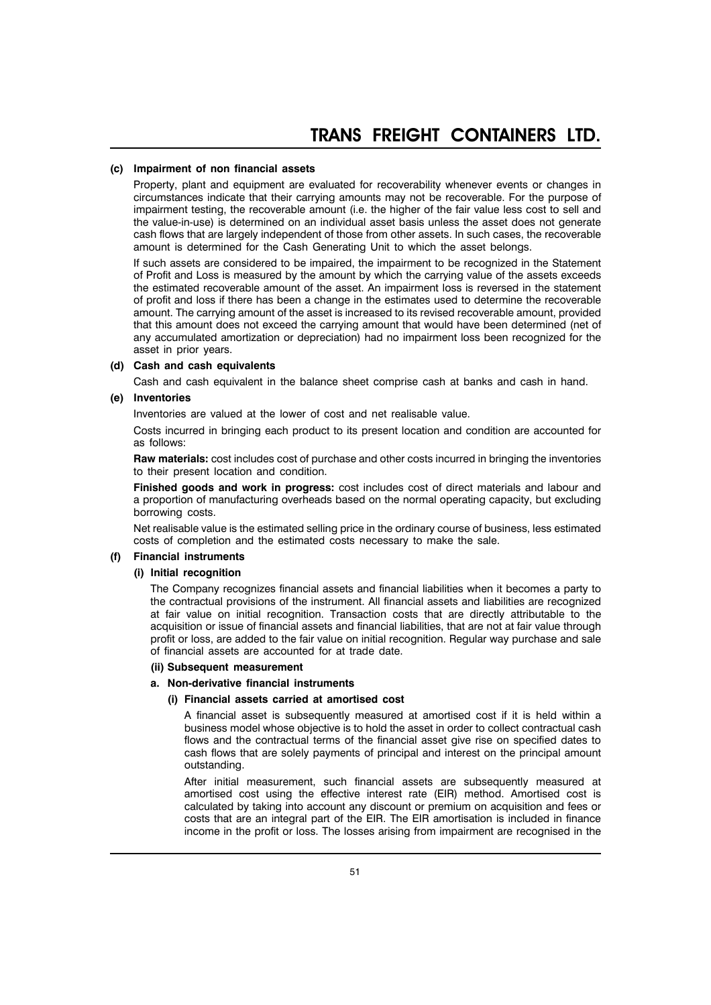# **(c) Impairment of non financial assets**

Property, plant and equipment are evaluated for recoverability whenever events or changes in circumstances indicate that their carrying amounts may not be recoverable. For the purpose of impairment testing, the recoverable amount (i.e. the higher of the fair value less cost to sell and the value-in-use) is determined on an individual asset basis unless the asset does not generate cash flows that are largely independent of those from other assets. In such cases, the recoverable amount is determined for the Cash Generating Unit to which the asset belongs.

If such assets are considered to be impaired, the impairment to be recognized in the Statement of Profit and Loss is measured by the amount by which the carrying value of the assets exceeds the estimated recoverable amount of the asset. An impairment loss is reversed in the statement of profit and loss if there has been a change in the estimates used to determine the recoverable amount. The carrying amount of the asset is increased to its revised recoverable amount, provided that this amount does not exceed the carrying amount that would have been determined (net of any accumulated amortization or depreciation) had no impairment loss been recognized for the asset in prior years.

### **(d) Cash and cash equivalents**

Cash and cash equivalent in the balance sheet comprise cash at banks and cash in hand.

### **(e) Inventories**

Inventories are valued at the lower of cost and net realisable value.

Costs incurred in bringing each product to its present location and condition are accounted for as follows:

**Raw materials:** cost includes cost of purchase and other costs incurred in bringing the inventories to their present location and condition.

**Finished goods and work in progress:** cost includes cost of direct materials and labour and a proportion of manufacturing overheads based on the normal operating capacity, but excluding borrowing costs.

Net realisable value is the estimated selling price in the ordinary course of business, less estimated costs of completion and the estimated costs necessary to make the sale.

### **(f) Financial instruments**

### **(i) Initial recognition**

The Company recognizes financial assets and financial liabilities when it becomes a party to the contractual provisions of the instrument. All financial assets and liabilities are recognized at fair value on initial recognition. Transaction costs that are directly attributable to the acquisition or issue of financial assets and financial liabilities, that are not at fair value through profit or loss, are added to the fair value on initial recognition. Regular way purchase and sale of financial assets are accounted for at trade date.

### **(ii) Subsequent measurement**

### **a. Non-derivative financial instruments**

#### **(i) Financial assets carried at amortised cost**

A financial asset is subsequently measured at amortised cost if it is held within a business model whose objective is to hold the asset in order to collect contractual cash flows and the contractual terms of the financial asset give rise on specified dates to cash flows that are solely payments of principal and interest on the principal amount outstanding.

After initial measurement, such financial assets are subsequently measured at amortised cost using the effective interest rate (EIR) method. Amortised cost is calculated by taking into account any discount or premium on acquisition and fees or costs that are an integral part of the EIR. The EIR amortisation is included in finance income in the profit or loss. The losses arising from impairment are recognised in the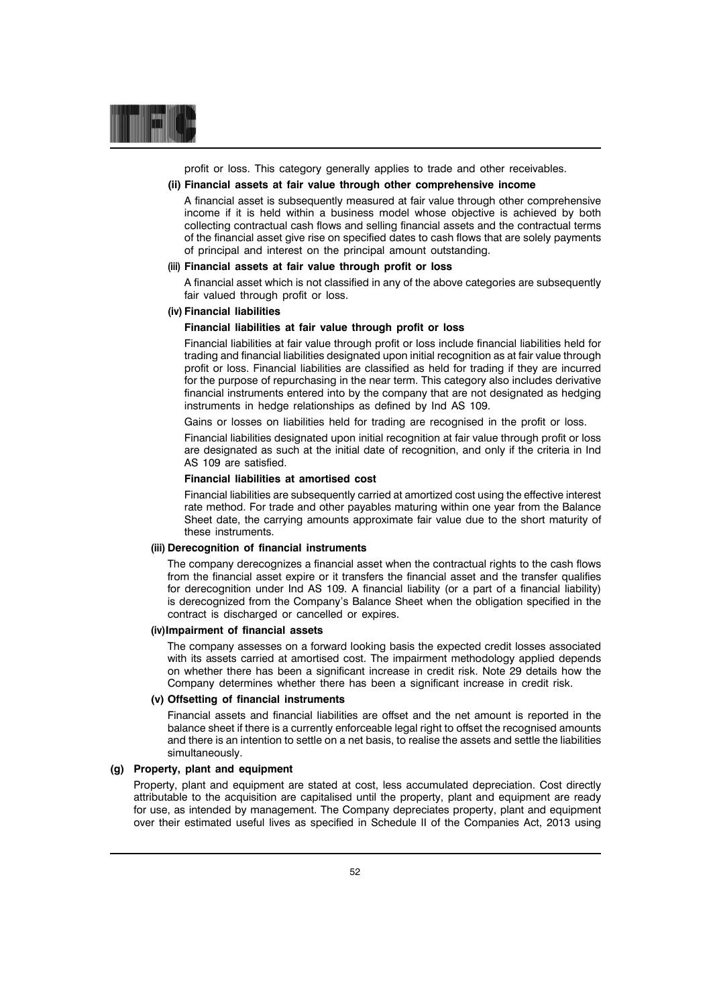

profit or loss. This category generally applies to trade and other receivables.

### **(ii) Financial assets at fair value through other comprehensive income**

A financial asset is subsequently measured at fair value through other comprehensive income if it is held within a business model whose objective is achieved by both collecting contractual cash flows and selling financial assets and the contractual terms of the financial asset give rise on specified dates to cash flows that are solely payments of principal and interest on the principal amount outstanding.

### **(iii) Financial assets at fair value through profit or loss**

A financial asset which is not classified in any of the above categories are subsequently fair valued through profit or loss.

### **(iv) Financial liabilities**

#### **Financial liabilities at fair value through profit or loss**

Financial liabilities at fair value through profit or loss include financial liabilities held for trading and financial liabilities designated upon initial recognition as at fair value through profit or loss. Financial liabilities are classified as held for trading if they are incurred for the purpose of repurchasing in the near term. This category also includes derivative financial instruments entered into by the company that are not designated as hedging instruments in hedge relationships as defined by Ind AS 109.

Gains or losses on liabilities held for trading are recognised in the profit or loss.

Financial liabilities designated upon initial recognition at fair value through profit or loss are designated as such at the initial date of recognition, and only if the criteria in Ind AS 109 are satisfied.

### **Financial liabilities at amortised cost**

Financial liabilities are subsequently carried at amortized cost using the effective interest rate method. For trade and other payables maturing within one year from the Balance Sheet date, the carrying amounts approximate fair value due to the short maturity of these instruments.

#### **(iii) Derecognition of financial instruments**

The company derecognizes a financial asset when the contractual rights to the cash flows from the financial asset expire or it transfers the financial asset and the transfer qualifies for derecognition under Ind AS 109. A financial liability (or a part of a financial liability) is derecognized from the Company's Balance Sheet when the obligation specified in the contract is discharged or cancelled or expires.

### **(iv)Impairment of financial assets**

The company assesses on a forward looking basis the expected credit losses associated with its assets carried at amortised cost. The impairment methodology applied depends on whether there has been a significant increase in credit risk. Note 29 details how the Company determines whether there has been a significant increase in credit risk.

### **(v) Offsetting of financial instruments**

Financial assets and financial liabilities are offset and the net amount is reported in the balance sheet if there is a currently enforceable legal right to offset the recognised amounts and there is an intention to settle on a net basis, to realise the assets and settle the liabilities simultaneously.

### **(g) Property, plant and equipment**

Property, plant and equipment are stated at cost, less accumulated depreciation. Cost directly attributable to the acquisition are capitalised until the property, plant and equipment are ready for use, as intended by management. The Company depreciates property, plant and equipment over their estimated useful lives as specified in Schedule II of the Companies Act, 2013 using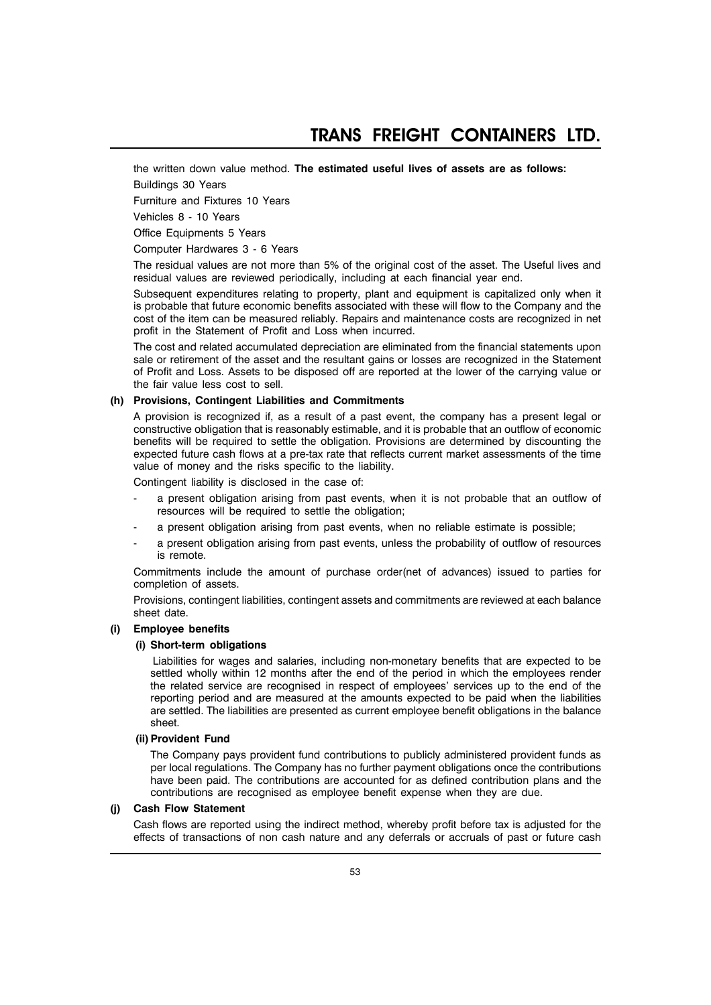the written down value method. **The estimated useful lives of assets are as follows:** Buildings 30 Years

Furniture and Fixtures 10 Years

Vehicles 8 - 10 Years

Office Equipments 5 Years

Computer Hardwares 3 - 6 Years

The residual values are not more than 5% of the original cost of the asset. The Useful lives and residual values are reviewed periodically, including at each financial year end.

Subsequent expenditures relating to property, plant and equipment is capitalized only when it is probable that future economic benefits associated with these will flow to the Company and the cost of the item can be measured reliably. Repairs and maintenance costs are recognized in net profit in the Statement of Profit and Loss when incurred.

The cost and related accumulated depreciation are eliminated from the financial statements upon sale or retirement of the asset and the resultant gains or losses are recognized in the Statement of Profit and Loss. Assets to be disposed off are reported at the lower of the carrying value or the fair value less cost to sell.

### **(h) Provisions, Contingent Liabilities and Commitments**

A provision is recognized if, as a result of a past event, the company has a present legal or constructive obligation that is reasonably estimable, and it is probable that an outflow of economic benefits will be required to settle the obligation. Provisions are determined by discounting the expected future cash flows at a pre-tax rate that reflects current market assessments of the time value of money and the risks specific to the liability.

Contingent liability is disclosed in the case of:

- a present obligation arising from past events, when it is not probable that an outflow of resources will be required to settle the obligation;
- a present obligation arising from past events, when no reliable estimate is possible;
- a present obligation arising from past events, unless the probability of outflow of resources is remote.

Commitments include the amount of purchase order(net of advances) issued to parties for completion of assets.

Provisions, contingent liabilities, contingent assets and commitments are reviewed at each balance sheet date.

### **(i) Employee benefits**

### **(i) Short-term obligations**

Liabilities for wages and salaries, including non-monetary benefits that are expected to be settled wholly within 12 months after the end of the period in which the employees render the related service are recognised in respect of employees' services up to the end of the reporting period and are measured at the amounts expected to be paid when the liabilities are settled. The liabilities are presented as current employee benefit obligations in the balance sheet.

### **(ii) Provident Fund**

The Company pays provident fund contributions to publicly administered provident funds as per local regulations. The Company has no further payment obligations once the contributions have been paid. The contributions are accounted for as defined contribution plans and the contributions are recognised as employee benefit expense when they are due.

### **(j) Cash Flow Statement**

Cash flows are reported using the indirect method, whereby profit before tax is adjusted for the effects of transactions of non cash nature and any deferrals or accruals of past or future cash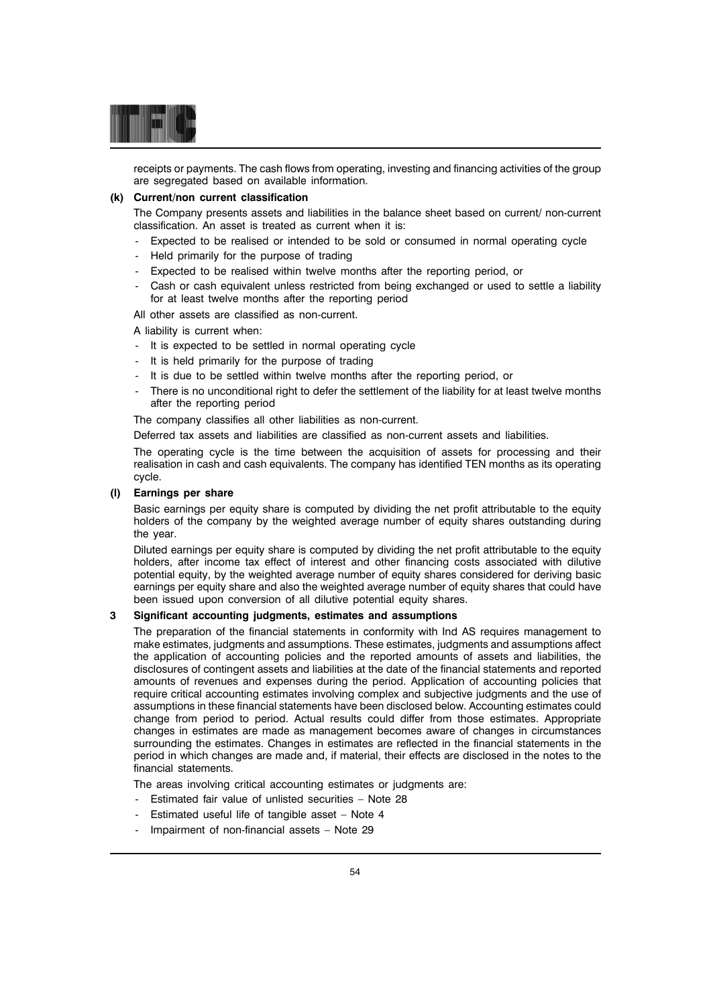

receipts or payments. The cash flows from operating, investing and financing activities of the group are segregated based on available information.

### **(k) Current/non current classification**

The Company presents assets and liabilities in the balance sheet based on current/ non-current classification. An asset is treated as current when it is:

- Expected to be realised or intended to be sold or consumed in normal operating cycle
- Held primarily for the purpose of trading
- Expected to be realised within twelve months after the reporting period, or
- Cash or cash equivalent unless restricted from being exchanged or used to settle a liability for at least twelve months after the reporting period

All other assets are classified as non-current.

A liability is current when:

- It is expected to be settled in normal operating cycle
- It is held primarily for the purpose of trading
- It is due to be settled within twelve months after the reporting period, or
- There is no unconditional right to defer the settlement of the liability for at least twelve months after the reporting period

The company classifies all other liabilities as non-current.

Deferred tax assets and liabilities are classified as non-current assets and liabilities.

The operating cycle is the time between the acquisition of assets for processing and their realisation in cash and cash equivalents. The company has identified TEN months as its operating cycle.

### **(l) Earnings per share**

Basic earnings per equity share is computed by dividing the net profit attributable to the equity holders of the company by the weighted average number of equity shares outstanding during the year.

Diluted earnings per equity share is computed by dividing the net profit attributable to the equity holders, after income tax effect of interest and other financing costs associated with dilutive potential equity, by the weighted average number of equity shares considered for deriving basic earnings per equity share and also the weighted average number of equity shares that could have been issued upon conversion of all dilutive potential equity shares.

### **3 Significant accounting judgments, estimates and assumptions**

The preparation of the financial statements in conformity with Ind AS requires management to make estimates, judgments and assumptions. These estimates, judgments and assumptions affect the application of accounting policies and the reported amounts of assets and liabilities, the disclosures of contingent assets and liabilities at the date of the financial statements and reported amounts of revenues and expenses during the period. Application of accounting policies that require critical accounting estimates involving complex and subjective judgments and the use of assumptions in these financial statements have been disclosed below. Accounting estimates could change from period to period. Actual results could differ from those estimates. Appropriate changes in estimates are made as management becomes aware of changes in circumstances surrounding the estimates. Changes in estimates are reflected in the financial statements in the period in which changes are made and, if material, their effects are disclosed in the notes to the financial statements.

The areas involving critical accounting estimates or judgments are:

- Estimated fair value of unlisted securities Note 28
- Estimated useful life of tangible asset Note 4
- Impairment of non-financial assets Note 29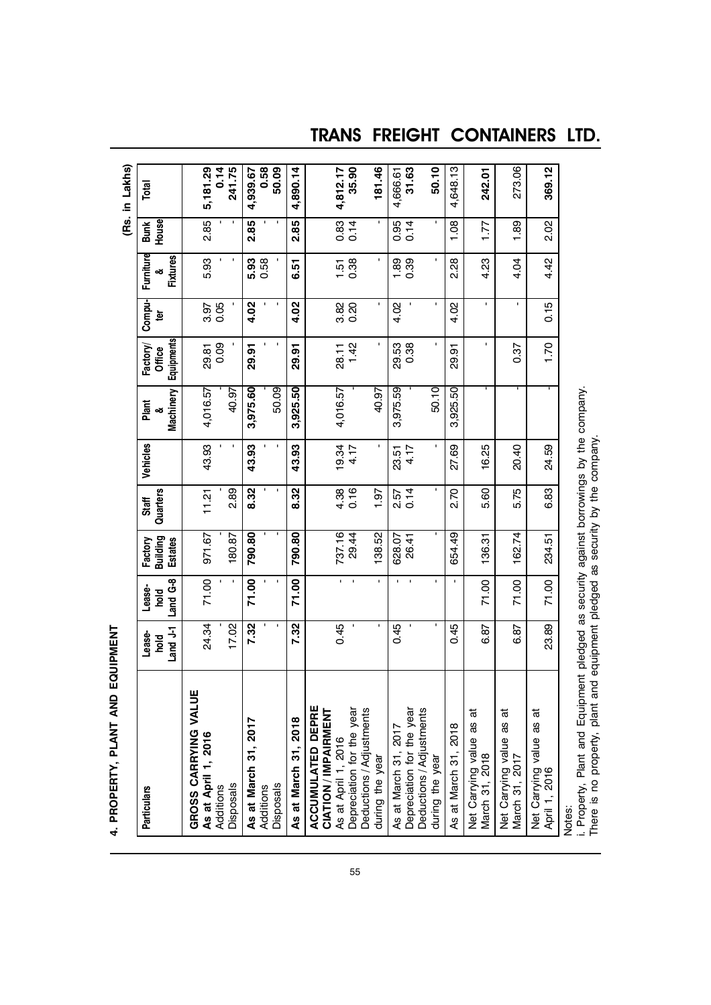| $\Omega$<br>4. PROPERTY, PLANT AN                           | EQUIPMENT                  |                            |                                       |                   |               |                         |                                  |                |                                             |                | (Rs. in Lakhs)    |
|-------------------------------------------------------------|----------------------------|----------------------------|---------------------------------------|-------------------|---------------|-------------------------|----------------------------------|----------------|---------------------------------------------|----------------|-------------------|
| <b>Particulars</b>                                          | Land J-1<br>Lease-<br>hold | Land G-8<br>Lease-<br>hold | Building<br><b>Estates</b><br>Factory | Quarters<br>Staff | Vehicles      | Machinery<br>Plant<br>œ | Equipments<br>Factory/<br>Office | Compu-<br>ē    | Furniture<br><b>Fixtures</b><br>య           | House<br>Bunk  | Total             |
| 빚<br>GROSS CARRYING VAL<br>As at April 1, 2016<br>Additions | 24.34                      | 71.00                      | 971.67                                | 11.21             | 43.93         | 4,016.57                | 0.09<br>29.81                    | 3.97<br>0.05   | 5.93                                        | 2.85           | 5,181.29<br>0.14  |
| <b>Disposals</b>                                            | 17.02                      | $\blacksquare$             | 180.87                                | 2.89              |               | 40.97                   |                                  |                |                                             | 1              | 241.75            |
| As at March 31, 2017<br>Additions                           | 7.32                       | 71.00                      | 790.80                                | 8.32              | 43.93         | 3,975.60                | 29.91                            | ٠<br>4.02      | 5.93<br>0.58                                | 2.85           | 0.58<br>4,939.67  |
| <b>Disposals</b>                                            | $\blacksquare$             | $\blacksquare$             | ٠                                     |                   |               | 50.09                   |                                  |                |                                             | $\blacksquare$ | 50.09             |
| As at March 31, 2018                                        | 7.32                       | 71.00                      | 790.80                                | 8.32              | 43.93         | 3,925.50                | 29.91                            | 4.02           | 6.51                                        | 2.85           | 4,890.14          |
| <b>ACCUMULATED DEPRE</b><br>CIATION / IMPAIRMENT            |                            |                            |                                       |                   |               |                         |                                  |                |                                             |                |                   |
| Depreciation for the year<br>As at April 1, 2016            | 0.45                       | $\blacksquare$<br>٠        | 737.16<br>29.44                       | 4.38<br>0.16      | 19.34<br>4.17 | 4,016.57                | 1.42<br>28.11                    | 3.82<br>0.20   | 0.38<br>1.51                                | 0.83<br>0.14   | 35.90<br>4,812.17 |
| Deductions / Adjustments<br>during the year                 |                            | $\blacksquare$             | 138.52                                | 1.97              |               | 40.97                   | 1                                | ı              | $\blacksquare$                              | $\blacksquare$ | 181.46            |
| As at March 31, 2017                                        | 0.45                       |                            | 628.07                                | 2.57<br>0.14      | 23.51         | 3,975.59                | 29.53                            | 4.02           | $\begin{array}{c} 0.39 \\ 0.39 \end{array}$ | 0.95           | 4,666.61          |
| Deductions / Adjustments<br>Depreciation for the year       |                            | J.                         | 26.41                                 |                   | 4.17          |                         | 0.38                             |                |                                             | 0.14           | 31.63             |
| during the year                                             |                            | J.                         |                                       | ı                 | 1             | 50.10                   | 1                                | J,             | 1                                           | $\blacksquare$ | 50.10             |
| As at March 31, 2018                                        | 0.45                       |                            | 654.49                                | 2.70              | 27.69         | 3,925.50                | 29.91                            | 4.02           | 2.28                                        | 1.08           | 4,648.13          |
| Net Carrying value as at<br>March 31, 2018                  | 6.87                       | 71.00                      | 136.31                                | 5.60              | 16.25         |                         | ٠                                | $\blacksquare$ | 4.23                                        | 1.77           | 242.01            |
| ಹ<br>Net Carrying value as<br>March 31, 2017                | 6.87                       | 71.00                      | 162.74                                | 5.75              | 20.40         |                         | 0.37                             |                | 4.04                                        | 1.89           | 273.06            |
| ಹ<br>Net Carrying value as<br>April 1, 2016                 | 23.89                      | 71.00                      | 234.51                                | 6.83              | 24.59         |                         | 1.70                             | 0.15           | 4.42                                        | 2.02           | 369.12            |
| Notes:                                                      |                            |                            |                                       |                   |               |                         |                                  |                |                                             |                |                   |

i. Property, Plant and Equipment pledged as security against borrowings by the company.<br>There is no property, plant and equipment pledged as security by the company. i. Property, Plant and Equipment pledged as security against borrowings by the company.

There is no property, plant and equipment pledged as security by the company.

55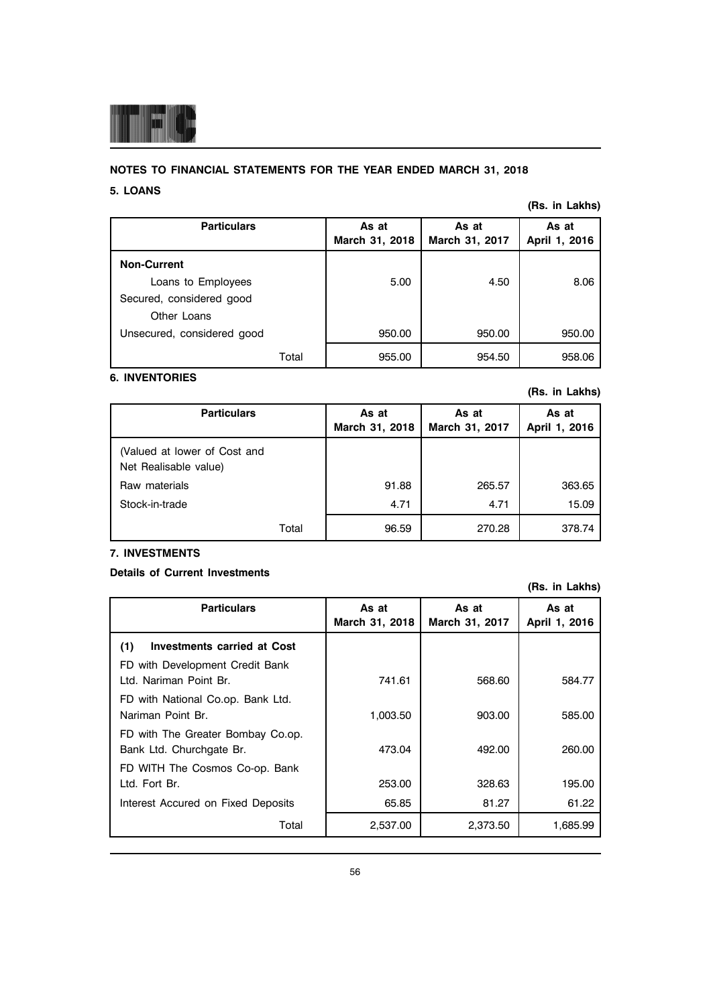

# **NOTES TO FINANCIAL STATEMENTS FOR THE YEAR ENDED MARCH 31, 2018**

# **5. LOANS**

**(Rs. in Lakhs)**

| <b>Particulars</b>                                                                  | As at<br>March 31, 2018 | As at<br>March 31, 2017 | As at<br>April 1, 2016 |
|-------------------------------------------------------------------------------------|-------------------------|-------------------------|------------------------|
| <b>Non-Current</b><br>Loans to Employees<br>Secured, considered good<br>Other Loans | 5.00                    | 4.50                    | 8.06                   |
| Unsecured, considered good                                                          | 950.00                  | 950.00                  | 950.00                 |
| Total                                                                               | 955.00                  | 954.50                  | 958.06                 |

# **6. INVENTORIES**

**(Rs. in Lakhs)**

| <b>Particulars</b>                                    | As at<br>March 31, 2018 | As at<br>March 31, 2017 | As at<br>April 1, 2016 |
|-------------------------------------------------------|-------------------------|-------------------------|------------------------|
| (Valued at lower of Cost and<br>Net Realisable value) |                         |                         |                        |
| Raw materials                                         | 91.88                   | 265.57                  | 363.65                 |
| Stock-in-trade                                        | 4.71                    | 4.71                    | 15.09                  |
| Total                                                 | 96.59                   | 270.28                  | 378.74                 |

# **7. INVESTMENTS**

# **Details of Current Investments**

| <b>Particulars</b>                                            | As at<br>March 31, 2018 | As at<br>March 31, 2017 | As at<br>April 1, 2016 |
|---------------------------------------------------------------|-------------------------|-------------------------|------------------------|
| <b>Investments carried at Cost</b><br>(1)                     |                         |                         |                        |
| FD with Development Credit Bank<br>Ltd. Nariman Point Br.     | 741.61                  | 568,60                  | 584.77                 |
| FD with National Co.op. Bank Ltd.<br>Nariman Point Br.        | 1.003.50                | 903.00                  | 585.00                 |
| FD with The Greater Bombay Co.op.<br>Bank Ltd. Churchgate Br. | 473.04                  | 492.00                  | 260.00                 |
| FD WITH The Cosmos Co-op. Bank<br>Ltd. Fort Br.               | 253.00                  | 328.63                  | 195.00                 |
| Interest Accured on Fixed Deposits                            | 65.85                   | 81.27                   | 61.22                  |
| Total                                                         | 2,537.00                | 2,373.50                | 1,685.99               |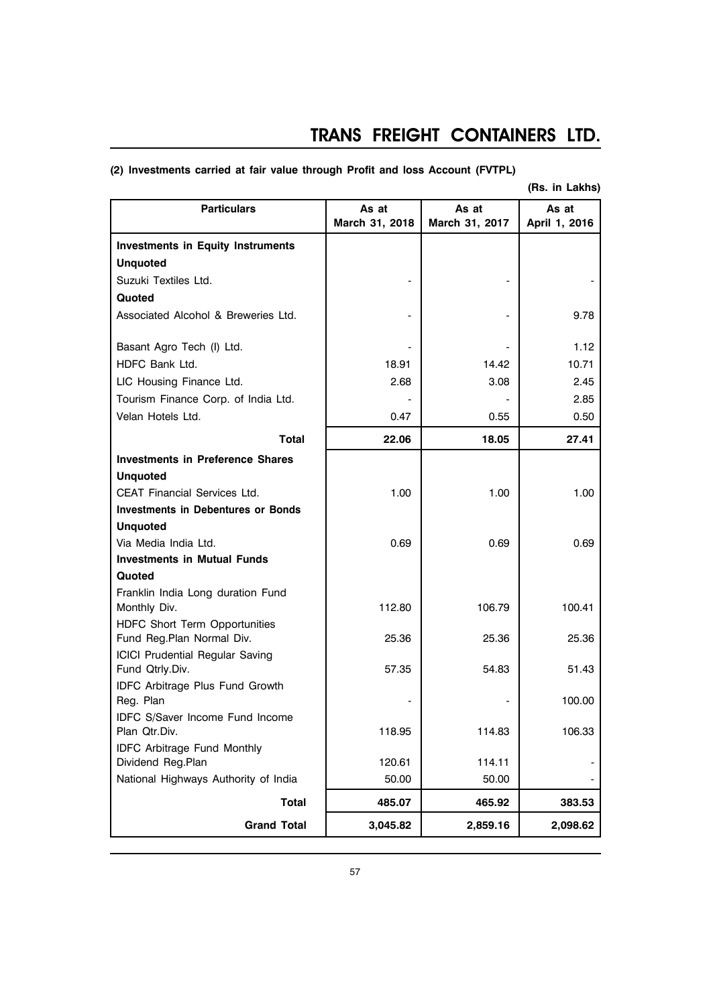# **(2) Investments carried at fair value through Profit and loss Account (FVTPL)**

| <b>Particulars</b>                                | As at          | As at          | As at         |
|---------------------------------------------------|----------------|----------------|---------------|
|                                                   | March 31, 2018 | March 31, 2017 | April 1, 2016 |
| <b>Investments in Equity Instruments</b>          |                |                |               |
| <b>Unquoted</b>                                   |                |                |               |
| Suzuki Textiles Ltd.                              |                |                |               |
| Quoted                                            |                |                |               |
| Associated Alcohol & Breweries Ltd.               |                |                | 9.78          |
| Basant Agro Tech (I) Ltd.                         |                |                | 1.12          |
| HDFC Bank Ltd.                                    | 18.91          | 14.42          | 10.71         |
| LIC Housing Finance Ltd.                          | 2.68           | 3.08           | 2.45          |
| Tourism Finance Corp. of India Ltd.               |                |                | 2.85          |
| Velan Hotels Ltd.                                 | 0.47           | 0.55           | 0.50          |
| Total                                             | 22.06          | 18.05          | 27.41         |
| <b>Investments in Preference Shares</b>           |                |                |               |
| <b>Unquoted</b>                                   |                |                |               |
| <b>CEAT Financial Services Ltd.</b>               | 1.00           | 1.00           | 1.00          |
| <b>Investments in Debentures or Bonds</b>         |                |                |               |
| <b>Unquoted</b>                                   |                |                |               |
| Via Media India Ltd.                              | 0.69           | 0.69           | 0.69          |
| <b>Investments in Mutual Funds</b>                |                |                |               |
| Quoted                                            |                |                |               |
| Franklin India Long duration Fund<br>Monthly Div. | 112.80         | 106.79         | 100.41        |
| <b>HDFC Short Term Opportunities</b>              |                |                |               |
| Fund Reg.Plan Normal Div.                         | 25.36          | 25.36          | 25.36         |
| <b>ICICI Prudential Regular Saving</b>            |                |                |               |
| Fund Qtrly.Div.                                   | 57.35          | 54.83          | 51.43         |
| IDFC Arbitrage Plus Fund Growth<br>Reg. Plan      |                |                | 100.00        |
| IDFC S/Saver Income Fund Income                   |                |                |               |
| Plan Qtr.Div.                                     | 118.95         | 114.83         | 106.33        |
| <b>IDFC Arbitrage Fund Monthly</b>                |                |                |               |
| Dividend Reg.Plan                                 | 120.61         | 114.11         |               |
| National Highways Authority of India              | 50.00          | 50.00          |               |
| <b>Total</b>                                      | 485.07         | 465.92         | 383.53        |
| <b>Grand Total</b>                                | 3,045.82       | 2,859.16       | 2,098.62      |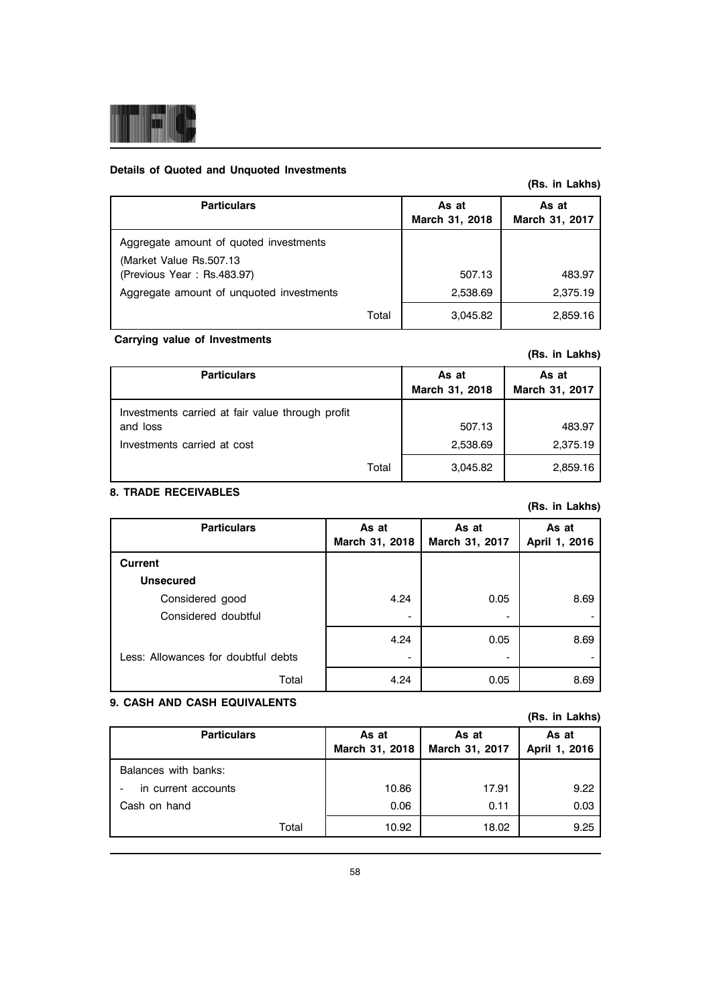

# **Details of Quoted and Unquoted Investments**

# **(Rs. in Lakhs)**

| <b>Particulars</b>                                                                                                                          |  | As at<br>March 31, 2018 | As at<br>March 31, 2017 |
|---------------------------------------------------------------------------------------------------------------------------------------------|--|-------------------------|-------------------------|
| Aggregate amount of quoted investments<br>(Market Value Rs.507.13<br>(Previous Year: Rs.483.97)<br>Aggregate amount of unquoted investments |  | 507.13<br>2.538.69      | 483.97<br>2.375.19      |
| Total                                                                                                                                       |  | 3,045.82                | 2,859.16                |

# **Carrying value of Investments**

# Particulars **As at** As at As at **March 31, 2018 March 31, 2017** Investments carried at fair value through profit and loss 507.13 483.97 Investments carried at cost 2,538.69 2,375.19 Total 3,045.82 2,859.16

# **8. TRADE RECEIVABLES**

# **(Rs. in Lakhs)**

**(Rs. in Lakhs)**

| <b>Particulars</b>                  | As at<br>March 31, 2018 | As at<br>March 31, 2017 | As at<br>April 1, 2016 |
|-------------------------------------|-------------------------|-------------------------|------------------------|
| <b>Current</b>                      |                         |                         |                        |
| <b>Unsecured</b>                    |                         |                         |                        |
| Considered good                     | 4.24                    | 0.05                    | 8.69                   |
| Considered doubtful                 | ۰                       | ۰                       |                        |
|                                     | 4.24                    | 0.05                    | 8.69                   |
| Less: Allowances for doubtful debts | ٠                       | ٠                       |                        |
| Total                               | 4.24                    | 0.05                    | 8.69                   |

# **9. CASH AND CASH EQUIVALENTS**

| <b>Particulars</b>   | As at<br>March 31, 2018 | As at<br>March 31, 2017 | As at<br>April 1, 2016 |
|----------------------|-------------------------|-------------------------|------------------------|
| Balances with banks: |                         |                         |                        |
| in current accounts  | 10.86                   | 17.91                   | 9.22                   |
| Cash on hand         | 0.06                    | 0.11                    | 0.03                   |
| Total                | 10.92                   | 18.02                   | 9.25                   |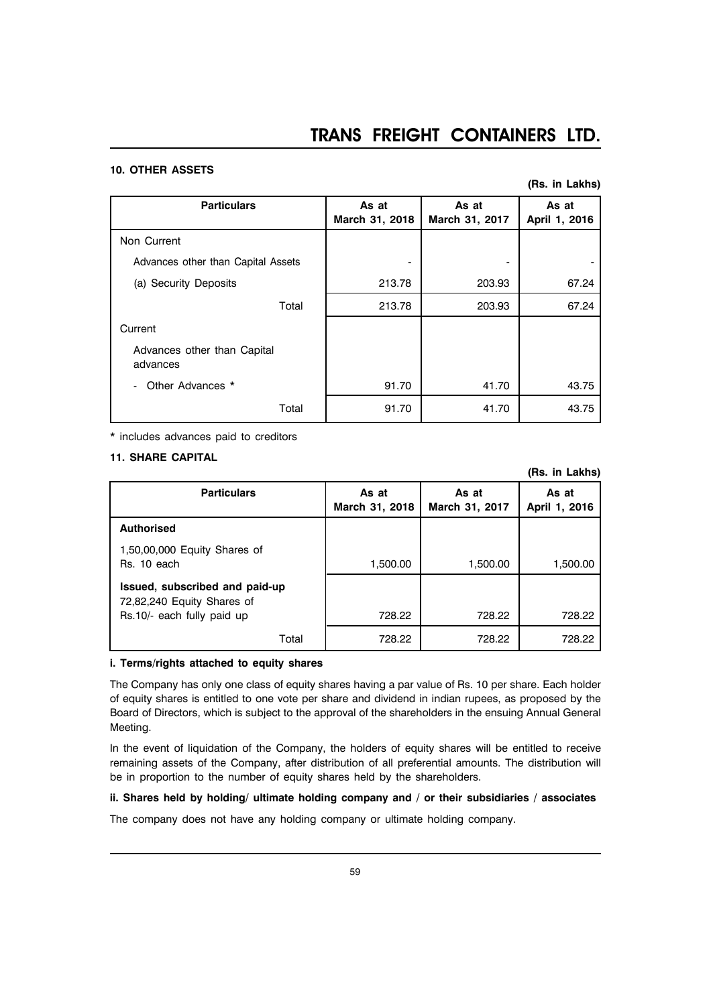### **10. OTHER ASSETS**

### **(Rs. in Lakhs)**

| <b>Particulars</b>                           | As at<br>March 31, 2018 | As at<br>March 31, 2017 | As at<br>April 1, 2016 |
|----------------------------------------------|-------------------------|-------------------------|------------------------|
| Non Current                                  |                         |                         |                        |
| Advances other than Capital Assets           | ٠                       | $\blacksquare$          |                        |
| (a) Security Deposits                        | 213.78                  | 203.93                  | 67.24                  |
| Total                                        | 213.78                  | 203.93                  | 67.24                  |
| Current                                      |                         |                         |                        |
| Advances other than Capital<br>advances      |                         |                         |                        |
| Other Advances *<br>$\overline{\phantom{a}}$ | 91.70                   | 41.70                   | 43.75                  |
| Total                                        | 91.70                   | 41.70                   | 43.75                  |

\* includes advances paid to creditors

# **11. SHARE CAPITAL**

|                                                              |                         |                         | (Rs. in Lakhs)         |
|--------------------------------------------------------------|-------------------------|-------------------------|------------------------|
| <b>Particulars</b>                                           | As at<br>March 31, 2018 | As at<br>March 31, 2017 | As at<br>April 1, 2016 |
| <b>Authorised</b>                                            |                         |                         |                        |
| 1,50,00,000 Equity Shares of<br>Rs. 10 each                  | 1,500.00                | 1,500.00                | 1,500.00               |
| Issued, subscribed and paid-up<br>72,82,240 Equity Shares of |                         |                         |                        |
| Rs.10/- each fully paid up                                   | 728.22                  | 728.22                  | 728.22                 |
| Total                                                        | 728.22                  | 728.22                  | 728.22                 |

### **i. Terms/rights attached to equity shares**

The Company has only one class of equity shares having a par value of Rs. 10 per share. Each holder of equity shares is entitled to one vote per share and dividend in indian rupees, as proposed by the Board of Directors, which is subject to the approval of the shareholders in the ensuing Annual General Meeting.

In the event of liquidation of the Company, the holders of equity shares will be entitled to receive remaining assets of the Company, after distribution of all preferential amounts. The distribution will be in proportion to the number of equity shares held by the shareholders.

# **ii. Shares held by holding/ ultimate holding company and / or their subsidiaries / associates**

The company does not have any holding company or ultimate holding company.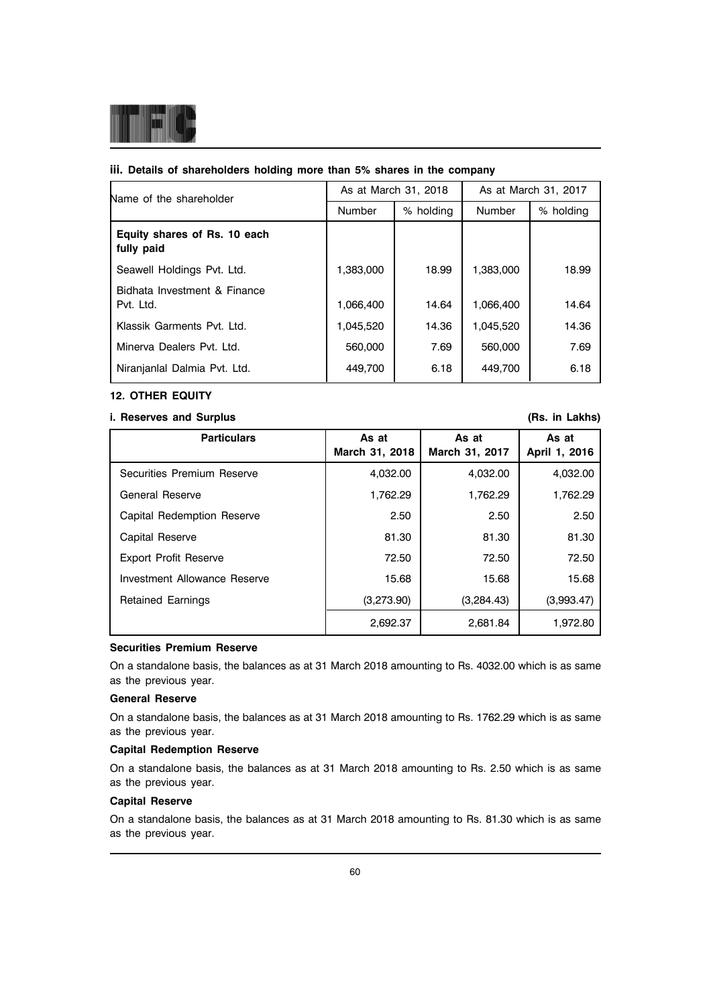

# **iii. Details of shareholders holding more than 5% shares in the company**

| Name of the shareholder                    |           | As at March 31, 2018 | As at March 31, 2017 |           |
|--------------------------------------------|-----------|----------------------|----------------------|-----------|
|                                            | Number    | % holding            | Number               | % holding |
| Equity shares of Rs. 10 each<br>fully paid |           |                      |                      |           |
| Seawell Holdings Pvt. Ltd.                 | 1.383.000 | 18.99                | 1.383.000            | 18.99     |
| Bidhata Investment & Finance<br>Pvt. Ltd.  | 1.066.400 | 14.64                | 1.066.400            | 14.64     |
| Klassik Garments Pvt. Ltd.                 | 1,045,520 | 14.36                | 1.045.520            | 14.36     |
| Minerva Dealers Pvt. Ltd.                  | 560,000   | 7.69                 | 560,000              | 7.69      |
| Niranjanlal Dalmia Pvt. Ltd.               | 449,700   | 6.18                 | 449.700              | 6.18      |

### **12. OTHER EQUITY**

### **i. Reserves and Surplus (Rs. in Lakhs)**

| <b>Particulars</b>           | As at<br>March 31, 2018 | As at<br>March 31, 2017 | As at<br>April 1, 2016 |
|------------------------------|-------------------------|-------------------------|------------------------|
| Securities Premium Reserve   | 4,032.00                | 4,032.00                | 4,032.00               |
| General Reserve              | 1,762.29                | 1,762.29                | 1,762.29               |
| Capital Redemption Reserve   | 2.50                    | 2.50                    | 2.50                   |
| Capital Reserve              | 81.30                   | 81.30                   | 81.30                  |
| <b>Export Profit Reserve</b> | 72.50                   | 72.50                   | 72.50                  |
| Investment Allowance Reserve | 15.68                   | 15.68                   | 15.68                  |
| <b>Retained Earnings</b>     | (3,273.90)              | (3,284.43)              | (3,993.47)             |
|                              | 2,692.37                | 2,681.84                | 1.972.80               |

# **Securities Premium Reserve**

On a standalone basis, the balances as at 31 March 2018 amounting to Rs. 4032.00 which is as same as the previous year.

# **General Reserve**

On a standalone basis, the balances as at 31 March 2018 amounting to Rs. 1762.29 which is as same as the previous year.

# **Capital Redemption Reserve**

On a standalone basis, the balances as at 31 March 2018 amounting to Rs. 2.50 which is as same as the previous year.

### **Capital Reserve**

On a standalone basis, the balances as at 31 March 2018 amounting to Rs. 81.30 which is as same as the previous year.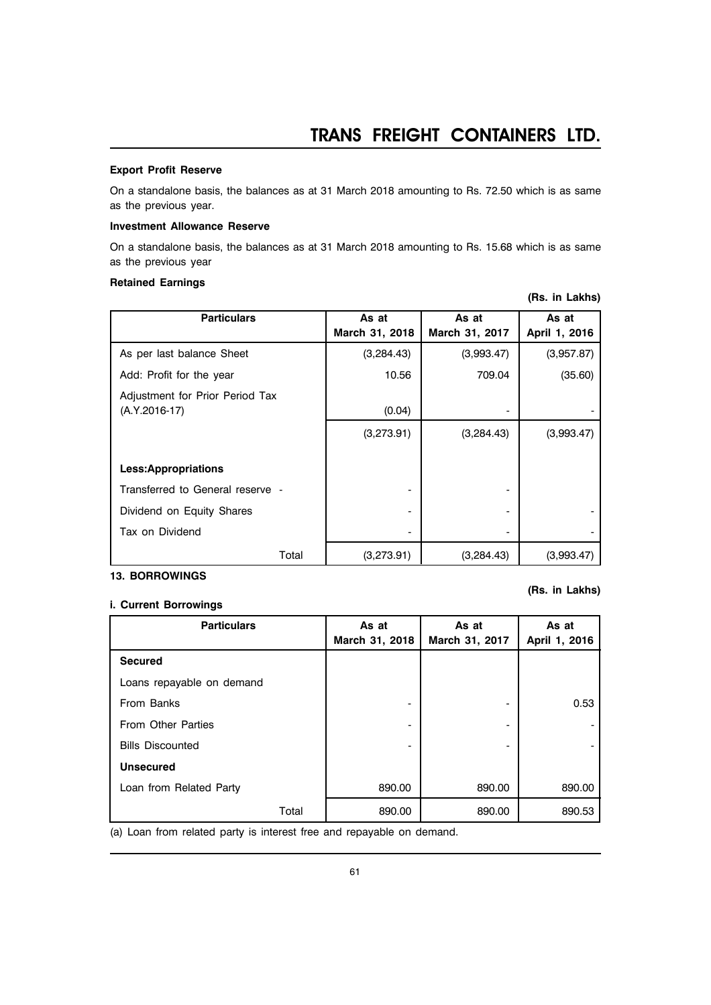### **Export Profit Reserve**

On a standalone basis, the balances as at 31 March 2018 amounting to Rs. 72.50 which is as same as the previous year.

# **Investment Allowance Reserve**

On a standalone basis, the balances as at 31 March 2018 amounting to Rs. 15.68 which is as same as the previous year

# **Retained Earnings**

| <b>Particulars</b>                                 | As at<br>March 31, 2018 | As at<br>March 31, 2017 | As at<br>April 1, 2016 |
|----------------------------------------------------|-------------------------|-------------------------|------------------------|
| As per last balance Sheet                          | (3,284.43)              | (3,993.47)              | (3,957.87)             |
| Add: Profit for the year                           | 10.56                   | 709.04                  | (35.60)                |
| Adjustment for Prior Period Tax<br>$(A.Y.2016-17)$ | (0.04)                  |                         |                        |
|                                                    | (3,273.91)              | (3,284.43)              | (3,993.47)             |
| <b>Less:Appropriations</b>                         |                         |                         |                        |
| Transferred to General reserve -                   |                         |                         |                        |
| Dividend on Equity Shares                          |                         |                         |                        |
| Tax on Dividend                                    |                         |                         |                        |
| Total                                              | (3,273.91)              | (3,284.43)              | (3,993.47)             |

# **13. BORROWINGS**

# **(Rs. in Lakhs)**

**(Rs. in Lakhs)**

# **i. Current Borrowings**

| <b>Particulars</b>        | As at<br>March 31, 2018 | As at<br>March 31, 2017 | As at<br>April 1, 2016 |
|---------------------------|-------------------------|-------------------------|------------------------|
| <b>Secured</b>            |                         |                         |                        |
| Loans repayable on demand |                         |                         |                        |
| From Banks                |                         |                         | 0.53                   |
| From Other Parties        |                         | ۰                       |                        |
| <b>Bills Discounted</b>   |                         |                         |                        |
| <b>Unsecured</b>          |                         |                         |                        |
| Loan from Related Party   | 890.00                  | 890.00                  | 890.00                 |
| Total                     | 890.00                  | 890.00                  | 890.53                 |

(a) Loan from related party is interest free and repayable on demand.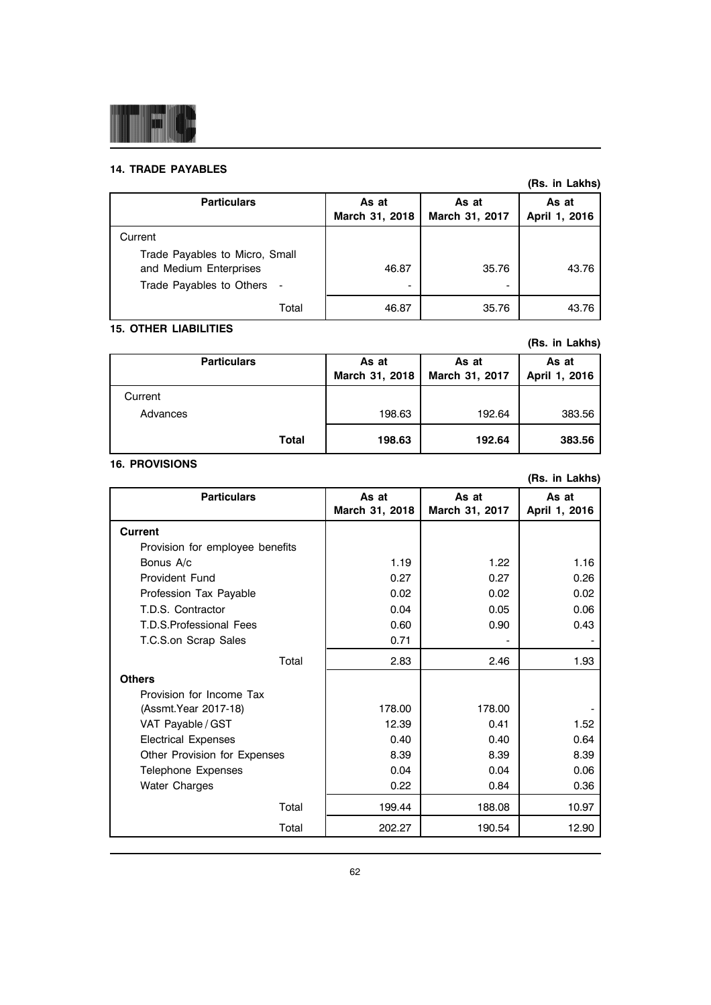

# **14. TRADE PAYABLES**

# **(Rs. in Lakhs)**

| <b>Particulars</b>                                       | As at<br>March 31, 2018 | As at<br>March 31, 2017 | As at<br>April 1, 2016 |
|----------------------------------------------------------|-------------------------|-------------------------|------------------------|
| Current                                                  |                         |                         |                        |
| Trade Payables to Micro, Small<br>and Medium Enterprises | 46.87                   | 35.76                   | 43.76                  |
| Trade Payables to Others -                               |                         |                         |                        |
| Total                                                    | 46.87                   | 35.76                   | 43.76                  |

# **15. OTHER LIABILITIES**

# **(Rs. in Lakhs)**

|          | <b>Particulars</b> | As at<br>March 31, 2018 | As at<br>March 31, 2017 | As at<br>April 1, 2016 |
|----------|--------------------|-------------------------|-------------------------|------------------------|
| Current  |                    |                         |                         |                        |
| Advances |                    | 198.63                  | 192.64                  | 383.56                 |
|          | Total              | 198.63                  | 192.64                  | 383.56                 |

# **16. PROVISIONS**

|                                 |                |                | (Rs. in Lakhs) |
|---------------------------------|----------------|----------------|----------------|
| <b>Particulars</b>              | As at          | As at          | As at          |
|                                 | March 31, 2018 | March 31, 2017 | April 1, 2016  |
| Current                         |                |                |                |
| Provision for employee benefits |                |                |                |
| Bonus A/c                       | 1.19           | 1.22           | 1.16           |
| Provident Fund                  | 0.27           | 0.27           | 0.26           |
| Profession Tax Payable          | 0.02           | 0.02           | 0.02           |
| T.D.S. Contractor               | 0.04           | 0.05           | 0.06           |
| T.D.S. Professional Fees        | 0.60           | 0.90           | 0.43           |
| T.C.S.on Scrap Sales            | 0.71           |                |                |
| Total                           | 2.83           | 2.46           | 1.93           |
| <b>Others</b>                   |                |                |                |
| Provision for Income Tax        |                |                |                |
| (Assmt.Year 2017-18)            | 178.00         | 178.00         |                |
| VAT Payable / GST               | 12.39          | 0.41           | 1.52           |
| <b>Electrical Expenses</b>      | 0.40           | 0.40           | 0.64           |
| Other Provision for Expenses    | 8.39           | 8.39           | 8.39           |
| Telephone Expenses              | 0.04           | 0.04           | 0.06           |
| <b>Water Charges</b>            | 0.22           | 0.84           | 0.36           |
| Total                           | 199.44         | 188.08         | 10.97          |
| Total                           | 202.27         | 190.54         | 12.90          |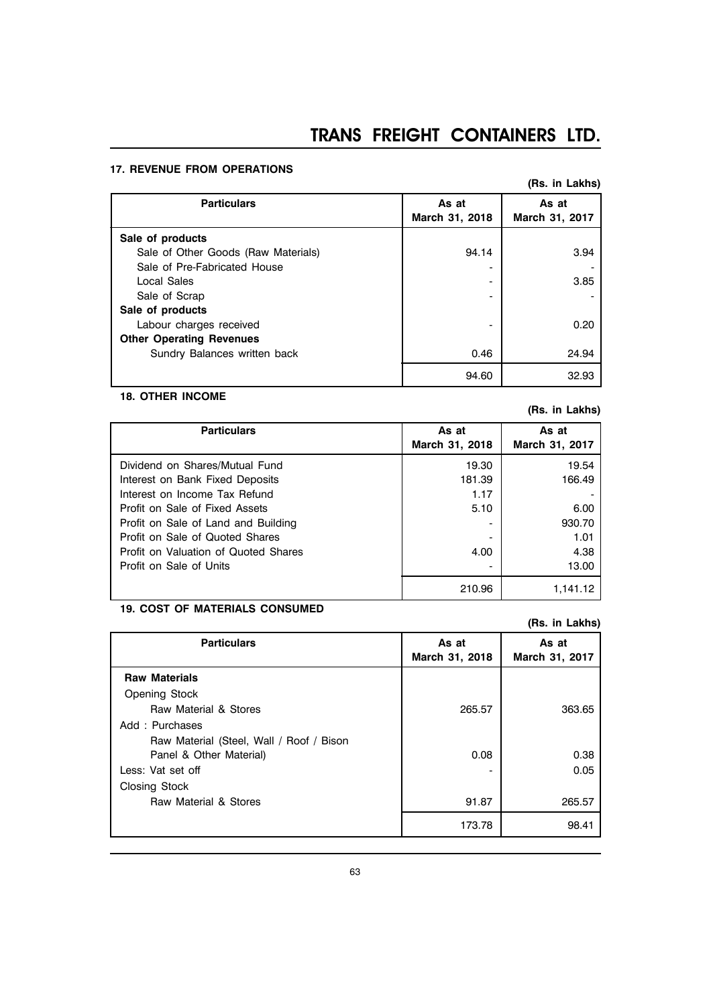# **17. REVENUE FROM OPERATIONS**

### **(Rs. in Lakhs)**

| <b>Particulars</b>                  | As at<br>March 31, 2018 | As at<br>March 31, 2017 |
|-------------------------------------|-------------------------|-------------------------|
| Sale of products                    |                         |                         |
| Sale of Other Goods (Raw Materials) | 94.14                   | 3.94                    |
| Sale of Pre-Fabricated House        |                         |                         |
| Local Sales                         | -                       | 3.85                    |
| Sale of Scrap                       |                         |                         |
| Sale of products                    |                         |                         |
| Labour charges received             |                         | 0.20                    |
| <b>Other Operating Revenues</b>     |                         |                         |
| Sundry Balances written back        | 0.46                    | 24.94                   |
|                                     | 94.60                   | 32.93                   |

# **18. OTHER INCOME**

# **(Rs. in Lakhs)**

| <b>Particulars</b>                   | As at<br>March 31, 2018 | As at<br>March 31, 2017 |
|--------------------------------------|-------------------------|-------------------------|
| Dividend on Shares/Mutual Fund       | 19.30                   | 19.54                   |
| Interest on Bank Fixed Deposits      | 181.39                  | 166.49                  |
| Interest on Income Tax Refund        | 1.17                    |                         |
| Profit on Sale of Fixed Assets       | 5.10                    | 6.00                    |
| Profit on Sale of Land and Building  |                         | 930.70                  |
| Profit on Sale of Quoted Shares      |                         | 1.01                    |
| Profit on Valuation of Quoted Shares | 4.00                    | 4.38                    |
| Profit on Sale of Units              |                         | 13.00                   |
|                                      | 210.96                  | 1.141.12                |

# **19. COST OF MATERIALS CONSUMED**

# **(Rs. in Lakhs)** Particulars **As at** As at As at March 31, 2018 | March 31, 2017  **Raw Materials** Opening Stock Raw Material & Stores 265.57 | 363.65 Add : Purchases Raw Material (Steel, Wall / Roof / Bison Panel & Other Material) and the contract of the contract of the contract of the contract of the contract of the contract of the contract of the contract of the contract of the contract of the contract of the contract of th Less: Vat set off - 0.05 Closing Stock Raw Material & Stores **191.87** 91.87 265.57 173.78 98.41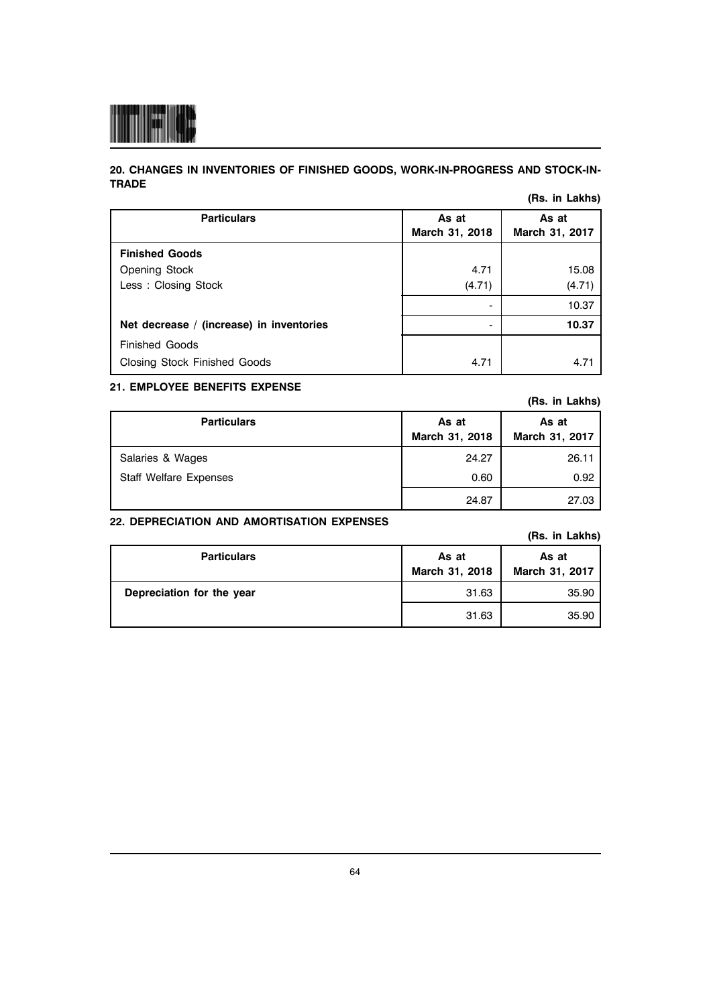

# **20. CHANGES IN INVENTORIES OF FINISHED GOODS, WORK-IN-PROGRESS AND STOCK-IN-TRADE**

**(Rs. in Lakhs)**

| <b>Particulars</b>                       | As at          | As at          |
|------------------------------------------|----------------|----------------|
|                                          | March 31, 2018 | March 31, 2017 |
| <b>Finished Goods</b>                    |                |                |
| Opening Stock                            | 4.71           | 15.08          |
| Less: Closing Stock                      | (4.71)         | (4.71)         |
|                                          |                | 10.37          |
| Net decrease / (increase) in inventories |                | 10.37          |
| <b>Finished Goods</b>                    |                |                |
| Closing Stock Finished Goods             | 4.71           | 4.71           |

# **21. EMPLOYEE BENEFITS EXPENSE**

**(Rs. in Lakhs)**

| <b>Particulars</b>            | As at<br>March 31, 2018 | As at<br>March 31, 2017 |
|-------------------------------|-------------------------|-------------------------|
| Salaries & Wages              | 24.27                   | 26.11                   |
| <b>Staff Welfare Expenses</b> | 0.60                    | 0.92                    |
|                               | 24.87                   | 27.03                   |

# **22. DEPRECIATION AND AMORTISATION EXPENSES**

| <b>Particulars</b>        | As at<br>March 31, 2018 | As at<br>March 31, 2017 |
|---------------------------|-------------------------|-------------------------|
| Depreciation for the year | 31.63                   | 35.90                   |
|                           | 31.63                   | 35.90                   |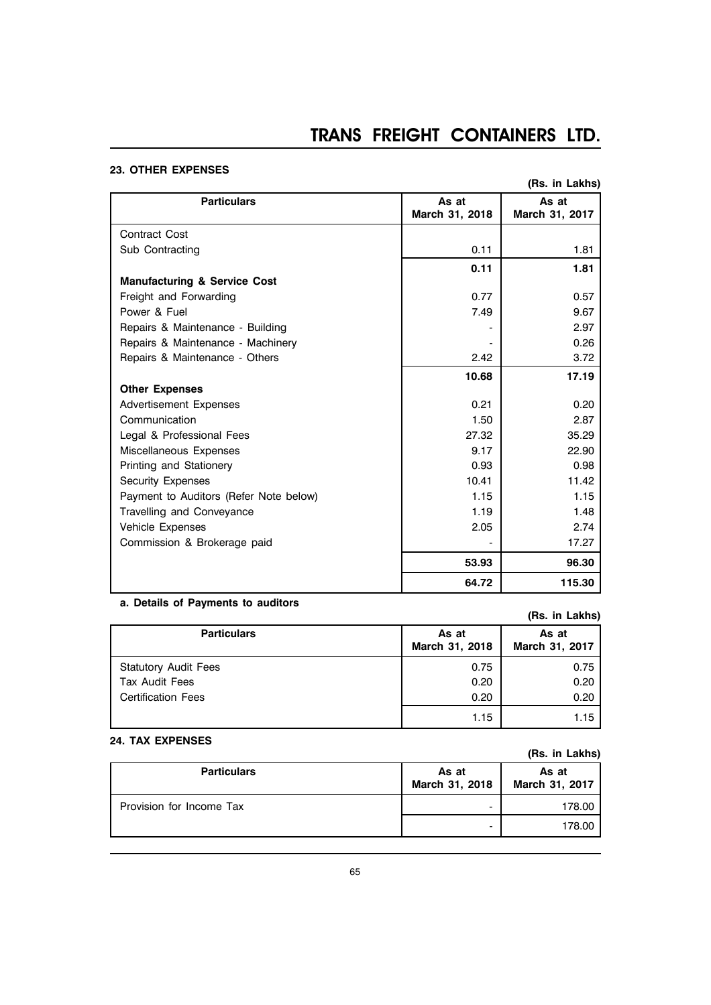# **23. OTHER EXPENSES**

|  | (Rs. in Lakhs) |
|--|----------------|

| <b>Particulars</b>                      | As at          | As at          |
|-----------------------------------------|----------------|----------------|
|                                         | March 31, 2018 | March 31, 2017 |
| <b>Contract Cost</b>                    |                |                |
| Sub Contracting                         | 0.11           | 1.81           |
|                                         | 0.11           | 1.81           |
| <b>Manufacturing &amp; Service Cost</b> |                |                |
| Freight and Forwarding                  | 0.77           | 0.57           |
| Power & Fuel                            | 7.49           | 9.67           |
| Repairs & Maintenance - Building        |                | 2.97           |
| Repairs & Maintenance - Machinery       |                | 0.26           |
| Repairs & Maintenance - Others          | 2.42           | 3.72           |
|                                         | 10.68          | 17.19          |
| <b>Other Expenses</b>                   |                |                |
| <b>Advertisement Expenses</b>           | 0.21           | 0.20           |
| Communication                           | 1.50           | 2.87           |
| Legal & Professional Fees               | 27.32          | 35.29          |
| Miscellaneous Expenses                  | 9.17           | 22.90          |
| Printing and Stationery                 | 0.93           | 0.98           |
| <b>Security Expenses</b>                | 10.41          | 11.42          |
| Payment to Auditors (Refer Note below)  | 1.15           | 1.15           |
| Travelling and Conveyance               | 1.19           | 1.48           |
| Vehicle Expenses                        | 2.05           | 2.74           |
| Commission & Brokerage paid             |                | 17.27          |
|                                         | 53.93          | 96.30          |
|                                         | 64.72          | 115.30         |

# **a. Details of Payments to auditors**

|                             |                         | (Rs. in Lakhs)          |
|-----------------------------|-------------------------|-------------------------|
| <b>Particulars</b>          | As at<br>March 31, 2018 | As at<br>March 31, 2017 |
| <b>Statutory Audit Fees</b> | 0.75                    | 0.75                    |
| <b>Tax Audit Fees</b>       | 0.20                    | 0.20                    |
| <b>Certification Fees</b>   | 0.20                    | 0.20                    |
|                             | 1.15                    | 1.15                    |

# **24. TAX EXPENSES**

|                          |                         | (Rs. in Lakhs)          |
|--------------------------|-------------------------|-------------------------|
| <b>Particulars</b>       | As at<br>March 31, 2018 | As at<br>March 31, 2017 |
| Provision for Income Tax | -                       | 178.00                  |
|                          | -                       | 178.00                  |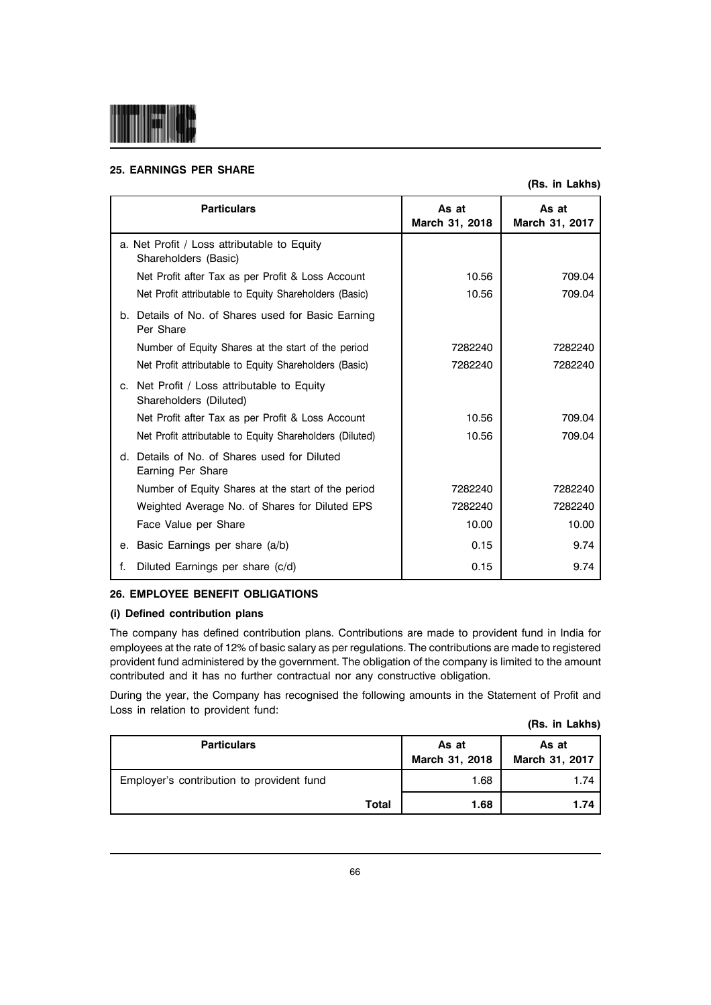

# **25. EARNINGS PER SHARE**

**(Rs. in Lakhs)**

|    | <b>Particulars</b>                                                    | As at<br>March 31, 2018 | As at<br>March 31, 2017 |
|----|-----------------------------------------------------------------------|-------------------------|-------------------------|
|    | a. Net Profit / Loss attributable to Equity<br>Shareholders (Basic)   |                         |                         |
|    | Net Profit after Tax as per Profit & Loss Account                     | 10.56                   | 709.04                  |
|    | Net Profit attributable to Equity Shareholders (Basic)                | 10.56                   | 709.04                  |
|    | b. Details of No. of Shares used for Basic Earning<br>Per Share       |                         |                         |
|    | Number of Equity Shares at the start of the period                    | 7282240                 | 7282240                 |
|    | Net Profit attributable to Equity Shareholders (Basic)                | 7282240                 | 7282240                 |
|    | c. Net Profit / Loss attributable to Equity<br>Shareholders (Diluted) |                         |                         |
|    | Net Profit after Tax as per Profit & Loss Account                     | 10.56                   | 709.04                  |
|    | Net Profit attributable to Equity Shareholders (Diluted)              | 10.56                   | 709.04                  |
|    | d. Details of No. of Shares used for Diluted<br>Earning Per Share     |                         |                         |
|    | Number of Equity Shares at the start of the period                    | 7282240                 | 7282240                 |
|    | Weighted Average No. of Shares for Diluted EPS                        | 7282240                 | 7282240                 |
|    | Face Value per Share                                                  | 10.00                   | 10.00                   |
|    | e. Basic Earnings per share (a/b)                                     | 0.15                    | 9.74                    |
| f. | Diluted Earnings per share (c/d)                                      | 0.15                    | 9.74                    |

# **26. EMPLOYEE BENEFIT OBLIGATIONS**

# **(i) Defined contribution plans**

The company has defined contribution plans. Contributions are made to provident fund in India for employees at the rate of 12% of basic salary as per regulations. The contributions are made to registered provident fund administered by the government. The obligation of the company is limited to the amount contributed and it has no further contractual nor any constructive obligation.

During the year, the Company has recognised the following amounts in the Statement of Profit and Loss in relation to provident fund:

|  |  | (Rs. in Lakhs) |
|--|--|----------------|
|--|--|----------------|

| <b>Particulars</b>                        |              | As at<br>March 31, 2018 | As at<br>March 31, 2017 |
|-------------------------------------------|--------------|-------------------------|-------------------------|
| Employer's contribution to provident fund |              | 1.68                    | 1.74                    |
|                                           | <b>Total</b> | 1.68                    | 1.74                    |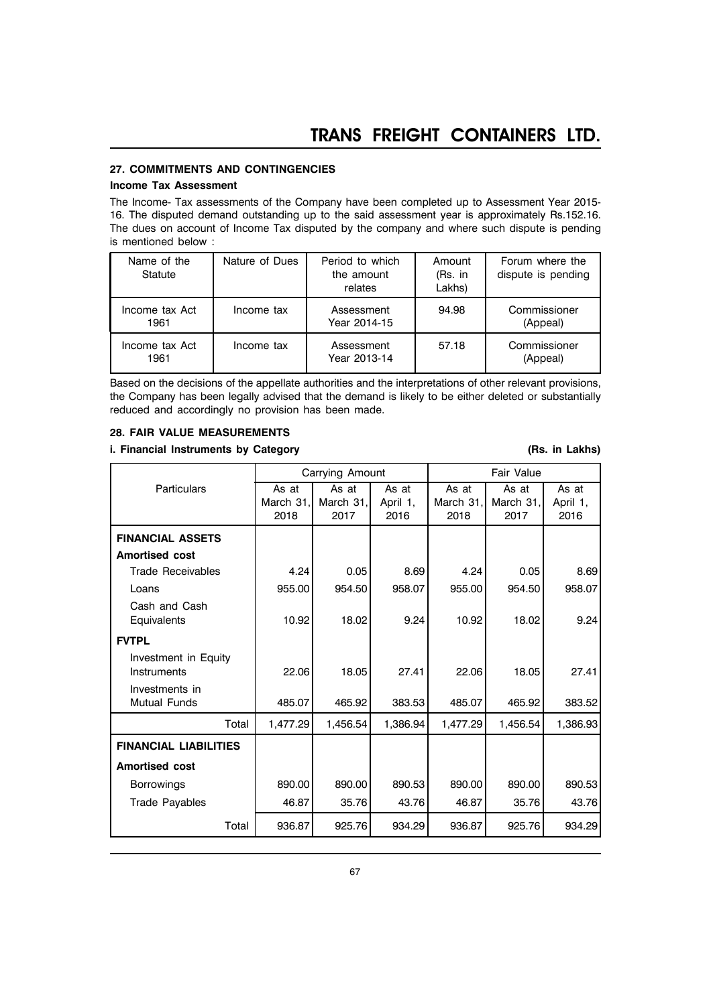# **27. COMMITMENTS AND CONTINGENCIES**

# **Income Tax Assessment**

The Income- Tax assessments of the Company have been completed up to Assessment Year 2015- 16. The disputed demand outstanding up to the said assessment year is approximately Rs.152.16. The dues on account of Income Tax disputed by the company and where such dispute is pending is mentioned below :

| Name of the<br>Statute | Nature of Dues | Period to which<br>the amount<br>relates | Amount<br>(Rs. in<br>Lakhs) | Forum where the<br>dispute is pending |
|------------------------|----------------|------------------------------------------|-----------------------------|---------------------------------------|
| Income tax Act<br>1961 | Income tax     | Assessment<br>Year 2014-15               | 94.98                       | Commissioner<br>(Appeal)              |
| Income tax Act<br>1961 | Income tax     | Assessment<br>Year 2013-14               | 57.18                       | Commissioner<br>(Appeal)              |

Based on the decisions of the appellate authorities and the interpretations of other relevant provisions, the Company has been legally advised that the demand is likely to be either deleted or substantially reduced and accordingly no provision has been made.

# **28. FAIR VALUE MEASUREMENTS**

# **i. Financial Instruments by Category (Rs. in Lakhs)**

|                                       | Carrying Amount     |                    |                   | Fair Value         |                    |                   |
|---------------------------------------|---------------------|--------------------|-------------------|--------------------|--------------------|-------------------|
| Particulars                           | As at<br>March 31.I | As at<br>March 31, | As at<br>April 1, | As at<br>March 31, | As at<br>March 31, | As at<br>April 1, |
|                                       | 2018                | 2017               | 2016              | 2018               | 2017               | 2016              |
| <b>FINANCIAL ASSETS</b>               |                     |                    |                   |                    |                    |                   |
| <b>Amortised cost</b>                 |                     |                    |                   |                    |                    |                   |
| <b>Trade Receivables</b>              | 4.24                | 0.05               | 8.69              | 4.24               | 0.05               | 8.69              |
| Loans                                 | 955.00              | 954.50             | 958.07            | 955.00             | 954.50             | 958.07            |
| Cash and Cash<br>Equivalents          | 10.92               | 18.02              | 9.24              | 10.92              | 18.02              | 9.24              |
| <b>FVTPL</b>                          |                     |                    |                   |                    |                    |                   |
| Investment in Equity<br>Instruments   | 22.06               | 18.05              | 27.41             | 22.06              | 18.05              | 27.41             |
| Investments in<br><b>Mutual Funds</b> | 485.07              | 465.92             | 383.53            | 485.07             | 465.92             | 383.52            |
| Total                                 | 1,477.29            | 1,456.54           | 1,386.94          | 1,477.29           | 1,456.54           | 1,386.93          |
| <b>FINANCIAL LIABILITIES</b>          |                     |                    |                   |                    |                    |                   |
| <b>Amortised cost</b>                 |                     |                    |                   |                    |                    |                   |
| <b>Borrowings</b>                     | 890.00              | 890.00             | 890.53            | 890.00             | 890.00             | 890.53            |
| <b>Trade Payables</b>                 | 46.87               | 35.76              | 43.76             | 46.87              | 35.76              | 43.76             |
| Total                                 | 936.87              | 925.76             | 934.29            | 936.87             | 925.76             | 934.29            |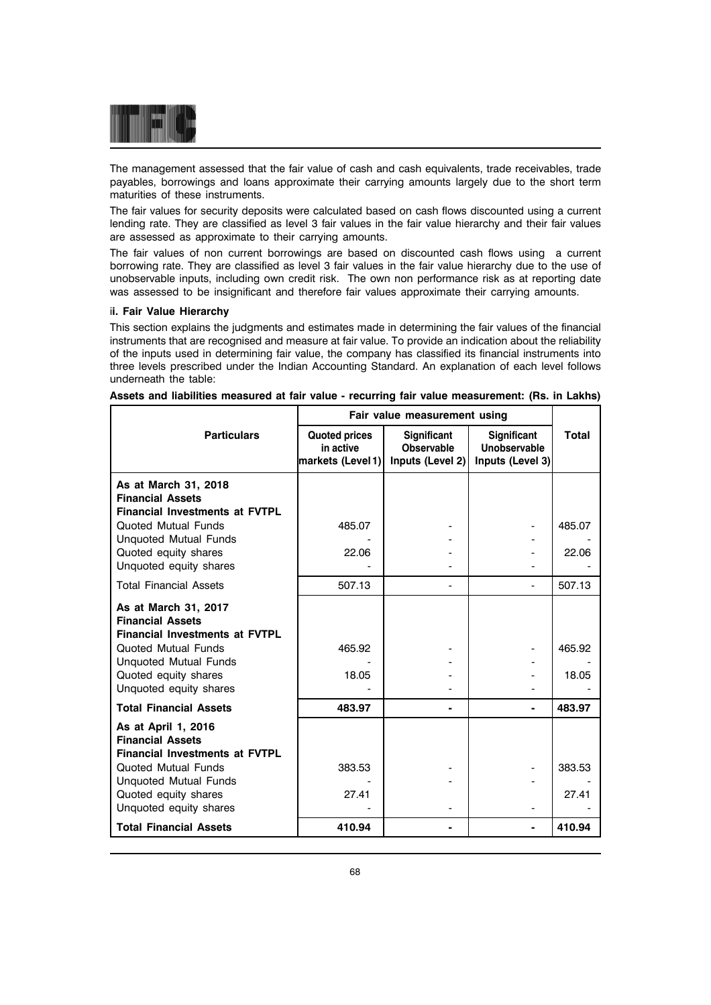

The management assessed that the fair value of cash and cash equivalents, trade receivables, trade payables, borrowings and loans approximate their carrying amounts largely due to the short term maturities of these instruments.

The fair values for security deposits were calculated based on cash flows discounted using a current lending rate. They are classified as level 3 fair values in the fair value hierarchy and their fair values are assessed as approximate to their carrying amounts.

The fair values of non current borrowings are based on discounted cash flows using a current borrowing rate. They are classified as level 3 fair values in the fair value hierarchy due to the use of unobservable inputs, including own credit risk. The own non performance risk as at reporting date was assessed to be insignificant and therefore fair values approximate their carrying amounts.

### i**i. Fair Value Hierarchy**

This section explains the judgments and estimates made in determining the fair values of the financial instruments that are recognised and measure at fair value. To provide an indication about the reliability of the inputs used in determining fair value, the company has classified its financial instruments into three levels prescribed under the Indian Accounting Standard. An explanation of each level follows underneath the table:

| Assets and liabilities measured at fair value - recurring fair value measurement: (Rs. in Lakhs) |  |  |  |  |  |
|--------------------------------------------------------------------------------------------------|--|--|--|--|--|
|--------------------------------------------------------------------------------------------------|--|--|--|--|--|

|                                                                                                                                                                                                   | Fair value measurement using                            |                                               |                                                 |                 |
|---------------------------------------------------------------------------------------------------------------------------------------------------------------------------------------------------|---------------------------------------------------------|-----------------------------------------------|-------------------------------------------------|-----------------|
| <b>Particulars</b>                                                                                                                                                                                | <b>Quoted prices</b><br>in active<br> markets (Level 1) | Significant<br>Observable<br>Inputs (Level 2) | Significant<br>Unobservable<br>Inputs (Level 3) | Total           |
| As at March 31, 2018<br><b>Financial Assets</b><br><b>Financial Investments at FVTPL</b>                                                                                                          |                                                         |                                               |                                                 |                 |
| <b>Quoted Mutual Funds</b>                                                                                                                                                                        | 485.07                                                  |                                               |                                                 | 485.07          |
| <b>Unquoted Mutual Funds</b><br>Quoted equity shares<br>Unquoted equity shares                                                                                                                    | 22.06                                                   |                                               |                                                 | 22.06           |
| <b>Total Financial Assets</b>                                                                                                                                                                     | 507.13                                                  |                                               |                                                 | 507.13          |
| As at March 31, 2017<br><b>Financial Assets</b><br><b>Financial Investments at FVTPL</b><br>Quoted Mutual Funds<br><b>Unquoted Mutual Funds</b><br>Quoted equity shares<br>Unquoted equity shares | 465.92<br>18.05                                         |                                               |                                                 | 465.92<br>18.05 |
| <b>Total Financial Assets</b>                                                                                                                                                                     | 483.97                                                  |                                               |                                                 | 483.97          |
| As at April 1, 2016<br><b>Financial Assets</b><br><b>Financial Investments at FVTPL</b><br>Quoted Mutual Funds<br><b>Unquoted Mutual Funds</b><br>Quoted equity shares<br>Unquoted equity shares  | 383.53<br>27.41                                         |                                               |                                                 | 383.53<br>27.41 |
| <b>Total Financial Assets</b>                                                                                                                                                                     | 410.94                                                  |                                               | $\blacksquare$                                  | 410.94          |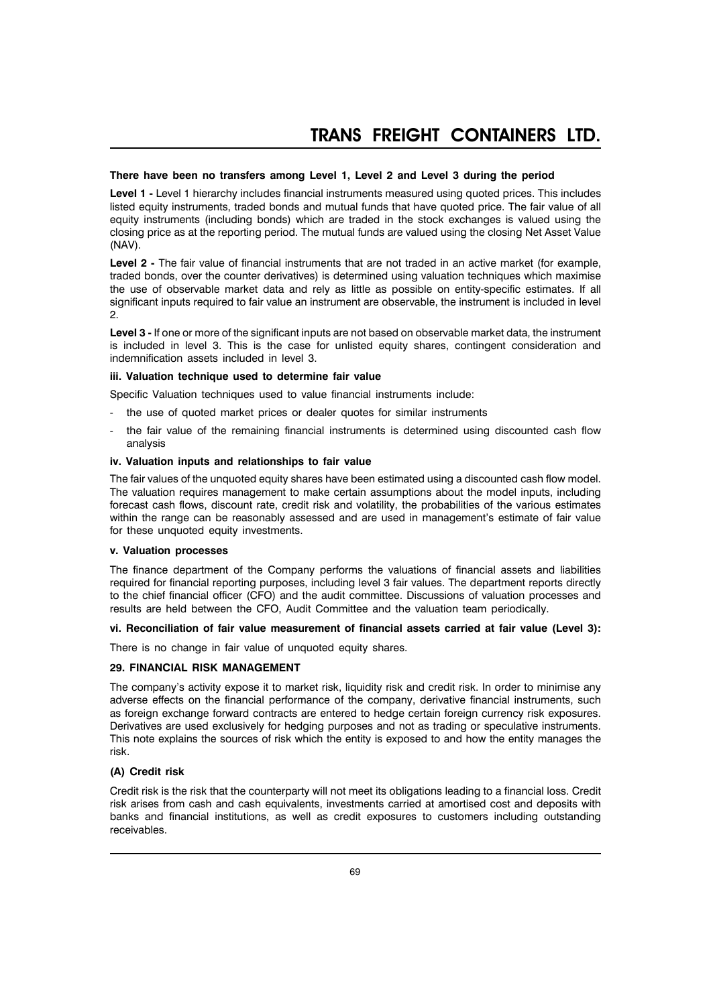### **There have been no transfers among Level 1, Level 2 and Level 3 during the period**

**Level 1 -** Level 1 hierarchy includes financial instruments measured using quoted prices. This includes listed equity instruments, traded bonds and mutual funds that have quoted price. The fair value of all equity instruments (including bonds) which are traded in the stock exchanges is valued using the closing price as at the reporting period. The mutual funds are valued using the closing Net Asset Value (NAV).

Level 2 - The fair value of financial instruments that are not traded in an active market (for example, traded bonds, over the counter derivatives) is determined using valuation techniques which maximise the use of observable market data and rely as little as possible on entity-specific estimates. If all significant inputs required to fair value an instrument are observable, the instrument is included in level 2.

**Level 3 -** If one or more of the significant inputs are not based on observable market data, the instrument is included in level 3. This is the case for unlisted equity shares, contingent consideration and indemnification assets included in level 3.

### **iii. Valuation technique used to determine fair value**

Specific Valuation techniques used to value financial instruments include:

- the use of quoted market prices or dealer quotes for similar instruments
- the fair value of the remaining financial instruments is determined using discounted cash flow analysis

### **iv. Valuation inputs and relationships to fair value**

The fair values of the unquoted equity shares have been estimated using a discounted cash flow model. The valuation requires management to make certain assumptions about the model inputs, including forecast cash flows, discount rate, credit risk and volatility, the probabilities of the various estimates within the range can be reasonably assessed and are used in management's estimate of fair value for these unquoted equity investments.

### **v. Valuation processes**

The finance department of the Company performs the valuations of financial assets and liabilities required for financial reporting purposes, including level 3 fair values. The department reports directly to the chief financial officer (CFO) and the audit committee. Discussions of valuation processes and results are held between the CFO, Audit Committee and the valuation team periodically.

# **vi. Reconciliation of fair value measurement of financial assets carried at fair value (Level 3):**

There is no change in fair value of unquoted equity shares.

### **29. FINANCIAL RISK MANAGEMENT**

The company's activity expose it to market risk, liquidity risk and credit risk. In order to minimise any adverse effects on the financial performance of the company, derivative financial instruments, such as foreign exchange forward contracts are entered to hedge certain foreign currency risk exposures. Derivatives are used exclusively for hedging purposes and not as trading or speculative instruments. This note explains the sources of risk which the entity is exposed to and how the entity manages the risk.

### **(A) Credit risk**

Credit risk is the risk that the counterparty will not meet its obligations leading to a financial loss. Credit risk arises from cash and cash equivalents, investments carried at amortised cost and deposits with banks and financial institutions, as well as credit exposures to customers including outstanding receivables.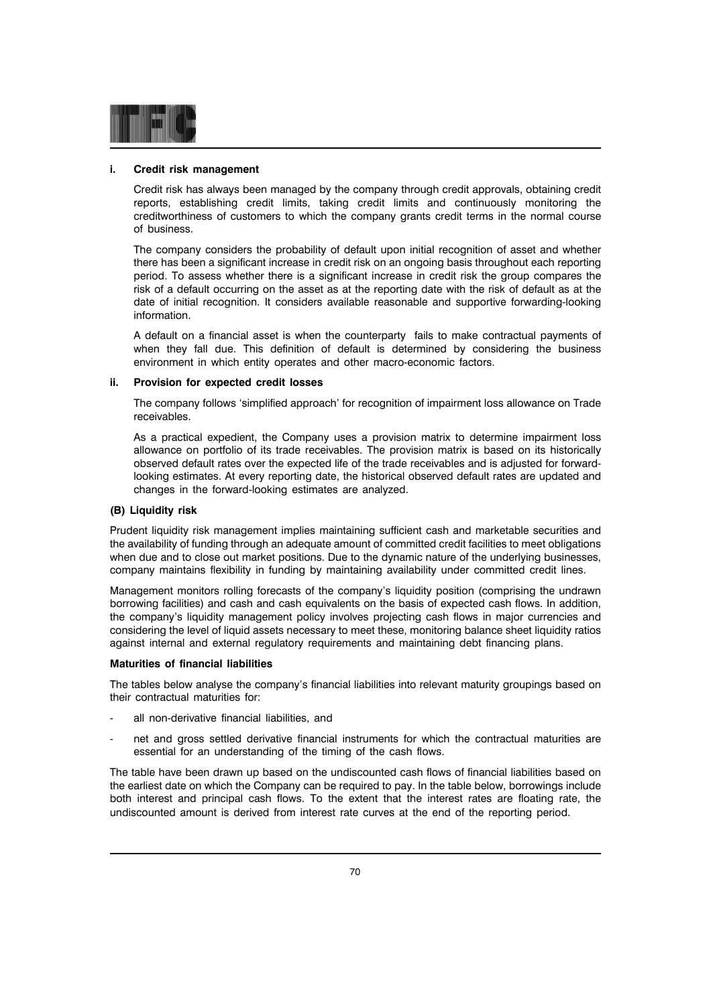

### **i. Credit risk management**

Credit risk has always been managed by the company through credit approvals, obtaining credit reports, establishing credit limits, taking credit limits and continuously monitoring the creditworthiness of customers to which the company grants credit terms in the normal course of business.

The company considers the probability of default upon initial recognition of asset and whether there has been a significant increase in credit risk on an ongoing basis throughout each reporting period. To assess whether there is a significant increase in credit risk the group compares the risk of a default occurring on the asset as at the reporting date with the risk of default as at the date of initial recognition. It considers available reasonable and supportive forwarding-looking information.

A default on a financial asset is when the counterparty fails to make contractual payments of when they fall due. This definition of default is determined by considering the business environment in which entity operates and other macro-economic factors.

### **ii. Provision for expected credit losses**

The company follows 'simplified approach' for recognition of impairment loss allowance on Trade receivables.

As a practical expedient, the Company uses a provision matrix to determine impairment loss allowance on portfolio of its trade receivables. The provision matrix is based on its historically observed default rates over the expected life of the trade receivables and is adjusted for forwardlooking estimates. At every reporting date, the historical observed default rates are updated and changes in the forward-looking estimates are analyzed.

### **(B) Liquidity risk**

Prudent liquidity risk management implies maintaining sufficient cash and marketable securities and the availability of funding through an adequate amount of committed credit facilities to meet obligations when due and to close out market positions. Due to the dynamic nature of the underlying businesses, company maintains flexibility in funding by maintaining availability under committed credit lines.

Management monitors rolling forecasts of the company's liquidity position (comprising the undrawn borrowing facilities) and cash and cash equivalents on the basis of expected cash flows. In addition, the company's liquidity management policy involves projecting cash flows in major currencies and considering the level of liquid assets necessary to meet these, monitoring balance sheet liquidity ratios against internal and external regulatory requirements and maintaining debt financing plans.

### **Maturities of financial liabilities**

The tables below analyse the company's financial liabilities into relevant maturity groupings based on their contractual maturities for:

- all non-derivative financial liabilities, and
- net and gross settled derivative financial instruments for which the contractual maturities are essential for an understanding of the timing of the cash flows.

The table have been drawn up based on the undiscounted cash flows of financial liabilities based on the earliest date on which the Company can be required to pay. In the table below, borrowings include both interest and principal cash flows. To the extent that the interest rates are floating rate, the undiscounted amount is derived from interest rate curves at the end of the reporting period.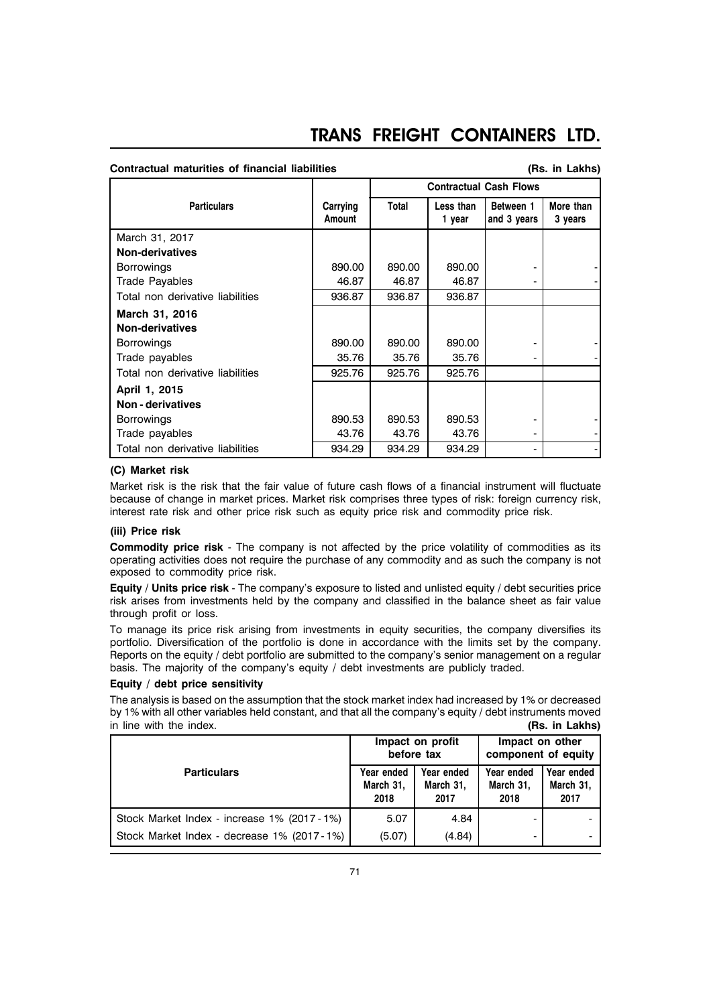#### Contractual maturities of financial liabilities **(Rs. in Lakhs)** (Rs. in Lakhs)

|                                  |                    | <b>Contractual Cash Flows</b> |                     |                          |                      |
|----------------------------------|--------------------|-------------------------------|---------------------|--------------------------|----------------------|
| <b>Particulars</b>               | Carrying<br>Amount | Total                         | Less than<br>1 year | Between 1<br>and 3 years | More than<br>3 years |
| March 31, 2017                   |                    |                               |                     |                          |                      |
| <b>Non-derivatives</b>           |                    |                               |                     |                          |                      |
| <b>Borrowings</b>                | 890.00             | 890.00                        | 890.00              |                          |                      |
| <b>Trade Payables</b>            | 46.87              | 46.87                         | 46.87               |                          |                      |
| Total non derivative liabilities | 936.87             | 936.87                        | 936.87              |                          |                      |
| March 31, 2016                   |                    |                               |                     |                          |                      |
| <b>Non-derivatives</b>           |                    |                               |                     |                          |                      |
| <b>Borrowings</b>                | 890.00             | 890.00                        | 890.00              |                          |                      |
| Trade payables                   | 35.76              | 35.76                         | 35.76               |                          |                      |
| Total non derivative liabilities | 925.76             | 925.76                        | 925.76              |                          |                      |
| April 1, 2015                    |                    |                               |                     |                          |                      |
| Non-derivatives                  |                    |                               |                     |                          |                      |
| <b>Borrowings</b>                | 890.53             | 890.53                        | 890.53              |                          |                      |
| Trade payables                   | 43.76              | 43.76                         | 43.76               |                          |                      |
| Total non derivative liabilities | 934.29             | 934.29                        | 934.29              |                          |                      |

#### **(C) Market risk**

Market risk is the risk that the fair value of future cash flows of a financial instrument will fluctuate because of change in market prices. Market risk comprises three types of risk: foreign currency risk, interest rate risk and other price risk such as equity price risk and commodity price risk.

#### **(iii) Price risk**

**Commodity price risk** - The company is not affected by the price volatility of commodities as its operating activities does not require the purchase of any commodity and as such the company is not exposed to commodity price risk.

**Equity / Units price risk** - The company's exposure to listed and unlisted equity / debt securities price risk arises from investments held by the company and classified in the balance sheet as fair value through profit or loss.

To manage its price risk arising from investments in equity securities, the company diversifies its portfolio. Diversification of the portfolio is done in accordance with the limits set by the company. Reports on the equity / debt portfolio are submitted to the company's senior management on a regular basis. The majority of the company's equity / debt investments are publicly traded.

#### **Equity / debt price sensitivity**

The analysis is based on the assumption that the stock market index had increased by 1% or decreased by 1% with all other variables held constant, and that all the company's equity / debt instruments moved in line with the index. **(Rs. in Lakhs)**

|                                            |                                 | Impact on profit<br>before tax  | Impact on other<br>component of equity |                                 |
|--------------------------------------------|---------------------------------|---------------------------------|----------------------------------------|---------------------------------|
| <b>Particulars</b>                         | Year ended<br>March 31,<br>2018 | Year ended<br>March 31,<br>2017 | Year ended<br>March 31,<br>2018        | Year ended<br>March 31,<br>2017 |
| Stock Market Index - increase 1% (2017-1%) | 5.07                            | 4.84                            |                                        |                                 |
| Stock Market Index - decrease 1% (2017-1%) | (5.07)                          | (4.84)                          | ۰                                      |                                 |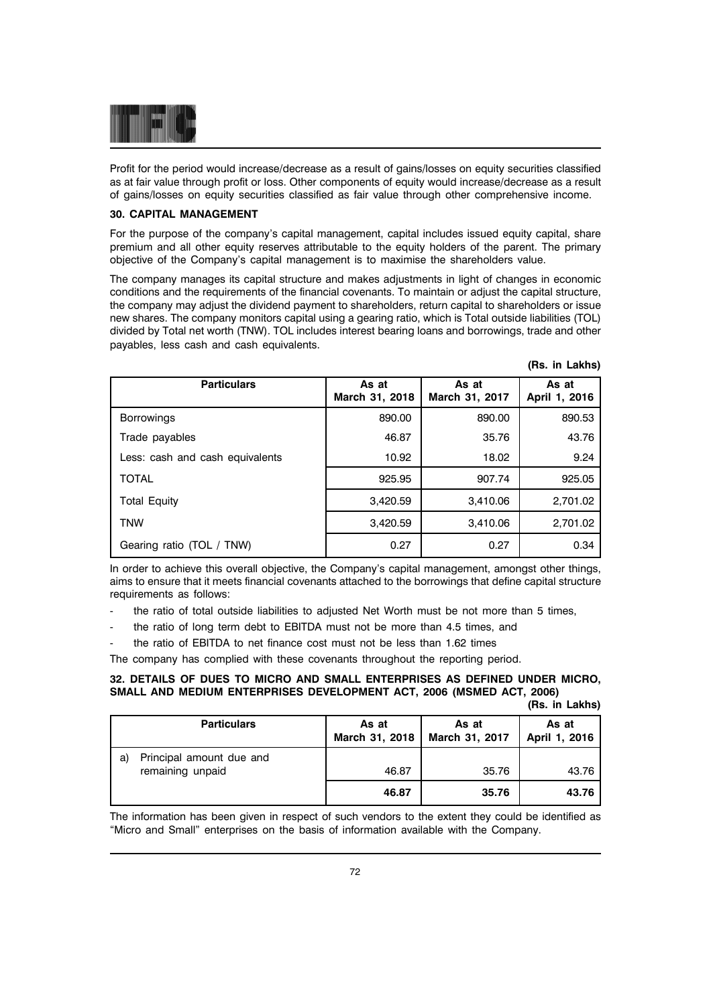

Profit for the period would increase/decrease as a result of gains/losses on equity securities classified as at fair value through profit or loss. Other components of equity would increase/decrease as a result of gains/losses on equity securities classified as fair value through other comprehensive income.

#### **30. CAPITAL MANAGEMENT**

For the purpose of the company's capital management, capital includes issued equity capital, share premium and all other equity reserves attributable to the equity holders of the parent. The primary objective of the Company's capital management is to maximise the shareholders value.

The company manages its capital structure and makes adjustments in light of changes in economic conditions and the requirements of the financial covenants. To maintain or adjust the capital structure, the company may adjust the dividend payment to shareholders, return capital to shareholders or issue new shares. The company monitors capital using a gearing ratio, which is Total outside liabilities (TOL) divided by Total net worth (TNW). TOL includes interest bearing loans and borrowings, trade and other payables, less cash and cash equivalents.

| <b>Particulars</b>              | As at<br>March 31, 2018 | As at<br>March 31, 2017 | As at<br>April 1, 2016 |
|---------------------------------|-------------------------|-------------------------|------------------------|
| <b>Borrowings</b>               | 890.00                  | 890,00                  | 890.53                 |
| Trade payables                  | 46.87                   | 35.76                   | 43.76                  |
| Less: cash and cash equivalents | 10.92                   | 18.02                   | 9.24                   |
| <b>TOTAL</b>                    | 925.95                  | 907.74                  | 925.05                 |
| <b>Total Equity</b>             | 3,420.59                | 3.410.06                | 2,701.02               |
| <b>TNW</b>                      | 3.420.59                | 3.410.06                | 2.701.02               |
| Gearing ratio (TOL / TNW)       | 0.27                    | 0.27                    | 0.34                   |

In order to achieve this overall objective, the Company's capital management, amongst other things, aims to ensure that it meets financial covenants attached to the borrowings that define capital structure requirements as follows:

- the ratio of total outside liabilities to adjusted Net Worth must be not more than 5 times,
- the ratio of long term debt to EBITDA must not be more than 4.5 times, and
- the ratio of EBITDA to net finance cost must not be less than 1.62 times

The company has complied with these covenants throughout the reporting period.

#### **32. DETAILS OF DUES TO MICRO AND SMALL ENTERPRISES AS DEFINED UNDER MICRO, SMALL AND MEDIUM ENTERPRISES DEVELOPMENT ACT, 2006 (MSMED ACT, 2006)**

**(Rs. in Lakhs)**

**(Rs. in Lakhs)**

|    | <b>Particulars</b>                           | As at<br>March 31, 2018 | As at<br>March 31, 2017 | As at<br>April 1, 2016 |
|----|----------------------------------------------|-------------------------|-------------------------|------------------------|
| a) | Principal amount due and<br>remaining unpaid | 46.87                   | 35.76                   | 43.76                  |
|    |                                              | 46.87                   | 35.76                   | 43.76                  |

The information has been given in respect of such vendors to the extent they could be identified as "Micro and Small" enterprises on the basis of information available with the Company.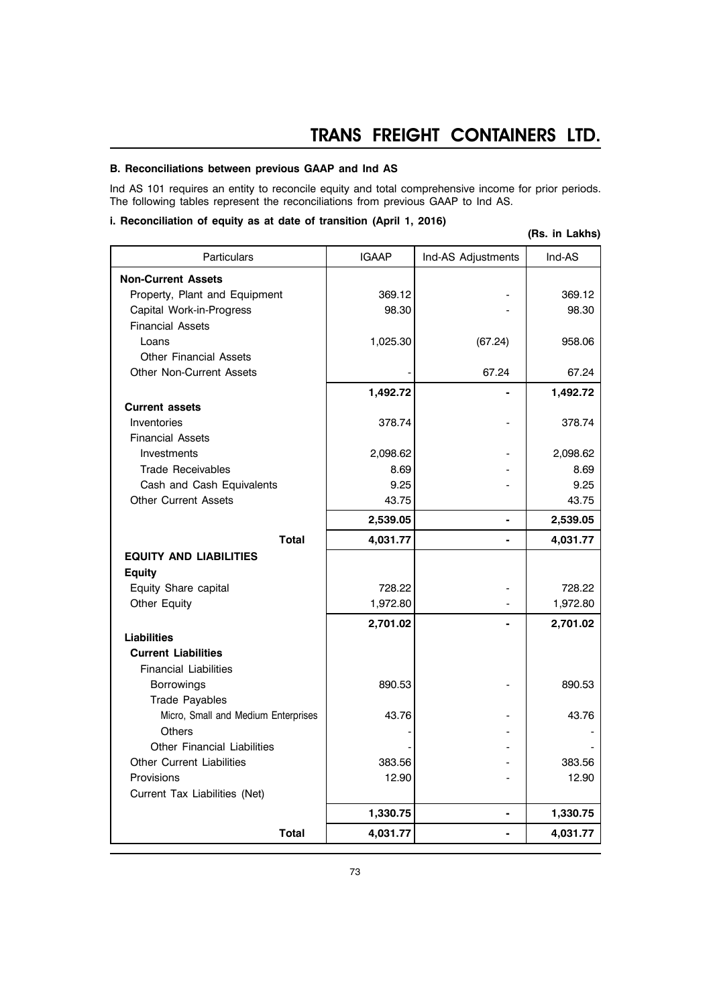### **B. Reconciliations between previous GAAP and Ind AS**

Ind AS 101 requires an entity to reconcile equity and total comprehensive income for prior periods. The following tables represent the reconciliations from previous GAAP to Ind AS.

### **i. Reconciliation of equity as at date of transition (April 1, 2016)**

#### **(Rs. in Lakhs)**

| Particulars                         | <b>IGAAP</b> | Ind-AS Adjustments | Ind-AS   |
|-------------------------------------|--------------|--------------------|----------|
| <b>Non-Current Assets</b>           |              |                    |          |
| Property, Plant and Equipment       | 369.12       |                    | 369.12   |
| Capital Work-in-Progress            | 98.30        |                    | 98.30    |
| <b>Financial Assets</b>             |              |                    |          |
| Loans                               | 1,025.30     | (67.24)            | 958.06   |
| <b>Other Financial Assets</b>       |              |                    |          |
| <b>Other Non-Current Assets</b>     |              | 67.24              | 67.24    |
|                                     | 1,492.72     |                    | 1,492.72 |
| <b>Current assets</b>               |              |                    |          |
| Inventories                         | 378.74       |                    | 378.74   |
| <b>Financial Assets</b>             |              |                    |          |
| Investments                         | 2,098.62     |                    | 2,098.62 |
| <b>Trade Receivables</b>            | 8.69         |                    | 8.69     |
| Cash and Cash Equivalents           | 9.25         |                    | 9.25     |
| <b>Other Current Assets</b>         | 43.75        |                    | 43.75    |
|                                     | 2,539.05     | $\blacksquare$     | 2,539.05 |
| <b>Total</b>                        | 4,031.77     |                    | 4,031.77 |
| <b>EQUITY AND LIABILITIES</b>       |              |                    |          |
| <b>Equity</b>                       |              |                    |          |
| Equity Share capital                | 728.22       |                    | 728.22   |
| Other Equity                        | 1,972.80     |                    | 1,972.80 |
|                                     | 2,701.02     |                    | 2,701.02 |
| <b>Liabilities</b>                  |              |                    |          |
| <b>Current Liabilities</b>          |              |                    |          |
| <b>Financial Liabilities</b>        |              |                    |          |
| <b>Borrowings</b>                   | 890.53       |                    | 890.53   |
| <b>Trade Payables</b>               |              |                    |          |
| Micro, Small and Medium Enterprises | 43.76        |                    | 43.76    |
| Others                              |              |                    |          |
| <b>Other Financial Liabilities</b>  |              |                    |          |
| <b>Other Current Liabilities</b>    | 383.56       |                    | 383.56   |
| Provisions                          | 12.90        |                    | 12.90    |
| Current Tax Liabilities (Net)       |              |                    |          |
|                                     | 1,330.75     |                    | 1,330.75 |
| <b>Total</b>                        | 4,031.77     |                    | 4,031.77 |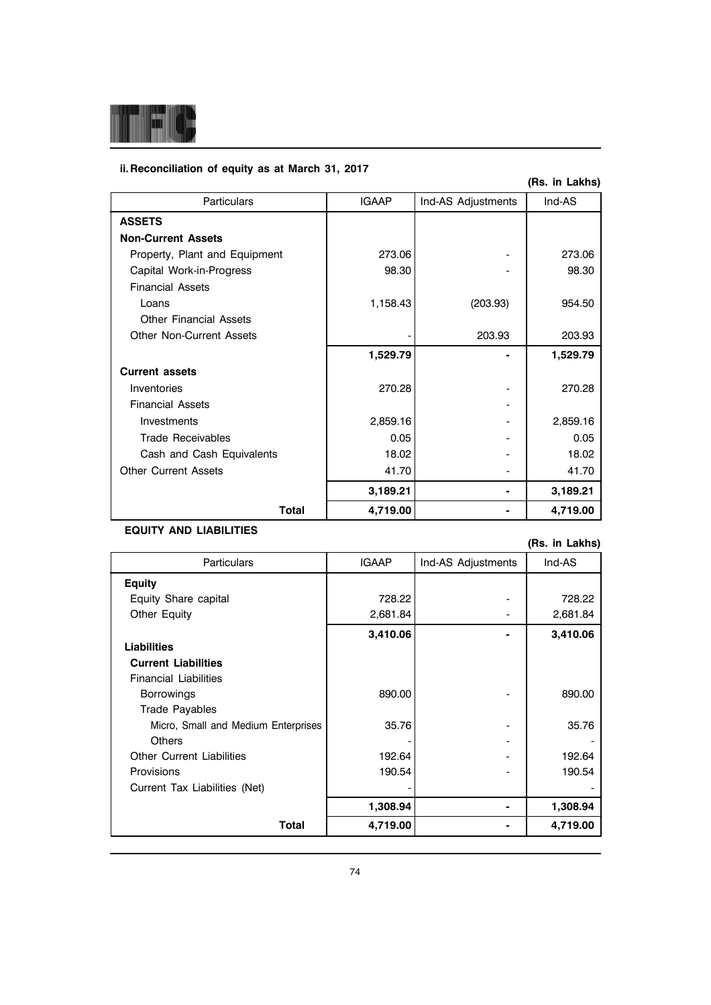

### **ii.Reconciliation of equity as at March 31, 2017**

|                                 |              |                    | (Rs. in Lakhs) |
|---------------------------------|--------------|--------------------|----------------|
| Particulars                     | <b>IGAAP</b> | Ind-AS Adjustments | Ind-AS         |
| <b>ASSETS</b>                   |              |                    |                |
| <b>Non-Current Assets</b>       |              |                    |                |
| Property, Plant and Equipment   | 273.06       |                    | 273.06         |
| Capital Work-in-Progress        | 98.30        |                    | 98.30          |
| <b>Financial Assets</b>         |              |                    |                |
| Loans                           | 1,158.43     | (203.93)           | 954.50         |
| <b>Other Financial Assets</b>   |              |                    |                |
| <b>Other Non-Current Assets</b> |              | 203.93             | 203.93         |
|                                 | 1,529.79     |                    | 1,529.79       |
| <b>Current assets</b>           |              |                    |                |
| Inventories                     | 270.28       |                    | 270.28         |
| <b>Financial Assets</b>         |              |                    |                |
| Investments                     | 2,859.16     |                    | 2,859.16       |
| <b>Trade Receivables</b>        | 0.05         |                    | 0.05           |
| Cash and Cash Equivalents       | 18.02        |                    | 18.02          |
| <b>Other Current Assets</b>     | 41.70        |                    | 41.70          |
|                                 | 3,189.21     |                    | 3,189.21       |
| Total                           | 4,719.00     |                    | 4,719.00       |

### **EQUITY AND LIABILITIES**

#### **(Rs. in Lakhs)**

| Particulars                         | <b>IGAAP</b> | Ind-AS Adjustments | Ind-AS   |
|-------------------------------------|--------------|--------------------|----------|
| <b>Equity</b>                       |              |                    |          |
| Equity Share capital                | 728.22       |                    | 728.22   |
| Other Equity                        | 2,681.84     |                    | 2,681.84 |
|                                     | 3,410.06     |                    | 3,410.06 |
| Liabilities                         |              |                    |          |
| <b>Current Liabilities</b>          |              |                    |          |
| <b>Financial Liabilities</b>        |              |                    |          |
| <b>Borrowings</b>                   | 890.00       |                    | 890,00   |
| <b>Trade Payables</b>               |              |                    |          |
| Micro, Small and Medium Enterprises | 35.76        |                    | 35.76    |
| Others                              |              |                    |          |
| <b>Other Current Liabilities</b>    | 192.64       |                    | 192.64   |
| Provisions                          | 190.54       |                    | 190.54   |
| Current Tax Liabilities (Net)       |              |                    |          |
|                                     | 1,308.94     |                    | 1,308.94 |
| <b>Total</b>                        | 4,719.00     |                    | 4,719.00 |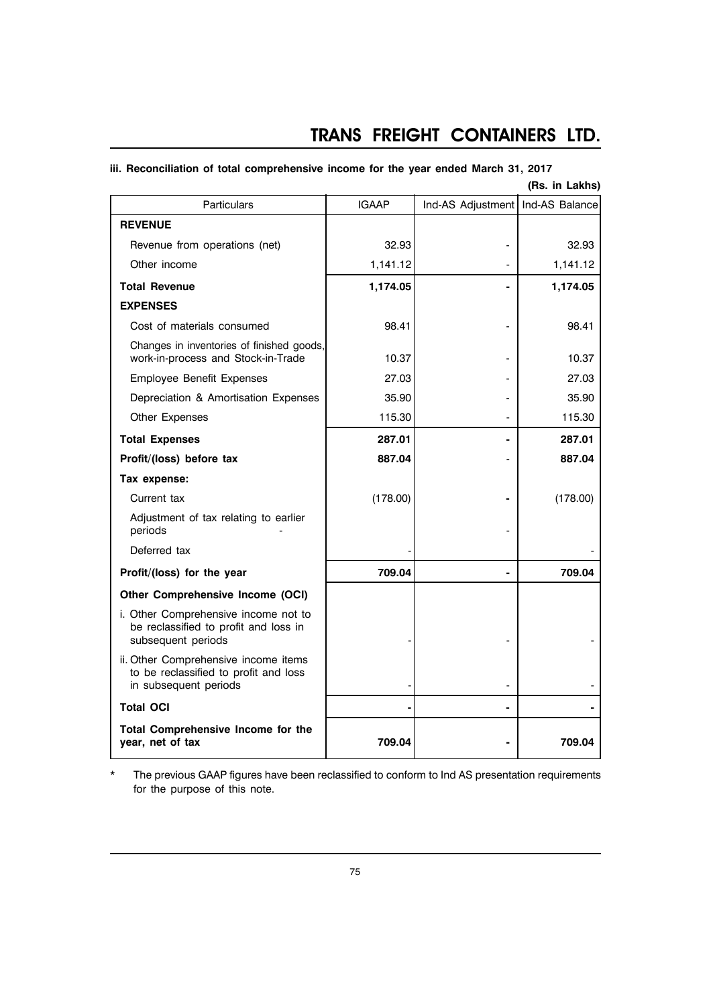### **iii. Reconciliation of total comprehensive income for the year ended March 31, 2017**

|                                                                                                        |              |                                    | (Rs. in Lakhs) |
|--------------------------------------------------------------------------------------------------------|--------------|------------------------------------|----------------|
| <b>Particulars</b>                                                                                     | <b>IGAAP</b> | Ind-AS Adjustment   Ind-AS Balance |                |
| <b>REVENUE</b>                                                                                         |              |                                    |                |
| Revenue from operations (net)                                                                          | 32.93        |                                    | 32.93          |
| Other income                                                                                           | 1,141.12     |                                    | 1,141.12       |
| <b>Total Revenue</b>                                                                                   | 1,174.05     |                                    | 1,174.05       |
| <b>EXPENSES</b>                                                                                        |              |                                    |                |
| Cost of materials consumed                                                                             | 98.41        |                                    | 98.41          |
| Changes in inventories of finished goods,<br>work-in-process and Stock-in-Trade                        | 10.37        |                                    | 10.37          |
| <b>Employee Benefit Expenses</b>                                                                       | 27.03        |                                    | 27.03          |
| Depreciation & Amortisation Expenses                                                                   | 35.90        |                                    | 35.90          |
| Other Expenses                                                                                         | 115.30       |                                    | 115.30         |
| <b>Total Expenses</b>                                                                                  | 287.01       |                                    | 287.01         |
| Profit/(loss) before tax                                                                               | 887.04       |                                    | 887.04         |
| Tax expense:                                                                                           |              |                                    |                |
| Current tax                                                                                            | (178.00)     |                                    | (178.00)       |
| Adjustment of tax relating to earlier<br>periods                                                       |              |                                    |                |
| Deferred tax                                                                                           |              |                                    |                |
| Profit/(loss) for the year                                                                             | 709.04       |                                    | 709.04         |
| Other Comprehensive Income (OCI)                                                                       |              |                                    |                |
| i. Other Comprehensive income not to<br>be reclassified to profit and loss in<br>subsequent periods    |              |                                    |                |
| ii. Other Comprehensive income items<br>to be reclassified to profit and loss<br>in subsequent periods |              |                                    |                |
| <b>Total OCI</b>                                                                                       |              |                                    |                |
| Total Comprehensive Income for the<br>year, net of tax                                                 | 709.04       |                                    | 709.04         |

\* The previous GAAP figures have been reclassified to conform to Ind AS presentation requirements for the purpose of this note.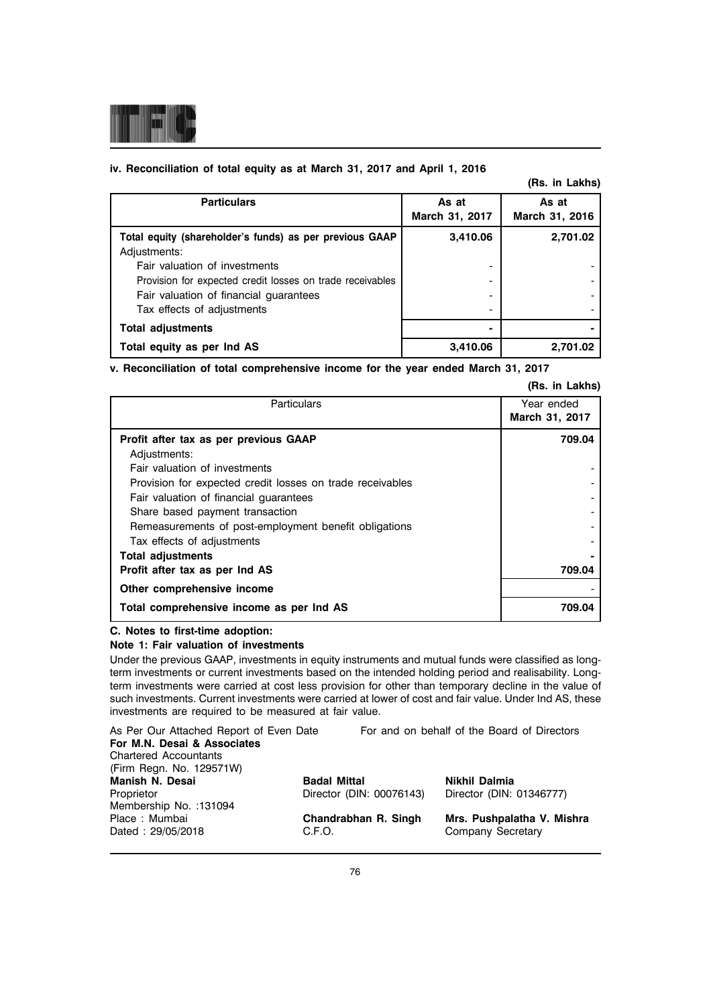

## **iv. Reconciliation of total equity as at March 31, 2017 and April 1, 2016**

#### **(Rs. in Lakhs)**

| <b>Particulars</b>                                        | As at          | As at          |
|-----------------------------------------------------------|----------------|----------------|
|                                                           | March 31, 2017 | March 31, 2016 |
| Total equity (shareholder's funds) as per previous GAAP   | 3,410.06       | 2,701.02       |
| Adjustments:                                              |                |                |
| Fair valuation of investments                             |                |                |
| Provision for expected credit losses on trade receivables |                |                |
| Fair valuation of financial guarantees                    |                |                |
| Tax effects of adjustments                                |                |                |
| <b>Total adjustments</b>                                  |                |                |
| Total equity as per Ind AS                                | 3,410.06       | 2,701.02       |

**v. Reconciliation of total comprehensive income for the year ended March 31, 2017**

**(Rs. in Lakhs)**

| <b>Particulars</b>                                        | Year ended<br>March 31, 2017 |
|-----------------------------------------------------------|------------------------------|
| Profit after tax as per previous GAAP                     | 709.04                       |
| Adjustments:                                              |                              |
| Fair valuation of investments                             |                              |
| Provision for expected credit losses on trade receivables |                              |
| Fair valuation of financial guarantees                    |                              |
| Share based payment transaction                           |                              |
| Remeasurements of post-employment benefit obligations     |                              |
| Tax effects of adjustments                                |                              |
| <b>Total adjustments</b>                                  |                              |
| Profit after tax as per Ind AS                            | 709.04                       |
| Other comprehensive income                                |                              |
| Total comprehensive income as per Ind AS                  | 709.04                       |

#### **C. Notes to first-time adoption:**

#### **Note 1: Fair valuation of investments**

Under the previous GAAP, investments in equity instruments and mutual funds were classified as longterm investments or current investments based on the intended holding period and realisability. Longterm investments were carried at cost less provision for other than temporary decline in the value of such investments. Current investments were carried at lower of cost and fair value. Under Ind AS, these investments are required to be measured at fair value.

| As Per Our Attached Report of Even Date |                     |                          | For and on behalf of the Board of Directors |
|-----------------------------------------|---------------------|--------------------------|---------------------------------------------|
| For M.N. Desai & Associates             |                     |                          |                                             |
| <b>Chartered Accountants</b>            |                     |                          |                                             |
| (Firm Regn. No. 129571W)                |                     |                          |                                             |
| Manish N. Desai                         | <b>Badal Mittal</b> |                          | Nikhil Dalmia                               |
| Proprietor                              |                     | Director (DIN: 00076143) | Director (DIN: 01346777)                    |
| Membership No. : 131094                 |                     |                          |                                             |
| Place: Mumbai                           |                     | Chandrabhan R. Singh     | Mrs. Pushpalatha V. Mishra                  |
| Dated: 29/05/2018                       | C.F.O.              |                          | Company Secretary                           |
|                                         |                     |                          |                                             |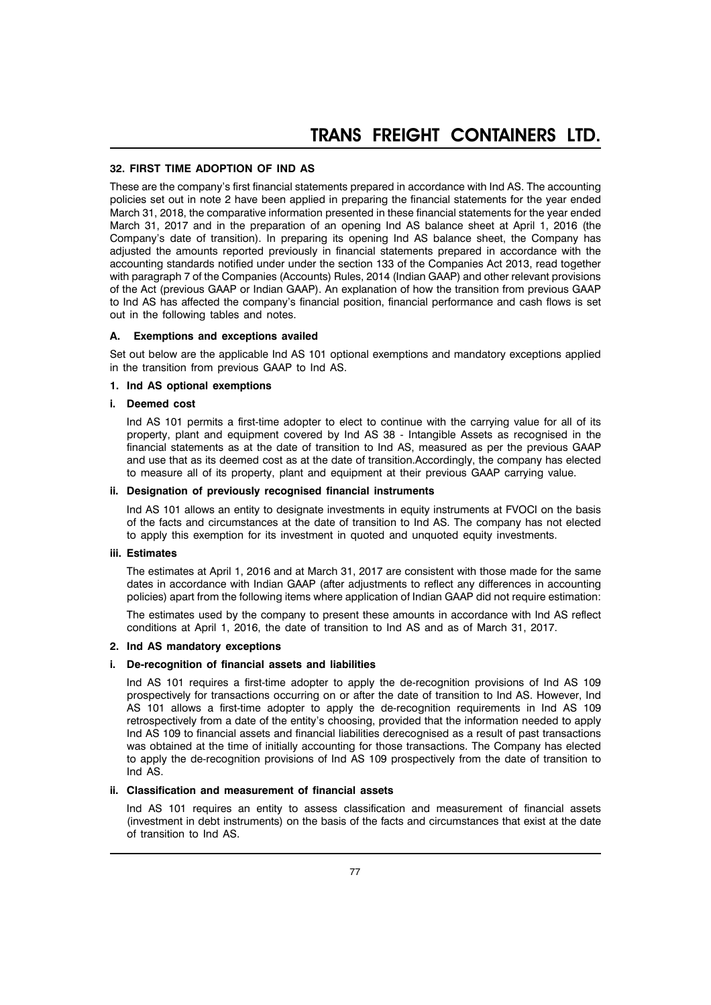#### **32. FIRST TIME ADOPTION OF IND AS**

These are the company's first financial statements prepared in accordance with Ind AS. The accounting policies set out in note 2 have been applied in preparing the financial statements for the year ended March 31, 2018, the comparative information presented in these financial statements for the year ended March 31, 2017 and in the preparation of an opening Ind AS balance sheet at April 1, 2016 (the Company's date of transition). In preparing its opening Ind AS balance sheet, the Company has adjusted the amounts reported previously in financial statements prepared in accordance with the accounting standards notified under under the section 133 of the Companies Act 2013, read together with paragraph 7 of the Companies (Accounts) Rules, 2014 (Indian GAAP) and other relevant provisions of the Act (previous GAAP or Indian GAAP). An explanation of how the transition from previous GAAP to Ind AS has affected the company's financial position, financial performance and cash flows is set out in the following tables and notes.

#### **A. Exemptions and exceptions availed**

Set out below are the applicable Ind AS 101 optional exemptions and mandatory exceptions applied in the transition from previous GAAP to Ind AS.

#### **1. Ind AS optional exemptions**

#### **i. Deemed cost**

Ind AS 101 permits a first-time adopter to elect to continue with the carrying value for all of its property, plant and equipment covered by Ind AS 38 - Intangible Assets as recognised in the financial statements as at the date of transition to Ind AS, measured as per the previous GAAP and use that as its deemed cost as at the date of transition.Accordingly, the company has elected to measure all of its property, plant and equipment at their previous GAAP carrying value.

#### **ii. Designation of previously recognised financial instruments**

Ind AS 101 allows an entity to designate investments in equity instruments at FVOCI on the basis of the facts and circumstances at the date of transition to Ind AS. The company has not elected to apply this exemption for its investment in quoted and unquoted equity investments.

#### **iii. Estimates**

The estimates at April 1, 2016 and at March 31, 2017 are consistent with those made for the same dates in accordance with Indian GAAP (after adjustments to reflect any differences in accounting policies) apart from the following items where application of Indian GAAP did not require estimation:

The estimates used by the company to present these amounts in accordance with Ind AS reflect conditions at April 1, 2016, the date of transition to Ind AS and as of March 31, 2017.

#### **2. Ind AS mandatory exceptions**

#### **i. De-recognition of financial assets and liabilities**

Ind AS 101 requires a first-time adopter to apply the de-recognition provisions of Ind AS 109 prospectively for transactions occurring on or after the date of transition to Ind AS. However, Ind AS 101 allows a first-time adopter to apply the de-recognition requirements in Ind AS 109 retrospectively from a date of the entity's choosing, provided that the information needed to apply Ind AS 109 to financial assets and financial liabilities derecognised as a result of past transactions was obtained at the time of initially accounting for those transactions. The Company has elected to apply the de-recognition provisions of Ind AS 109 prospectively from the date of transition to Ind AS.

#### **ii. Classification and measurement of financial assets**

Ind AS 101 requires an entity to assess classification and measurement of financial assets (investment in debt instruments) on the basis of the facts and circumstances that exist at the date of transition to Ind AS.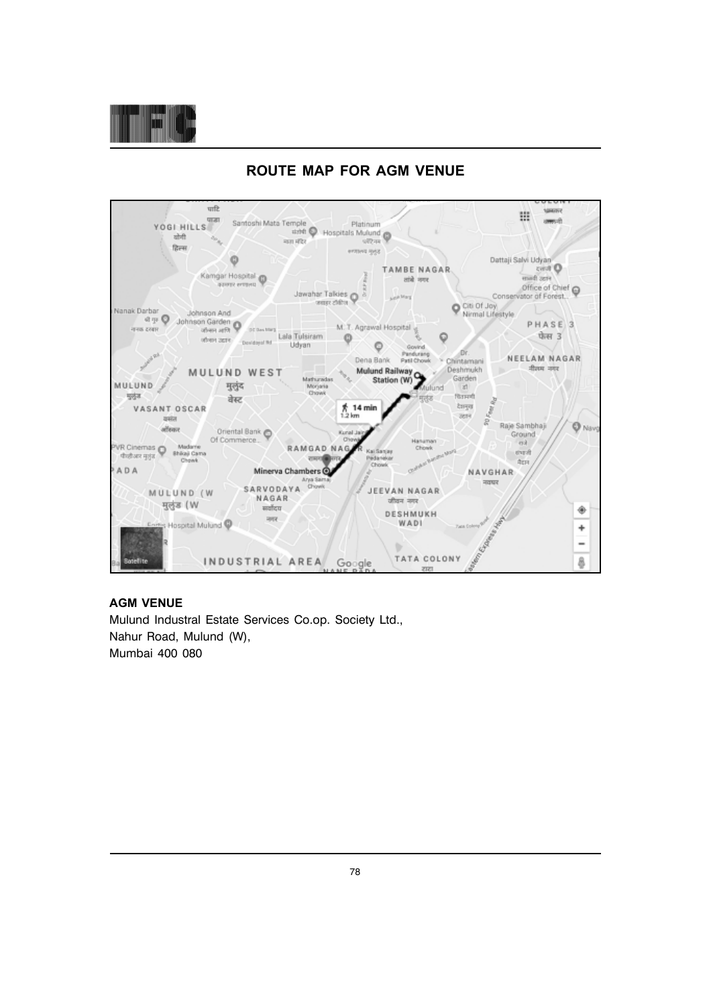



# **ROUTE MAP FOR AGM VENUE**

#### **AGM VENUE**

Mulund Industral Estate Services Co.op. Society Ltd., Nahur Road, Mulund (W), Mumbai 400 080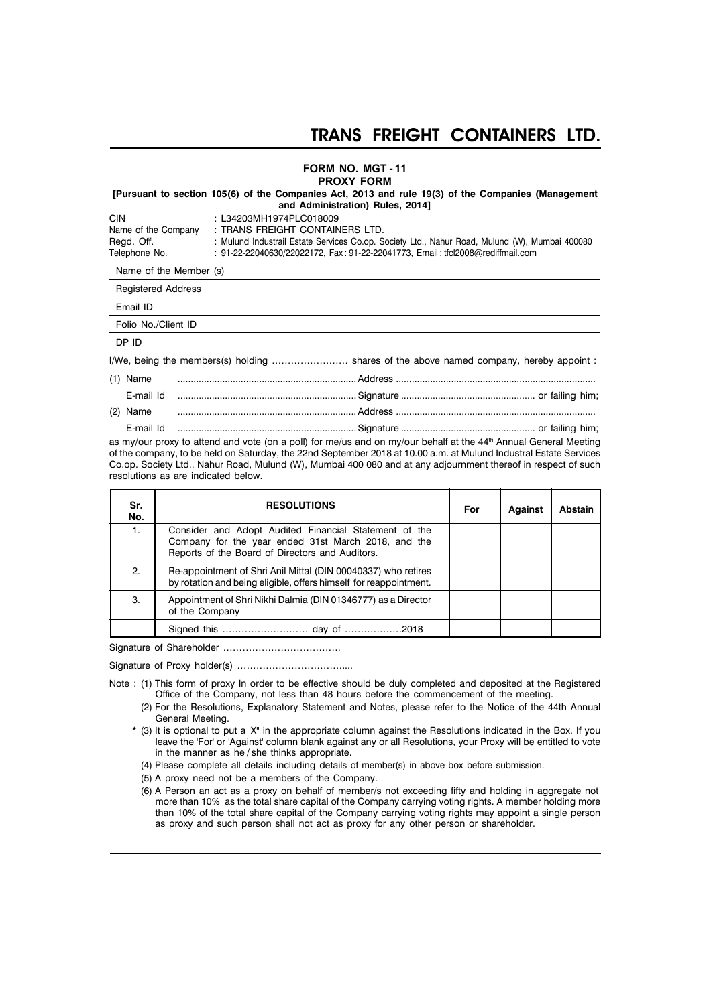#### **FORM NO. MGT - 11 PROXY FORM**

**[Pursuant to section 105(6) of the Companies Act, 2013 and rule 19(3) of the Companies (Management and Administration) Rules, 2014]**

| <b>CIN</b>          | : L34203MH1974PLC018009                                                                        |
|---------------------|------------------------------------------------------------------------------------------------|
| Name of the Company | : TRANS FREIGHT CONTAINERS LTD.                                                                |
| Regd. Off.          | : Mulund Industrail Estate Services Co.op. Society Ltd., Nahur Road, Mulund (W), Mumbai 400080 |
| Telephone No.       | : 91-22-22040630/22022172, Fax: 91-22-22041773, Email: tfcl2008@rediffmail.com                 |

Name of the Member (s)

| <b>Registered Address</b> |  |  |
|---------------------------|--|--|
| Email ID                  |  |  |
| Folio No./Client ID       |  |  |
| DP ID                     |  |  |

I/We, being the members(s) holding …………………… shares of the above named company, hereby appoint :

| $(1)$ Name |  |
|------------|--|
|            |  |
|            |  |
|            |  |

as my/our proxy to attend and vote (on a poll) for me/us and on my/our behalf at the 44<sup>th</sup> Annual General Meeting of the company, to be held on Saturday, the 22nd September 2018 at 10.00 a.m. at Mulund Industral Estate Services Co.op. Society Ltd., Nahur Road, Mulund (W), Mumbai 400 080 and at any adjournment thereof in respect of such resolutions as are indicated below.

| Sr.<br>No. | <b>RESOLUTIONS</b>                                                                                                                                              | For | <b>Against</b> | Abstain |
|------------|-----------------------------------------------------------------------------------------------------------------------------------------------------------------|-----|----------------|---------|
| 1.         | Consider and Adopt Audited Financial Statement of the<br>Company for the year ended 31st March 2018, and the<br>Reports of the Board of Directors and Auditors. |     |                |         |
| 2.         | Re-appointment of Shri Anil Mittal (DIN 00040337) who retires<br>by rotation and being eligible, offers himself for reappointment.                              |     |                |         |
| З.         | Appointment of Shri Nikhi Dalmia (DIN 01346777) as a Director<br>of the Company                                                                                 |     |                |         |
|            |                                                                                                                                                                 |     |                |         |

Signature of Shareholder ……………………………….

Signature of Proxy holder(s) ……………………………....

- Note : (1) This form of proxy In order to be effective should be duly completed and deposited at the Registered Office of the Company, not less than 48 hours before the commencement of the meeting.
	- (2) For the Resolutions, Explanatory Statement and Notes, please refer to the Notice of the 44th Annual General Meeting.
	- \* (3) It is optional to put a 'X" in the appropriate column against the Resolutions indicated in the Box. If you leave the 'For' or 'Against' column blank against any or all Resolutions, your Proxy will be entitled to vote in the manner as he / she thinks appropriate.
		- (4) Please complete all details including details of member(s) in above box before submission.

(5) A proxy need not be a members of the Company.

(6) A Person an act as a proxy on behalf of member/s not exceeding fifty and holding in aggregate not more than 10% as the total share capital of the Company carrying voting rights. A member holding more than 10% of the total share capital of the Company carrying voting rights may appoint a single person as proxy and such person shall not act as proxy for any other person or shareholder.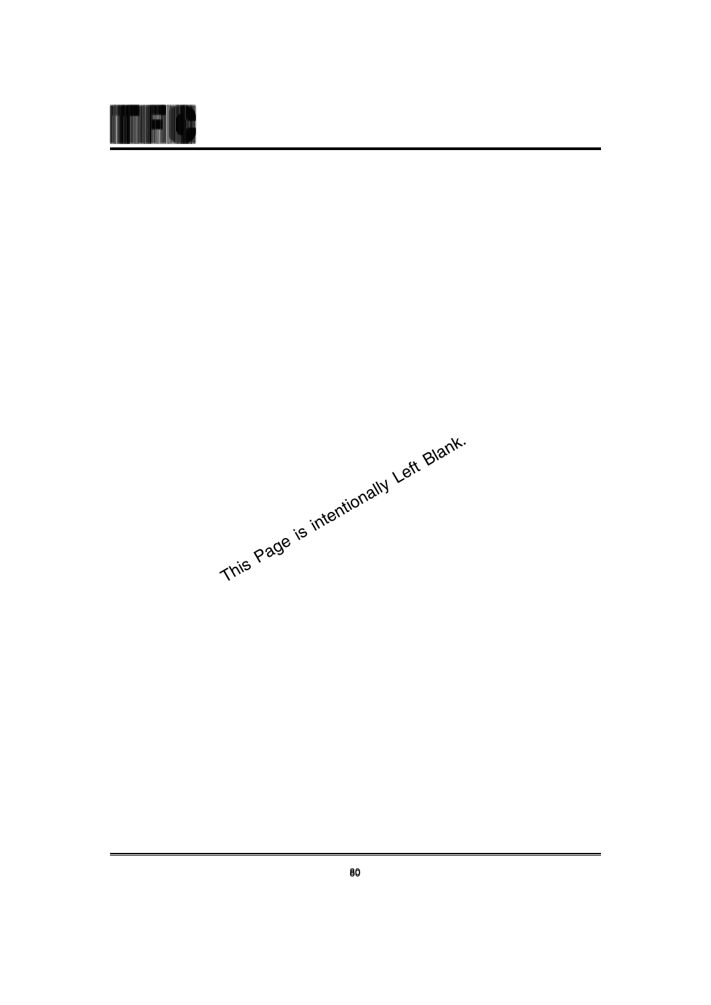

This Page is intentionally Left Blank.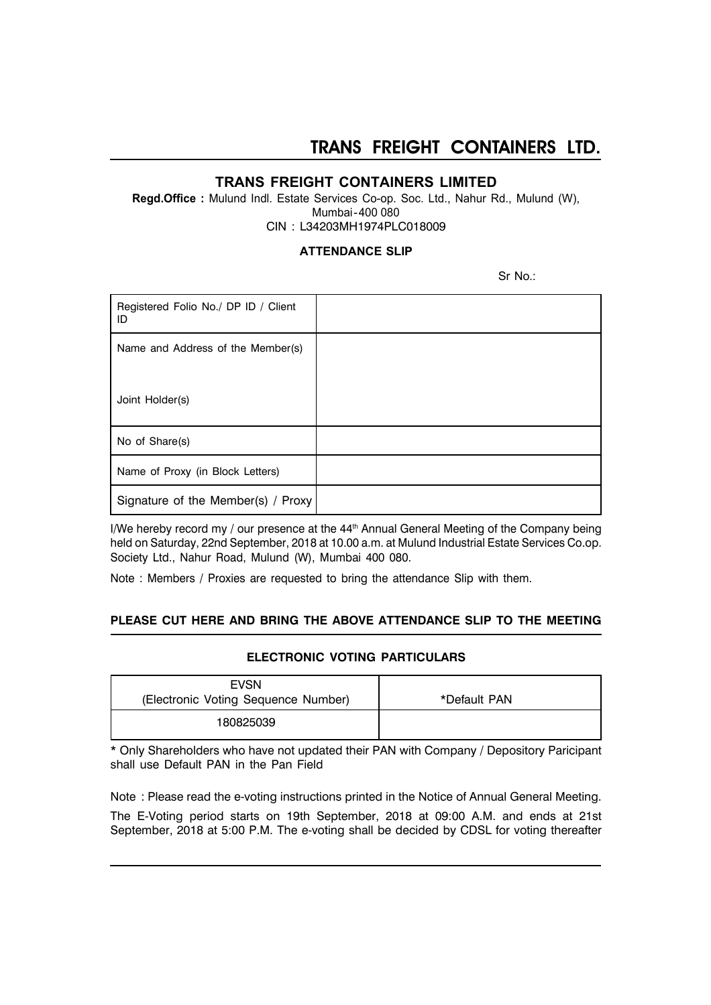## **TRANS FREIGHT CONTAINERS LIMITED**

**Regd.Office :** Mulund Indl. Estate Services Co-op. Soc. Ltd., Nahur Rd., Mulund (W), Mumbai-400 080 CIN : L34203MH1974PLC018009

### **ATTENDANCE SLIP**

Sr No.:

| Registered Folio No./ DP ID / Client<br>ID |  |
|--------------------------------------------|--|
| Name and Address of the Member(s)          |  |
| Joint Holder(s)                            |  |
| No of Share(s)                             |  |
| Name of Proxy (in Block Letters)           |  |
| Signature of the Member(s) / Proxy         |  |

I/We hereby record my / our presence at the 44<sup>th</sup> Annual General Meeting of the Company being held on Saturday, 22nd September, 2018 at 10.00 a.m. at Mulund Industrial Estate Services Co.op. Society Ltd., Nahur Road, Mulund (W), Mumbai 400 080.

Note : Members / Proxies are requested to bring the attendance Slip with them.

### **PLEASE CUT HERE AND BRING THE ABOVE ATTENDANCE SLIP TO THE MEETING**

#### **ELECTRONIC VOTING PARTICULARS**

| <b>EVSN</b><br>(Electronic Voting Sequence Number) | *Default PAN |
|----------------------------------------------------|--------------|
| 180825039                                          |              |

\* Only Shareholders who have not updated their PAN with Company / Depository Paricipant shall use Default PAN in the Pan Field

Note : Please read the e-voting instructions printed in the Notice of Annual General Meeting. The E-Voting period starts on 19th September, 2018 at 09:00 A.M. and ends at 21st September, 2018 at 5:00 P.M. The e-voting shall be decided by CDSL for voting thereafter